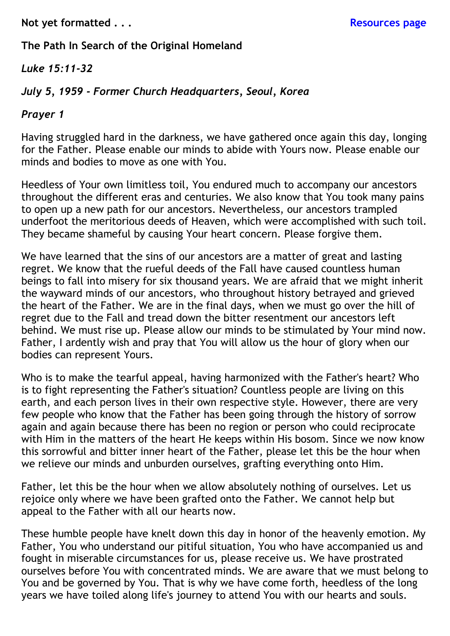# **The Path In Search of the Original Homeland**

#### *Luke 15:11-32*

#### *July 5, 1959 - Former Church Headquarters, Seoul, Korea*

#### *Prayer 1*

Having struggled hard in the darkness, we have gathered once again this day, longing for the Father. Please enable our minds to abide with Yours now. Please enable our minds and bodies to move as one with You.

Heedless of Your own limitless toil, You endured much to accompany our ancestors throughout the different eras and centuries. We also know that You took many pains to open up a new path for our ancestors. Nevertheless, our ancestors trampled underfoot the meritorious deeds of Heaven, which were accomplished with such toil. They became shameful by causing Your heart concern. Please forgive them.

We have learned that the sins of our ancestors are a matter of great and lasting regret. We know that the rueful deeds of the Fall have caused countless human beings to fall into misery for six thousand years. We are afraid that we might inherit the wayward minds of our ancestors, who throughout history betrayed and grieved the heart of the Father. We are in the final days, when we must go over the hill of regret due to the Fall and tread down the bitter resentment our ancestors left behind. We must rise up. Please allow our minds to be stimulated by Your mind now. Father, I ardently wish and pray that You will allow us the hour of glory when our bodies can represent Yours.

Who is to make the tearful appeal, having harmonized with the Father's heart? Who is to fight representing the Father's situation? Countless people are living on this earth, and each person lives in their own respective style. However, there are very few people who know that the Father has been going through the history of sorrow again and again because there has been no region or person who could reciprocate with Him in the matters of the heart He keeps within His bosom. Since we now know this sorrowful and bitter inner heart of the Father, please let this be the hour when we relieve our minds and unburden ourselves, grafting everything onto Him.

Father, let this be the hour when we allow absolutely nothing of ourselves. Let us rejoice only where we have been grafted onto the Father. We cannot help but appeal to the Father with all our hearts now.

These humble people have knelt down this day in honor of the heavenly emotion. My Father, You who understand our pitiful situation, You who have accompanied us and fought in miserable circumstances for us, please receive us. We have prostrated ourselves before You with concentrated minds. We are aware that we must belong to You and be governed by You. That is why we have come forth, heedless of the long years we have toiled along life's journey to attend You with our hearts and souls.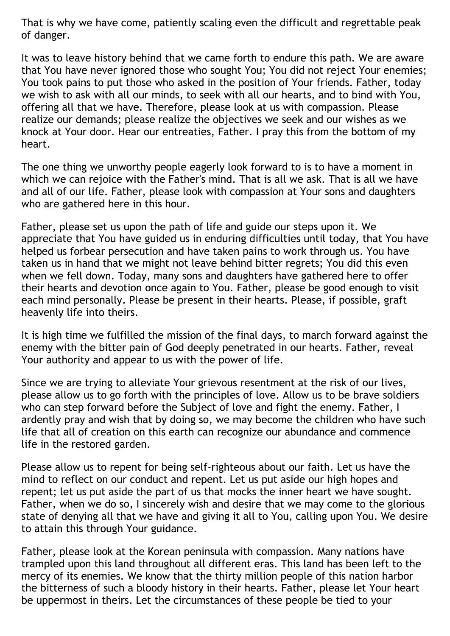That is why we have come, patiently scaling even the difficult and regrettable peak of danger.

It was to leave history behind that we came forth to endure this path. We are aware that You have never ignored those who sought You; You did not reject Your enemies; You took pains to put those who asked in the position of Your friends. Father, today we wish to ask with all our minds, to seek with all our hearts, and to bind with You, offering all that we have. Therefore, please look at us with compassion. Please realize our demands; please realize the objectives we seek and our wishes as we knock at Your door. Hear our entreaties, Father. I pray this from the bottom of my heart.

The one thing we unworthy people eagerly look forward to is to have a moment in which we can rejoice with the Father's mind. That is all we ask. That is all we have and all of our life. Father, please look with compassion at Your sons and daughters who are gathered here in this hour.

Father, please set us upon the path of life and guide our steps upon it. We appreciate that You have guided us in enduring difficulties until today, that You have helped us forbear persecution and have taken pains to work through us. You have taken us in hand that we might not leave behind bitter regrets; You did this even when we fell down. Today, many sons and daughters have gathered here to offer their hearts and devotion once again to You. Father, please be good enough to visit each mind personally. Please be present in their hearts. Please, if possible, graft heavenly life into theirs.

It is high time we fulfilled the mission of the final days, to march forward against the enemy with the bitter pain of God deeply penetrated in our hearts. Father, reveal Your authority and appear to us with the power of life.

Since we are trying to alleviate Your grievous resentment at the risk of our lives, please allow us to go forth with the principles of love. Allow us to be brave soldiers who can step forward before the Subject of love and fight the enemy. Father, I ardently pray and wish that by doing so, we may become the children who have such life that all of creation on this earth can recognize our abundance and commence life in the restored garden.

Please allow us to repent for being self-righteous about our faith. Let us have the mind to reflect on our conduct and repent. Let us put aside our high hopes and repent; let us put aside the part of us that mocks the inner heart we have sought. Father, when we do so, I sincerely wish and desire that we may come to the glorious state of denying all that we have and giving it all to You, calling upon You. We desire to attain this through Your guidance.

Father, please look at the Korean peninsula with compassion. Many nations have trampled upon this land throughout all different eras. This land has been left to the mercy of its enemies. We know that the thirty million people of this nation harbor the bitterness of such a bloody history in their hearts. Father, please let Your heart be uppermost in theirs. Let the circumstances of these people be tied to your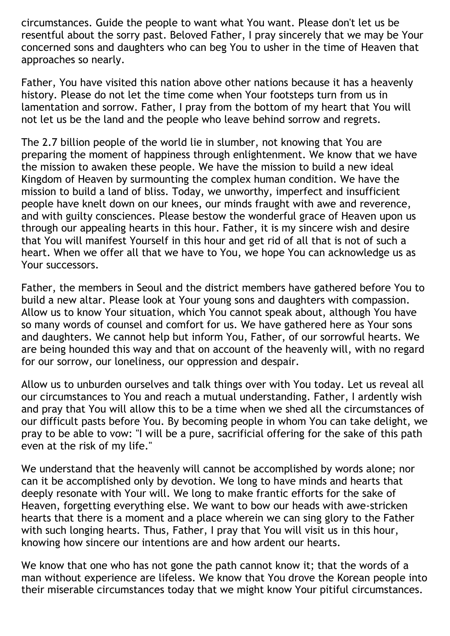circumstances. Guide the people to want what You want. Please don't let us be resentful about the sorry past. Beloved Father, I pray sincerely that we may be Your concerned sons and daughters who can beg You to usher in the time of Heaven that approaches so nearly.

Father, You have visited this nation above other nations because it has a heavenly history. Please do not let the time come when Your footsteps turn from us in lamentation and sorrow. Father, I pray from the bottom of my heart that You will not let us be the land and the people who leave behind sorrow and regrets.

The 2.7 billion people of the world lie in slumber, not knowing that You are preparing the moment of happiness through enlightenment. We know that we have the mission to awaken these people. We have the mission to build a new ideal Kingdom of Heaven by surmounting the complex human condition. We have the mission to build a land of bliss. Today, we unworthy, imperfect and insufficient people have knelt down on our knees, our minds fraught with awe and reverence, and with guilty consciences. Please bestow the wonderful grace of Heaven upon us through our appealing hearts in this hour. Father, it is my sincere wish and desire that You will manifest Yourself in this hour and get rid of all that is not of such a heart. When we offer all that we have to You, we hope You can acknowledge us as Your successors.

Father, the members in Seoul and the district members have gathered before You to build a new altar. Please look at Your young sons and daughters with compassion. Allow us to know Your situation, which You cannot speak about, although You have so many words of counsel and comfort for us. We have gathered here as Your sons and daughters. We cannot help but inform You, Father, of our sorrowful hearts. We are being hounded this way and that on account of the heavenly will, with no regard for our sorrow, our loneliness, our oppression and despair.

Allow us to unburden ourselves and talk things over with You today. Let us reveal all our circumstances to You and reach a mutual understanding. Father, I ardently wish and pray that You will allow this to be a time when we shed all the circumstances of our difficult pasts before You. By becoming people in whom You can take delight, we pray to be able to vow: "I will be a pure, sacrificial offering for the sake of this path even at the risk of my life."

We understand that the heavenly will cannot be accomplished by words alone; nor can it be accomplished only by devotion. We long to have minds and hearts that deeply resonate with Your will. We long to make frantic efforts for the sake of Heaven, forgetting everything else. We want to bow our heads with awe-stricken hearts that there is a moment and a place wherein we can sing glory to the Father with such longing hearts. Thus, Father, I pray that You will visit us in this hour, knowing how sincere our intentions are and how ardent our hearts.

We know that one who has not gone the path cannot know it; that the words of a man without experience are lifeless. We know that You drove the Korean people into their miserable circumstances today that we might know Your pitiful circumstances.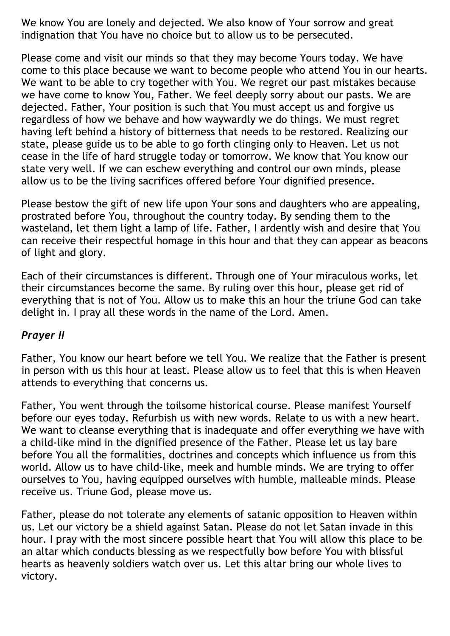We know You are lonely and dejected. We also know of Your sorrow and great indignation that You have no choice but to allow us to be persecuted.

Please come and visit our minds so that they may become Yours today. We have come to this place because we want to become people who attend You in our hearts. We want to be able to cry together with You. We regret our past mistakes because we have come to know You, Father. We feel deeply sorry about our pasts. We are dejected. Father, Your position is such that You must accept us and forgive us regardless of how we behave and how waywardly we do things. We must regret having left behind a history of bitterness that needs to be restored. Realizing our state, please guide us to be able to go forth clinging only to Heaven. Let us not cease in the life of hard struggle today or tomorrow. We know that You know our state very well. If we can eschew everything and control our own minds, please allow us to be the living sacrifices offered before Your dignified presence.

Please bestow the gift of new life upon Your sons and daughters who are appealing, prostrated before You, throughout the country today. By sending them to the wasteland, let them light a lamp of life. Father, I ardently wish and desire that You can receive their respectful homage in this hour and that they can appear as beacons of light and glory.

Each of their circumstances is different. Through one of Your miraculous works, let their circumstances become the same. By ruling over this hour, please get rid of everything that is not of You. Allow us to make this an hour the triune God can take delight in. I pray all these words in the name of the Lord. Amen.

#### *Prayer II*

Father, You know our heart before we tell You. We realize that the Father is present in person with us this hour at least. Please allow us to feel that this is when Heaven attends to everything that concerns us.

Father, You went through the toilsome historical course. Please manifest Yourself before our eyes today. Refurbish us with new words. Relate to us with a new heart. We want to cleanse everything that is inadequate and offer everything we have with a child-like mind in the dignified presence of the Father. Please let us lay bare before You all the formalities, doctrines and concepts which influence us from this world. Allow us to have child-like, meek and humble minds. We are trying to offer ourselves to You, having equipped ourselves with humble, malleable minds. Please receive us. Triune God, please move us.

Father, please do not tolerate any elements of satanic opposition to Heaven within us. Let our victory be a shield against Satan. Please do not let Satan invade in this hour. I pray with the most sincere possible heart that You will allow this place to be an altar which conducts blessing as we respectfully bow before You with blissful hearts as heavenly soldiers watch over us. Let this altar bring our whole lives to victory.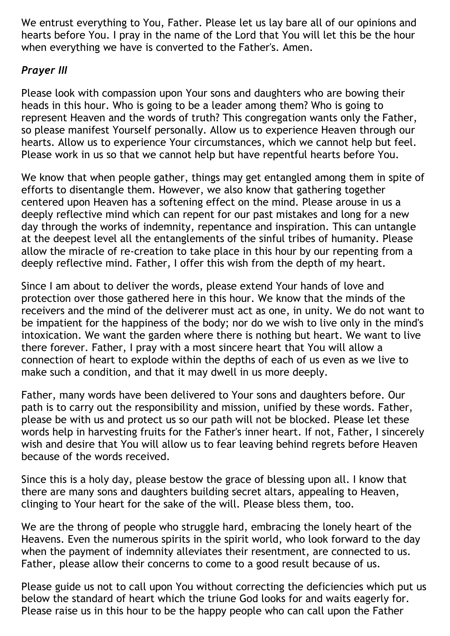We entrust everything to You, Father. Please let us lay bare all of our opinions and hearts before You. I pray in the name of the Lord that You will let this be the hour when everything we have is converted to the Father's. Amen.

# *Prayer III*

Please look with compassion upon Your sons and daughters who are bowing their heads in this hour. Who is going to be a leader among them? Who is going to represent Heaven and the words of truth? This congregation wants only the Father, so please manifest Yourself personally. Allow us to experience Heaven through our hearts. Allow us to experience Your circumstances, which we cannot help but feel. Please work in us so that we cannot help but have repentful hearts before You.

We know that when people gather, things may get entangled among them in spite of efforts to disentangle them. However, we also know that gathering together centered upon Heaven has a softening effect on the mind. Please arouse in us a deeply reflective mind which can repent for our past mistakes and long for a new day through the works of indemnity, repentance and inspiration. This can untangle at the deepest level all the entanglements of the sinful tribes of humanity. Please allow the miracle of re-creation to take place in this hour by our repenting from a deeply reflective mind. Father, I offer this wish from the depth of my heart.

Since I am about to deliver the words, please extend Your hands of love and protection over those gathered here in this hour. We know that the minds of the receivers and the mind of the deliverer must act as one, in unity. We do not want to be impatient for the happiness of the body; nor do we wish to live only in the mind's intoxication. We want the garden where there is nothing but heart. We want to live there forever. Father, I pray with a most sincere heart that You will allow a connection of heart to explode within the depths of each of us even as we live to make such a condition, and that it may dwell in us more deeply.

Father, many words have been delivered to Your sons and daughters before. Our path is to carry out the responsibility and mission, unified by these words. Father, please be with us and protect us so our path will not be blocked. Please let these words help in harvesting fruits for the Father's inner heart. If not, Father, I sincerely wish and desire that You will allow us to fear leaving behind regrets before Heaven because of the words received.

Since this is a holy day, please bestow the grace of blessing upon all. I know that there are many sons and daughters building secret altars, appealing to Heaven, clinging to Your heart for the sake of the will. Please bless them, too.

We are the throng of people who struggle hard, embracing the lonely heart of the Heavens. Even the numerous spirits in the spirit world, who look forward to the day when the payment of indemnity alleviates their resentment, are connected to us. Father, please allow their concerns to come to a good result because of us.

Please guide us not to call upon You without correcting the deficiencies which put us below the standard of heart which the triune God looks for and waits eagerly for. Please raise us in this hour to be the happy people who can call upon the Father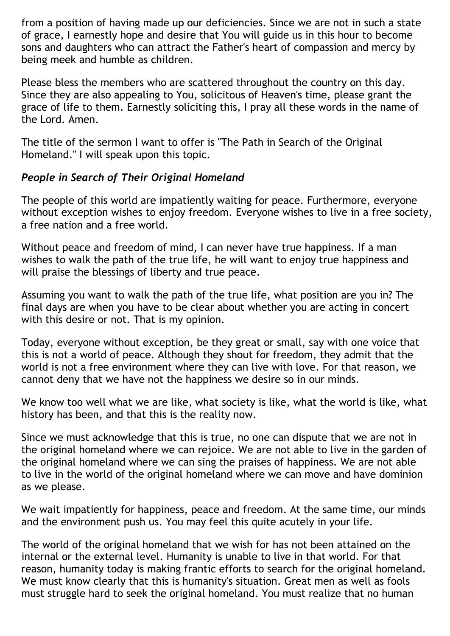from a position of having made up our deficiencies. Since we are not in such a state of grace, I earnestly hope and desire that You will guide us in this hour to become sons and daughters who can attract the Father's heart of compassion and mercy by being meek and humble as children.

Please bless the members who are scattered throughout the country on this day. Since they are also appealing to You, solicitous of Heaven's time, please grant the grace of life to them. Earnestly soliciting this, I pray all these words in the name of the Lord. Amen.

The title of the sermon I want to offer is "The Path in Search of the Original Homeland." I will speak upon this topic.

# *People in Search of Their Original Homeland*

The people of this world are impatiently waiting for peace. Furthermore, everyone without exception wishes to enjoy freedom. Everyone wishes to live in a free society, a free nation and a free world.

Without peace and freedom of mind, I can never have true happiness. If a man wishes to walk the path of the true life, he will want to enjoy true happiness and will praise the blessings of liberty and true peace.

Assuming you want to walk the path of the true life, what position are you in? The final days are when you have to be clear about whether you are acting in concert with this desire or not. That is my opinion.

Today, everyone without exception, be they great or small, say with one voice that this is not a world of peace. Although they shout for freedom, they admit that the world is not a free environment where they can live with love. For that reason, we cannot deny that we have not the happiness we desire so in our minds.

We know too well what we are like, what society is like, what the world is like, what history has been, and that this is the reality now.

Since we must acknowledge that this is true, no one can dispute that we are not in the original homeland where we can rejoice. We are not able to live in the garden of the original homeland where we can sing the praises of happiness. We are not able to live in the world of the original homeland where we can move and have dominion as we please.

We wait impatiently for happiness, peace and freedom. At the same time, our minds and the environment push us. You may feel this quite acutely in your life.

The world of the original homeland that we wish for has not been attained on the internal or the external level. Humanity is unable to live in that world. For that reason, humanity today is making frantic efforts to search for the original homeland. We must know clearly that this is humanity's situation. Great men as well as fools must struggle hard to seek the original homeland. You must realize that no human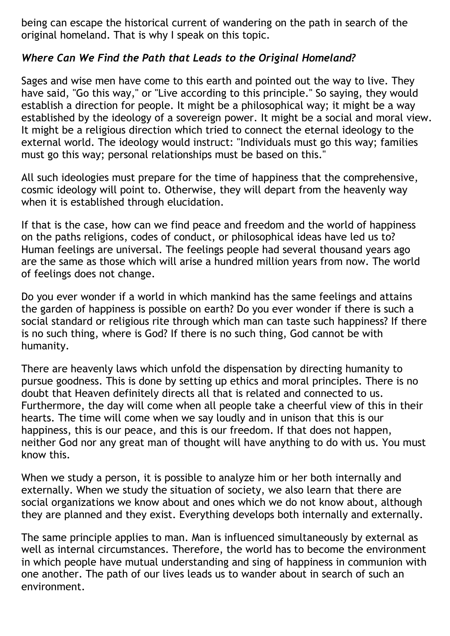being can escape the historical current of wandering on the path in search of the original homeland. That is why I speak on this topic.

# *Where Can We Find the Path that Leads to the Original Homeland?*

Sages and wise men have come to this earth and pointed out the way to live. They have said, "Go this way," or "Live according to this principle." So saying, they would establish a direction for people. It might be a philosophical way; it might be a way established by the ideology of a sovereign power. It might be a social and moral view. It might be a religious direction which tried to connect the eternal ideology to the external world. The ideology would instruct: "Individuals must go this way; families must go this way; personal relationships must be based on this."

All such ideologies must prepare for the time of happiness that the comprehensive, cosmic ideology will point to. Otherwise, they will depart from the heavenly way when it is established through elucidation.

If that is the case, how can we find peace and freedom and the world of happiness on the paths religions, codes of conduct, or philosophical ideas have led us to? Human feelings are universal. The feelings people had several thousand years ago are the same as those which will arise a hundred million years from now. The world of feelings does not change.

Do you ever wonder if a world in which mankind has the same feelings and attains the garden of happiness is possible on earth? Do you ever wonder if there is such a social standard or religious rite through which man can taste such happiness? If there is no such thing, where is God? If there is no such thing, God cannot be with humanity.

There are heavenly laws which unfold the dispensation by directing humanity to pursue goodness. This is done by setting up ethics and moral principles. There is no doubt that Heaven definitely directs all that is related and connected to us. Furthermore, the day will come when all people take a cheerful view of this in their hearts. The time will come when we say loudly and in unison that this is our happiness, this is our peace, and this is our freedom. If that does not happen, neither God nor any great man of thought will have anything to do with us. You must know this.

When we study a person, it is possible to analyze him or her both internally and externally. When we study the situation of society, we also learn that there are social organizations we know about and ones which we do not know about, although they are planned and they exist. Everything develops both internally and externally.

The same principle applies to man. Man is influenced simultaneously by external as well as internal circumstances. Therefore, the world has to become the environment in which people have mutual understanding and sing of happiness in communion with one another. The path of our lives leads us to wander about in search of such an environment.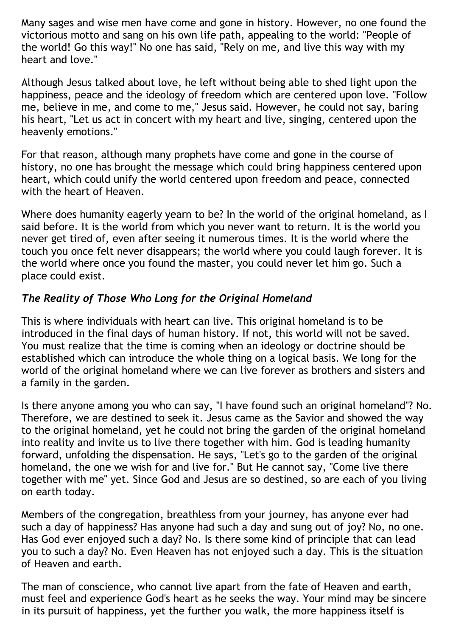Many sages and wise men have come and gone in history. However, no one found the victorious motto and sang on his own life path, appealing to the world: "People of the world! Go this way!" No one has said, "Rely on me, and live this way with my heart and love."

Although Jesus talked about love, he left without being able to shed light upon the happiness, peace and the ideology of freedom which are centered upon love. "Follow me, believe in me, and come to me," Jesus said. However, he could not say, baring his heart, "Let us act in concert with my heart and live, singing, centered upon the heavenly emotions."

For that reason, although many prophets have come and gone in the course of history, no one has brought the message which could bring happiness centered upon heart, which could unify the world centered upon freedom and peace, connected with the heart of Heaven.

Where does humanity eagerly yearn to be? In the world of the original homeland, as I said before. It is the world from which you never want to return. It is the world you never get tired of, even after seeing it numerous times. It is the world where the touch you once felt never disappears; the world where you could laugh forever. It is the world where once you found the master, you could never let him go. Such a place could exist.

# *The Reality of Those Who Long for the Original Homeland*

This is where individuals with heart can live. This original homeland is to be introduced in the final days of human history. If not, this world will not be saved. You must realize that the time is coming when an ideology or doctrine should be established which can introduce the whole thing on a logical basis. We long for the world of the original homeland where we can live forever as brothers and sisters and a family in the garden.

Is there anyone among you who can say, "I have found such an original homeland"? No. Therefore, we are destined to seek it. Jesus came as the Savior and showed the way to the original homeland, yet he could not bring the garden of the original homeland into reality and invite us to live there together with him. God is leading humanity forward, unfolding the dispensation. He says, "Let's go to the garden of the original homeland, the one we wish for and live for." But He cannot say, "Come live there together with me" yet. Since God and Jesus are so destined, so are each of you living on earth today.

Members of the congregation, breathless from your journey, has anyone ever had such a day of happiness? Has anyone had such a day and sung out of joy? No, no one. Has God ever enjoyed such a day? No. Is there some kind of principle that can lead you to such a day? No. Even Heaven has not enjoyed such a day. This is the situation of Heaven and earth.

The man of conscience, who cannot live apart from the fate of Heaven and earth, must feel and experience God's heart as he seeks the way. Your mind may be sincere in its pursuit of happiness, yet the further you walk, the more happiness itself is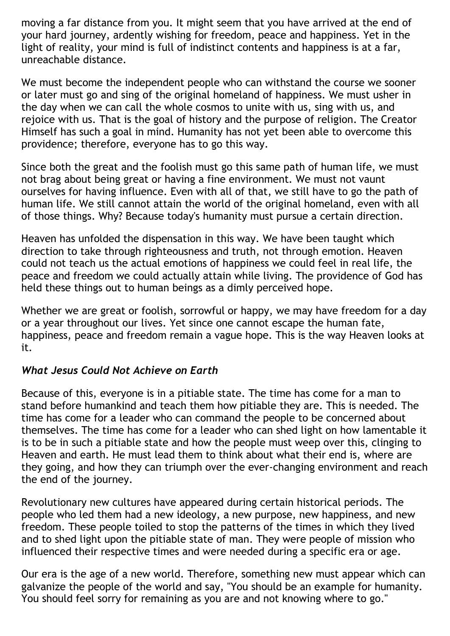moving a far distance from you. It might seem that you have arrived at the end of your hard journey, ardently wishing for freedom, peace and happiness. Yet in the light of reality, your mind is full of indistinct contents and happiness is at a far, unreachable distance.

We must become the independent people who can withstand the course we sooner or later must go and sing of the original homeland of happiness. We must usher in the day when we can call the whole cosmos to unite with us, sing with us, and rejoice with us. That is the goal of history and the purpose of religion. The Creator Himself has such a goal in mind. Humanity has not yet been able to overcome this providence; therefore, everyone has to go this way.

Since both the great and the foolish must go this same path of human life, we must not brag about being great or having a fine environment. We must not vaunt ourselves for having influence. Even with all of that, we still have to go the path of human life. We still cannot attain the world of the original homeland, even with all of those things. Why? Because today's humanity must pursue a certain direction.

Heaven has unfolded the dispensation in this way. We have been taught which direction to take through righteousness and truth, not through emotion. Heaven could not teach us the actual emotions of happiness we could feel in real life, the peace and freedom we could actually attain while living. The providence of God has held these things out to human beings as a dimly perceived hope.

Whether we are great or foolish, sorrowful or happy, we may have freedom for a day or a year throughout our lives. Yet since one cannot escape the human fate, happiness, peace and freedom remain a vague hope. This is the way Heaven looks at it.

# *What Jesus Could Not Achieve on Earth*

Because of this, everyone is in a pitiable state. The time has come for a man to stand before humankind and teach them how pitiable they are. This is needed. The time has come for a leader who can command the people to be concerned about themselves. The time has come for a leader who can shed light on how lamentable it is to be in such a pitiable state and how the people must weep over this, clinging to Heaven and earth. He must lead them to think about what their end is, where are they going, and how they can triumph over the ever-changing environment and reach the end of the journey.

Revolutionary new cultures have appeared during certain historical periods. The people who led them had a new ideology, a new purpose, new happiness, and new freedom. These people toiled to stop the patterns of the times in which they lived and to shed light upon the pitiable state of man. They were people of mission who influenced their respective times and were needed during a specific era or age.

Our era is the age of a new world. Therefore, something new must appear which can galvanize the people of the world and say, "You should be an example for humanity. You should feel sorry for remaining as you are and not knowing where to go."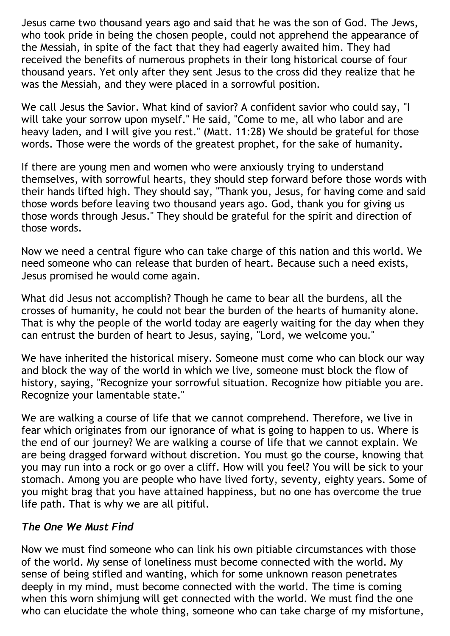Jesus came two thousand years ago and said that he was the son of God. The Jews, who took pride in being the chosen people, could not apprehend the appearance of the Messiah, in spite of the fact that they had eagerly awaited him. They had received the benefits of numerous prophets in their long historical course of four thousand years. Yet only after they sent Jesus to the cross did they realize that he was the Messiah, and they were placed in a sorrowful position.

We call Jesus the Savior. What kind of savior? A confident savior who could say, "I will take your sorrow upon myself." He said, "Come to me, all who labor and are heavy laden, and I will give you rest." (Matt. 11:28) We should be grateful for those words. Those were the words of the greatest prophet, for the sake of humanity.

If there are young men and women who were anxiously trying to understand themselves, with sorrowful hearts, they should step forward before those words with their hands lifted high. They should say, "Thank you, Jesus, for having come and said those words before leaving two thousand years ago. God, thank you for giving us those words through Jesus." They should be grateful for the spirit and direction of those words.

Now we need a central figure who can take charge of this nation and this world. We need someone who can release that burden of heart. Because such a need exists, Jesus promised he would come again.

What did Jesus not accomplish? Though he came to bear all the burdens, all the crosses of humanity, he could not bear the burden of the hearts of humanity alone. That is why the people of the world today are eagerly waiting for the day when they can entrust the burden of heart to Jesus, saying, "Lord, we welcome you."

We have inherited the historical misery. Someone must come who can block our way and block the way of the world in which we live, someone must block the flow of history, saying, "Recognize your sorrowful situation. Recognize how pitiable you are. Recognize your lamentable state."

We are walking a course of life that we cannot comprehend. Therefore, we live in fear which originates from our ignorance of what is going to happen to us. Where is the end of our journey? We are walking a course of life that we cannot explain. We are being dragged forward without discretion. You must go the course, knowing that you may run into a rock or go over a cliff. How will you feel? You will be sick to your stomach. Among you are people who have lived forty, seventy, eighty years. Some of you might brag that you have attained happiness, but no one has overcome the true life path. That is why we are all pitiful.

# *The One We Must Find*

Now we must find someone who can link his own pitiable circumstances with those of the world. My sense of loneliness must become connected with the world. My sense of being stifled and wanting, which for some unknown reason penetrates deeply in my mind, must become connected with the world. The time is coming when this worn shimjung will get connected with the world. We must find the one who can elucidate the whole thing, someone who can take charge of my misfortune,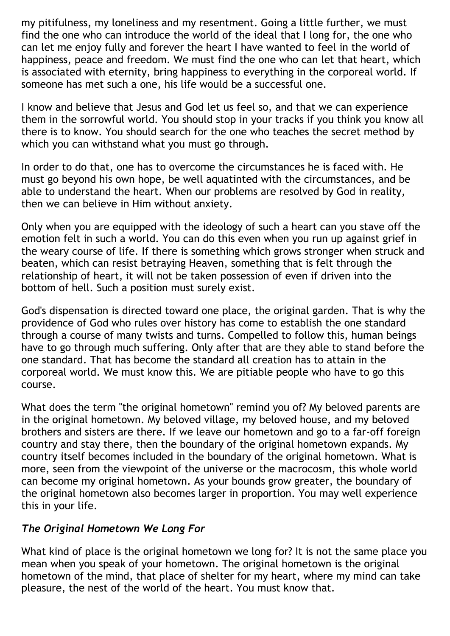my pitifulness, my loneliness and my resentment. Going a little further, we must find the one who can introduce the world of the ideal that I long for, the one who can let me enjoy fully and forever the heart I have wanted to feel in the world of happiness, peace and freedom. We must find the one who can let that heart, which is associated with eternity, bring happiness to everything in the corporeal world. If someone has met such a one, his life would be a successful one.

I know and believe that Jesus and God let us feel so, and that we can experience them in the sorrowful world. You should stop in your tracks if you think you know all there is to know. You should search for the one who teaches the secret method by which you can withstand what you must go through.

In order to do that, one has to overcome the circumstances he is faced with. He must go beyond his own hope, be well aquatinted with the circumstances, and be able to understand the heart. When our problems are resolved by God in reality, then we can believe in Him without anxiety.

Only when you are equipped with the ideology of such a heart can you stave off the emotion felt in such a world. You can do this even when you run up against grief in the weary course of life. If there is something which grows stronger when struck and beaten, which can resist betraying Heaven, something that is felt through the relationship of heart, it will not be taken possession of even if driven into the bottom of hell. Such a position must surely exist.

God's dispensation is directed toward one place, the original garden. That is why the providence of God who rules over history has come to establish the one standard through a course of many twists and turns. Compelled to follow this, human beings have to go through much suffering. Only after that are they able to stand before the one standard. That has become the standard all creation has to attain in the corporeal world. We must know this. We are pitiable people who have to go this course.

What does the term "the original hometown" remind you of? My beloved parents are in the original hometown. My beloved village, my beloved house, and my beloved brothers and sisters are there. If we leave our hometown and go to a far-off foreign country and stay there, then the boundary of the original hometown expands. My country itself becomes included in the boundary of the original hometown. What is more, seen from the viewpoint of the universe or the macrocosm, this whole world can become my original hometown. As your bounds grow greater, the boundary of the original hometown also becomes larger in proportion. You may well experience this in your life.

# *The Original Hometown We Long For*

What kind of place is the original hometown we long for? It is not the same place you mean when you speak of your hometown. The original hometown is the original hometown of the mind, that place of shelter for my heart, where my mind can take pleasure, the nest of the world of the heart. You must know that.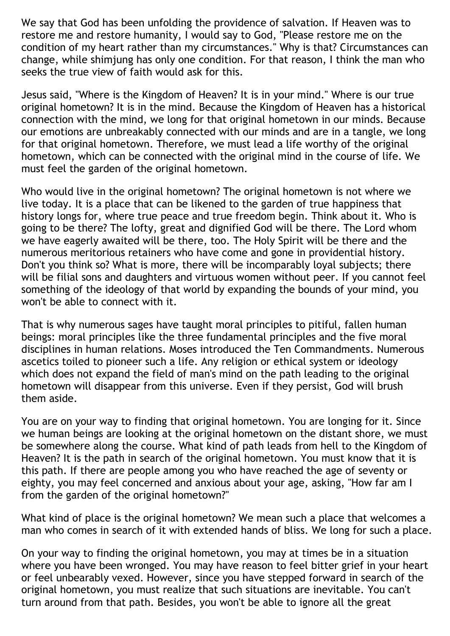We say that God has been unfolding the providence of salvation. If Heaven was to restore me and restore humanity, I would say to God, "Please restore me on the condition of my heart rather than my circumstances." Why is that? Circumstances can change, while shimjung has only one condition. For that reason, I think the man who seeks the true view of faith would ask for this.

Jesus said, "Where is the Kingdom of Heaven? It is in your mind." Where is our true original hometown? It is in the mind. Because the Kingdom of Heaven has a historical connection with the mind, we long for that original hometown in our minds. Because our emotions are unbreakably connected with our minds and are in a tangle, we long for that original hometown. Therefore, we must lead a life worthy of the original hometown, which can be connected with the original mind in the course of life. We must feel the garden of the original hometown.

Who would live in the original hometown? The original hometown is not where we live today. It is a place that can be likened to the garden of true happiness that history longs for, where true peace and true freedom begin. Think about it. Who is going to be there? The lofty, great and dignified God will be there. The Lord whom we have eagerly awaited will be there, too. The Holy Spirit will be there and the numerous meritorious retainers who have come and gone in providential history. Don't you think so? What is more, there will be incomparably loyal subjects; there will be filial sons and daughters and virtuous women without peer. If you cannot feel something of the ideology of that world by expanding the bounds of your mind, you won't be able to connect with it.

That is why numerous sages have taught moral principles to pitiful, fallen human beings: moral principles like the three fundamental principles and the five moral disciplines in human relations. Moses introduced the Ten Commandments. Numerous ascetics toiled to pioneer such a life. Any religion or ethical system or ideology which does not expand the field of man's mind on the path leading to the original hometown will disappear from this universe. Even if they persist, God will brush them aside.

You are on your way to finding that original hometown. You are longing for it. Since we human beings are looking at the original hometown on the distant shore, we must be somewhere along the course. What kind of path leads from hell to the Kingdom of Heaven? It is the path in search of the original hometown. You must know that it is this path. If there are people among you who have reached the age of seventy or eighty, you may feel concerned and anxious about your age, asking, "How far am I from the garden of the original hometown?"

What kind of place is the original hometown? We mean such a place that welcomes a man who comes in search of it with extended hands of bliss. We long for such a place.

On your way to finding the original hometown, you may at times be in a situation where you have been wronged. You may have reason to feel bitter grief in your heart or feel unbearably vexed. However, since you have stepped forward in search of the original hometown, you must realize that such situations are inevitable. You can't turn around from that path. Besides, you won't be able to ignore all the great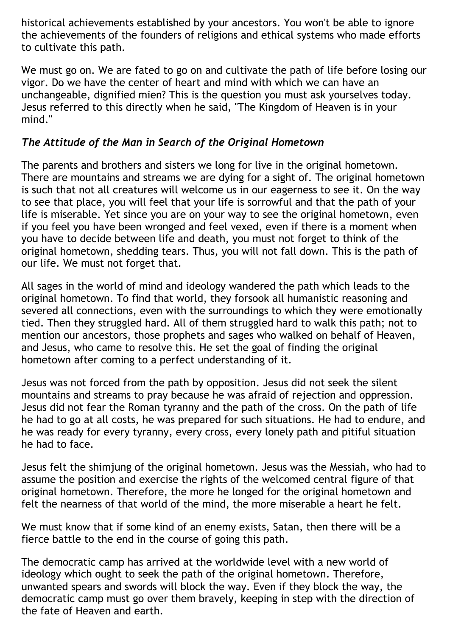historical achievements established by your ancestors. You won't be able to ignore the achievements of the founders of religions and ethical systems who made efforts to cultivate this path.

We must go on. We are fated to go on and cultivate the path of life before losing our vigor. Do we have the center of heart and mind with which we can have an unchangeable, dignified mien? This is the question you must ask yourselves today. Jesus referred to this directly when he said, "The Kingdom of Heaven is in your mind."

# *The Attitude of the Man in Search of the Original Hometown*

The parents and brothers and sisters we long for live in the original hometown. There are mountains and streams we are dying for a sight of. The original hometown is such that not all creatures will welcome us in our eagerness to see it. On the way to see that place, you will feel that your life is sorrowful and that the path of your life is miserable. Yet since you are on your way to see the original hometown, even if you feel you have been wronged and feel vexed, even if there is a moment when you have to decide between life and death, you must not forget to think of the original hometown, shedding tears. Thus, you will not fall down. This is the path of our life. We must not forget that.

All sages in the world of mind and ideology wandered the path which leads to the original hometown. To find that world, they forsook all humanistic reasoning and severed all connections, even with the surroundings to which they were emotionally tied. Then they struggled hard. All of them struggled hard to walk this path; not to mention our ancestors, those prophets and sages who walked on behalf of Heaven, and Jesus, who came to resolve this. He set the goal of finding the original hometown after coming to a perfect understanding of it.

Jesus was not forced from the path by opposition. Jesus did not seek the silent mountains and streams to pray because he was afraid of rejection and oppression. Jesus did not fear the Roman tyranny and the path of the cross. On the path of life he had to go at all costs, he was prepared for such situations. He had to endure, and he was ready for every tyranny, every cross, every lonely path and pitiful situation he had to face.

Jesus felt the shimjung of the original hometown. Jesus was the Messiah, who had to assume the position and exercise the rights of the welcomed central figure of that original hometown. Therefore, the more he longed for the original hometown and felt the nearness of that world of the mind, the more miserable a heart he felt.

We must know that if some kind of an enemy exists, Satan, then there will be a fierce battle to the end in the course of going this path.

The democratic camp has arrived at the worldwide level with a new world of ideology which ought to seek the path of the original hometown. Therefore, unwanted spears and swords will block the way. Even if they block the way, the democratic camp must go over them bravely, keeping in step with the direction of the fate of Heaven and earth.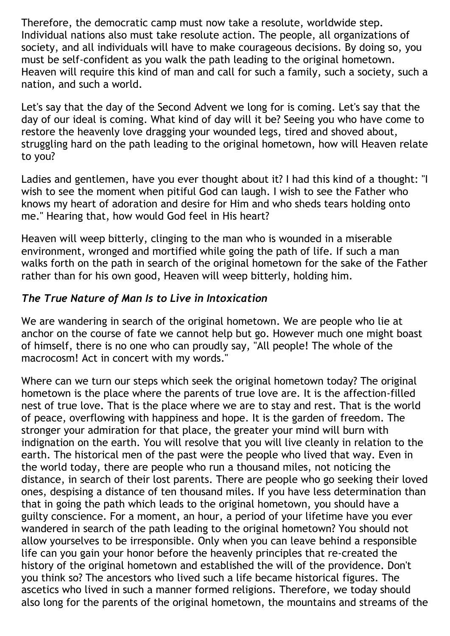Therefore, the democratic camp must now take a resolute, worldwide step. Individual nations also must take resolute action. The people, all organizations of society, and all individuals will have to make courageous decisions. By doing so, you must be self-confident as you walk the path leading to the original hometown. Heaven will require this kind of man and call for such a family, such a society, such a nation, and such a world.

Let's say that the day of the Second Advent we long for is coming. Let's say that the day of our ideal is coming. What kind of day will it be? Seeing you who have come to restore the heavenly love dragging your wounded legs, tired and shoved about, struggling hard on the path leading to the original hometown, how will Heaven relate to you?

Ladies and gentlemen, have you ever thought about it? I had this kind of a thought: "I wish to see the moment when pitiful God can laugh. I wish to see the Father who knows my heart of adoration and desire for Him and who sheds tears holding onto me." Hearing that, how would God feel in His heart?

Heaven will weep bitterly, clinging to the man who is wounded in a miserable environment, wronged and mortified while going the path of life. If such a man walks forth on the path in search of the original hometown for the sake of the Father rather than for his own good, Heaven will weep bitterly, holding him.

# *The True Nature of Man Is to Live in Intoxication*

We are wandering in search of the original hometown. We are people who lie at anchor on the course of fate we cannot help but go. However much one might boast of himself, there is no one who can proudly say, "All people! The whole of the macrocosm! Act in concert with my words."

Where can we turn our steps which seek the original hometown today? The original hometown is the place where the parents of true love are. It is the affection-filled nest of true love. That is the place where we are to stay and rest. That is the world of peace, overflowing with happiness and hope. It is the garden of freedom. The stronger your admiration for that place, the greater your mind will burn with indignation on the earth. You will resolve that you will live cleanly in relation to the earth. The historical men of the past were the people who lived that way. Even in the world today, there are people who run a thousand miles, not noticing the distance, in search of their lost parents. There are people who go seeking their loved ones, despising a distance of ten thousand miles. If you have less determination than that in going the path which leads to the original hometown, you should have a guilty conscience. For a moment, an hour, a period of your lifetime have you ever wandered in search of the path leading to the original hometown? You should not allow yourselves to be irresponsible. Only when you can leave behind a responsible life can you gain your honor before the heavenly principles that re-created the history of the original hometown and established the will of the providence. Don't you think so? The ancestors who lived such a life became historical figures. The ascetics who lived in such a manner formed religions. Therefore, we today should also long for the parents of the original hometown, the mountains and streams of the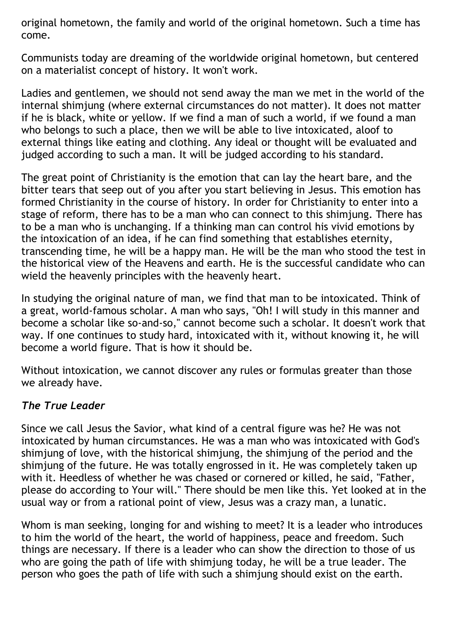original hometown, the family and world of the original hometown. Such a time has come.

Communists today are dreaming of the worldwide original hometown, but centered on a materialist concept of history. It won't work.

Ladies and gentlemen, we should not send away the man we met in the world of the internal shimjung (where external circumstances do not matter). It does not matter if he is black, white or yellow. If we find a man of such a world, if we found a man who belongs to such a place, then we will be able to live intoxicated, aloof to external things like eating and clothing. Any ideal or thought will be evaluated and judged according to such a man. It will be judged according to his standard.

The great point of Christianity is the emotion that can lay the heart bare, and the bitter tears that seep out of you after you start believing in Jesus. This emotion has formed Christianity in the course of history. In order for Christianity to enter into a stage of reform, there has to be a man who can connect to this shimjung. There has to be a man who is unchanging. If a thinking man can control his vivid emotions by the intoxication of an idea, if he can find something that establishes eternity, transcending time, he will be a happy man. He will be the man who stood the test in the historical view of the Heavens and earth. He is the successful candidate who can wield the heavenly principles with the heavenly heart.

In studying the original nature of man, we find that man to be intoxicated. Think of a great, world-famous scholar. A man who says, "Oh! I will study in this manner and become a scholar like so-and-so," cannot become such a scholar. It doesn't work that way. If one continues to study hard, intoxicated with it, without knowing it, he will become a world figure. That is how it should be.

Without intoxication, we cannot discover any rules or formulas greater than those we already have.

# *The True Leader*

Since we call Jesus the Savior, what kind of a central figure was he? He was not intoxicated by human circumstances. He was a man who was intoxicated with God's shimjung of love, with the historical shimjung, the shimjung of the period and the shimjung of the future. He was totally engrossed in it. He was completely taken up with it. Heedless of whether he was chased or cornered or killed, he said, "Father, please do according to Your will." There should be men like this. Yet looked at in the usual way or from a rational point of view, Jesus was a crazy man, a lunatic.

Whom is man seeking, longing for and wishing to meet? It is a leader who introduces to him the world of the heart, the world of happiness, peace and freedom. Such things are necessary. If there is a leader who can show the direction to those of us who are going the path of life with shimjung today, he will be a true leader. The person who goes the path of life with such a shimjung should exist on the earth.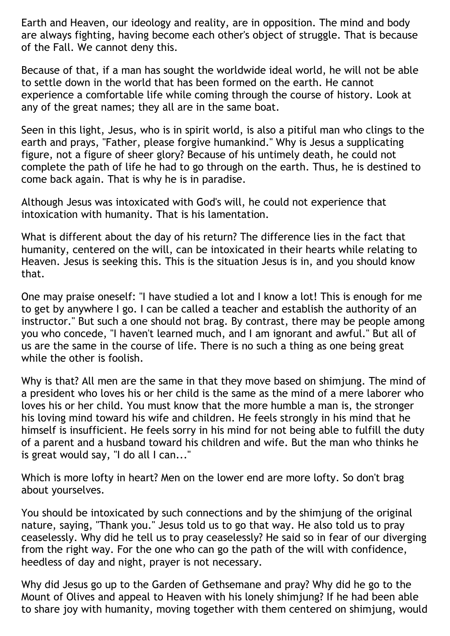Earth and Heaven, our ideology and reality, are in opposition. The mind and body are always fighting, having become each other's object of struggle. That is because of the Fall. We cannot deny this.

Because of that, if a man has sought the worldwide ideal world, he will not be able to settle down in the world that has been formed on the earth. He cannot experience a comfortable life while coming through the course of history. Look at any of the great names; they all are in the same boat.

Seen in this light, Jesus, who is in spirit world, is also a pitiful man who clings to the earth and prays, "Father, please forgive humankind." Why is Jesus a supplicating figure, not a figure of sheer glory? Because of his untimely death, he could not complete the path of life he had to go through on the earth. Thus, he is destined to come back again. That is why he is in paradise.

Although Jesus was intoxicated with God's will, he could not experience that intoxication with humanity. That is his lamentation.

What is different about the day of his return? The difference lies in the fact that humanity, centered on the will, can be intoxicated in their hearts while relating to Heaven. Jesus is seeking this. This is the situation Jesus is in, and you should know that.

One may praise oneself: "I have studied a lot and I know a lot! This is enough for me to get by anywhere I go. I can be called a teacher and establish the authority of an instructor." But such a one should not brag. By contrast, there may be people among you who concede, "I haven't learned much, and I am ignorant and awful." But all of us are the same in the course of life. There is no such a thing as one being great while the other is foolish.

Why is that? All men are the same in that they move based on shimjung. The mind of a president who loves his or her child is the same as the mind of a mere laborer who loves his or her child. You must know that the more humble a man is, the stronger his loving mind toward his wife and children. He feels strongly in his mind that he himself is insufficient. He feels sorry in his mind for not being able to fulfill the duty of a parent and a husband toward his children and wife. But the man who thinks he is great would say, "I do all I can..."

Which is more lofty in heart? Men on the lower end are more lofty. So don't brag about yourselves.

You should be intoxicated by such connections and by the shimjung of the original nature, saying, "Thank you." Jesus told us to go that way. He also told us to pray ceaselessly. Why did he tell us to pray ceaselessly? He said so in fear of our diverging from the right way. For the one who can go the path of the will with confidence, heedless of day and night, prayer is not necessary.

Why did Jesus go up to the Garden of Gethsemane and pray? Why did he go to the Mount of Olives and appeal to Heaven with his lonely shimjung? If he had been able to share joy with humanity, moving together with them centered on shimjung, would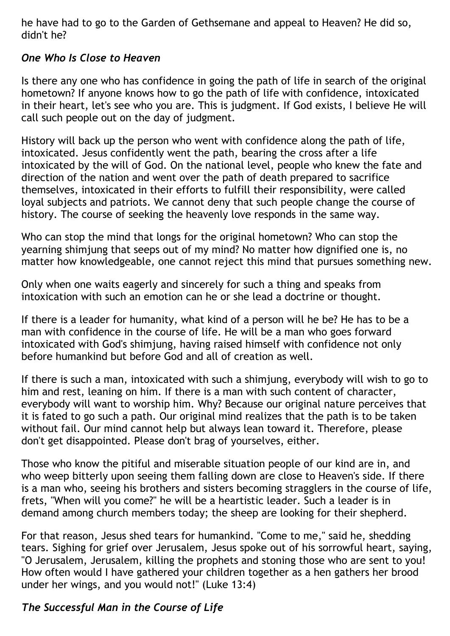he have had to go to the Garden of Gethsemane and appeal to Heaven? He did so, didn't he?

# *One Who Is Close to Heaven*

Is there any one who has confidence in going the path of life in search of the original hometown? If anyone knows how to go the path of life with confidence, intoxicated in their heart, let's see who you are. This is judgment. If God exists, I believe He will call such people out on the day of judgment.

History will back up the person who went with confidence along the path of life, intoxicated. Jesus confidently went the path, bearing the cross after a life intoxicated by the will of God. On the national level, people who knew the fate and direction of the nation and went over the path of death prepared to sacrifice themselves, intoxicated in their efforts to fulfill their responsibility, were called loyal subjects and patriots. We cannot deny that such people change the course of history. The course of seeking the heavenly love responds in the same way.

Who can stop the mind that longs for the original hometown? Who can stop the yearning shimjung that seeps out of my mind? No matter how dignified one is, no matter how knowledgeable, one cannot reject this mind that pursues something new.

Only when one waits eagerly and sincerely for such a thing and speaks from intoxication with such an emotion can he or she lead a doctrine or thought.

If there is a leader for humanity, what kind of a person will he be? He has to be a man with confidence in the course of life. He will be a man who goes forward intoxicated with God's shimiung, having raised himself with confidence not only before humankind but before God and all of creation as well.

If there is such a man, intoxicated with such a shimjung, everybody will wish to go to him and rest, leaning on him. If there is a man with such content of character, everybody will want to worship him. Why? Because our original nature perceives that it is fated to go such a path. Our original mind realizes that the path is to be taken without fail. Our mind cannot help but always lean toward it. Therefore, please don't get disappointed. Please don't brag of yourselves, either.

Those who know the pitiful and miserable situation people of our kind are in, and who weep bitterly upon seeing them falling down are close to Heaven's side. If there is a man who, seeing his brothers and sisters becoming stragglers in the course of life, frets, "When will you come?" he will be a heartistic leader. Such a leader is in demand among church members today; the sheep are looking for their shepherd.

For that reason, Jesus shed tears for humankind. "Come to me," said he, shedding tears. Sighing for grief over Jerusalem, Jesus spoke out of his sorrowful heart, saying, "O Jerusalem, Jerusalem, killing the prophets and stoning those who are sent to you! How often would I have gathered your children together as a hen gathers her brood under her wings, and you would not!" (Luke 13:4)

# *The Successful Man in the Course of Life*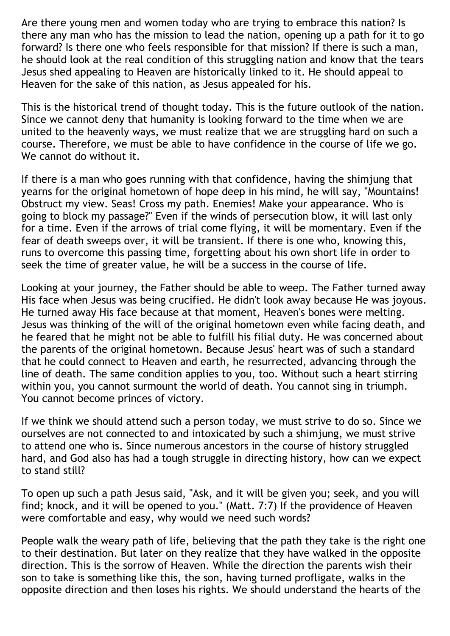Are there young men and women today who are trying to embrace this nation? Is there any man who has the mission to lead the nation, opening up a path for it to go forward? Is there one who feels responsible for that mission? If there is such a man, he should look at the real condition of this struggling nation and know that the tears Jesus shed appealing to Heaven are historically linked to it. He should appeal to Heaven for the sake of this nation, as Jesus appealed for his.

This is the historical trend of thought today. This is the future outlook of the nation. Since we cannot deny that humanity is looking forward to the time when we are united to the heavenly ways, we must realize that we are struggling hard on such a course. Therefore, we must be able to have confidence in the course of life we go. We cannot do without it.

If there is a man who goes running with that confidence, having the shimjung that yearns for the original hometown of hope deep in his mind, he will say, "Mountains! Obstruct my view. Seas! Cross my path. Enemies! Make your appearance. Who is going to block my passage?" Even if the winds of persecution blow, it will last only for a time. Even if the arrows of trial come flying, it will be momentary. Even if the fear of death sweeps over, it will be transient. If there is one who, knowing this, runs to overcome this passing time, forgetting about his own short life in order to seek the time of greater value, he will be a success in the course of life.

Looking at your journey, the Father should be able to weep. The Father turned away His face when Jesus was being crucified. He didn't look away because He was joyous. He turned away His face because at that moment, Heaven's bones were melting. Jesus was thinking of the will of the original hometown even while facing death, and he feared that he might not be able to fulfill his filial duty. He was concerned about the parents of the original hometown. Because Jesus' heart was of such a standard that he could connect to Heaven and earth, he resurrected, advancing through the line of death. The same condition applies to you, too. Without such a heart stirring within you, you cannot surmount the world of death. You cannot sing in triumph. You cannot become princes of victory.

If we think we should attend such a person today, we must strive to do so. Since we ourselves are not connected to and intoxicated by such a shimjung, we must strive to attend one who is. Since numerous ancestors in the course of history struggled hard, and God also has had a tough struggle in directing history, how can we expect to stand still?

To open up such a path Jesus said, "Ask, and it will be given you; seek, and you will find; knock, and it will be opened to you." (Matt. 7:7) If the providence of Heaven were comfortable and easy, why would we need such words?

People walk the weary path of life, believing that the path they take is the right one to their destination. But later on they realize that they have walked in the opposite direction. This is the sorrow of Heaven. While the direction the parents wish their son to take is something like this, the son, having turned profligate, walks in the opposite direction and then loses his rights. We should understand the hearts of the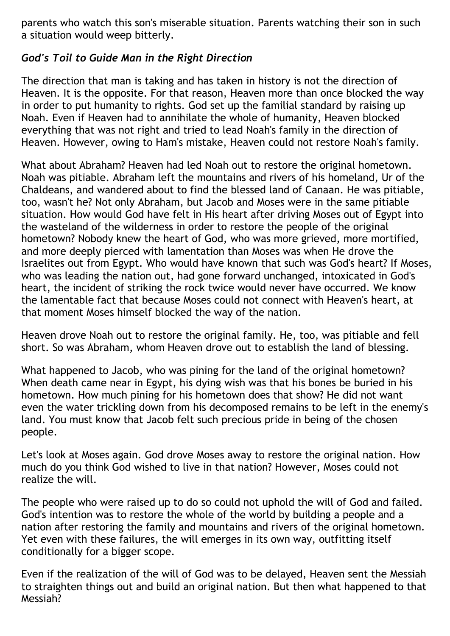parents who watch this son's miserable situation. Parents watching their son in such a situation would weep bitterly.

# *God's Toil to Guide Man in the Right Direction*

The direction that man is taking and has taken in history is not the direction of Heaven. It is the opposite. For that reason, Heaven more than once blocked the way in order to put humanity to rights. God set up the familial standard by raising up Noah. Even if Heaven had to annihilate the whole of humanity, Heaven blocked everything that was not right and tried to lead Noah's family in the direction of Heaven. However, owing to Ham's mistake, Heaven could not restore Noah's family.

What about Abraham? Heaven had led Noah out to restore the original hometown. Noah was pitiable. Abraham left the mountains and rivers of his homeland, Ur of the Chaldeans, and wandered about to find the blessed land of Canaan. He was pitiable, too, wasn't he? Not only Abraham, but Jacob and Moses were in the same pitiable situation. How would God have felt in His heart after driving Moses out of Egypt into the wasteland of the wilderness in order to restore the people of the original hometown? Nobody knew the heart of God, who was more grieved, more mortified, and more deeply pierced with lamentation than Moses was when He drove the Israelites out from Egypt. Who would have known that such was God's heart? If Moses, who was leading the nation out, had gone forward unchanged, intoxicated in God's heart, the incident of striking the rock twice would never have occurred. We know the lamentable fact that because Moses could not connect with Heaven's heart, at that moment Moses himself blocked the way of the nation.

Heaven drove Noah out to restore the original family. He, too, was pitiable and fell short. So was Abraham, whom Heaven drove out to establish the land of blessing.

What happened to Jacob, who was pining for the land of the original hometown? When death came near in Egypt, his dying wish was that his bones be buried in his hometown. How much pining for his hometown does that show? He did not want even the water trickling down from his decomposed remains to be left in the enemy's land. You must know that Jacob felt such precious pride in being of the chosen people.

Let's look at Moses again. God drove Moses away to restore the original nation. How much do you think God wished to live in that nation? However, Moses could not realize the will.

The people who were raised up to do so could not uphold the will of God and failed. God's intention was to restore the whole of the world by building a people and a nation after restoring the family and mountains and rivers of the original hometown. Yet even with these failures, the will emerges in its own way, outfitting itself conditionally for a bigger scope.

Even if the realization of the will of God was to be delayed, Heaven sent the Messiah to straighten things out and build an original nation. But then what happened to that Messiah?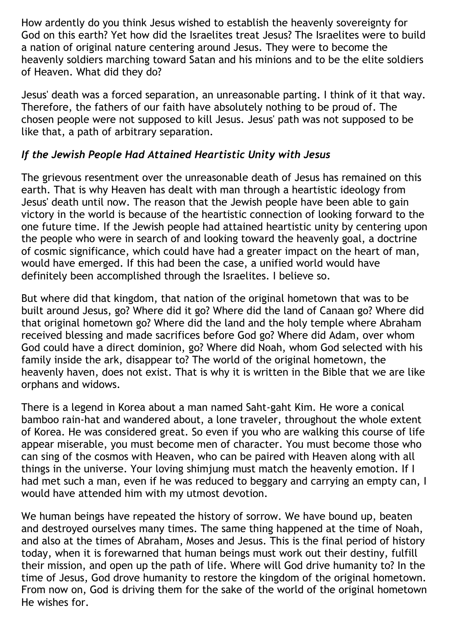How ardently do you think Jesus wished to establish the heavenly sovereignty for God on this earth? Yet how did the Israelites treat Jesus? The Israelites were to build a nation of original nature centering around Jesus. They were to become the heavenly soldiers marching toward Satan and his minions and to be the elite soldiers of Heaven. What did they do?

Jesus' death was a forced separation, an unreasonable parting. I think of it that way. Therefore, the fathers of our faith have absolutely nothing to be proud of. The chosen people were not supposed to kill Jesus. Jesus' path was not supposed to be like that, a path of arbitrary separation.

# *If the Jewish People Had Attained Heartistic Unity with Jesus*

The grievous resentment over the unreasonable death of Jesus has remained on this earth. That is why Heaven has dealt with man through a heartistic ideology from Jesus' death until now. The reason that the Jewish people have been able to gain victory in the world is because of the heartistic connection of looking forward to the one future time. If the Jewish people had attained heartistic unity by centering upon the people who were in search of and looking toward the heavenly goal, a doctrine of cosmic significance, which could have had a greater impact on the heart of man, would have emerged. If this had been the case, a unified world would have definitely been accomplished through the Israelites. I believe so.

But where did that kingdom, that nation of the original hometown that was to be built around Jesus, go? Where did it go? Where did the land of Canaan go? Where did that original hometown go? Where did the land and the holy temple where Abraham received blessing and made sacrifices before God go? Where did Adam, over whom God could have a direct dominion, go? Where did Noah, whom God selected with his family inside the ark, disappear to? The world of the original hometown, the heavenly haven, does not exist. That is why it is written in the Bible that we are like orphans and widows.

There is a legend in Korea about a man named Saht-gaht Kim. He wore a conical bamboo rain-hat and wandered about, a lone traveler, throughout the whole extent of Korea. He was considered great. So even if you who are walking this course of life appear miserable, you must become men of character. You must become those who can sing of the cosmos with Heaven, who can be paired with Heaven along with all things in the universe. Your loving shimjung must match the heavenly emotion. If I had met such a man, even if he was reduced to beggary and carrying an empty can, I would have attended him with my utmost devotion.

We human beings have repeated the history of sorrow. We have bound up, beaten and destroyed ourselves many times. The same thing happened at the time of Noah, and also at the times of Abraham, Moses and Jesus. This is the final period of history today, when it is forewarned that human beings must work out their destiny, fulfill their mission, and open up the path of life. Where will God drive humanity to? In the time of Jesus, God drove humanity to restore the kingdom of the original hometown. From now on, God is driving them for the sake of the world of the original hometown He wishes for.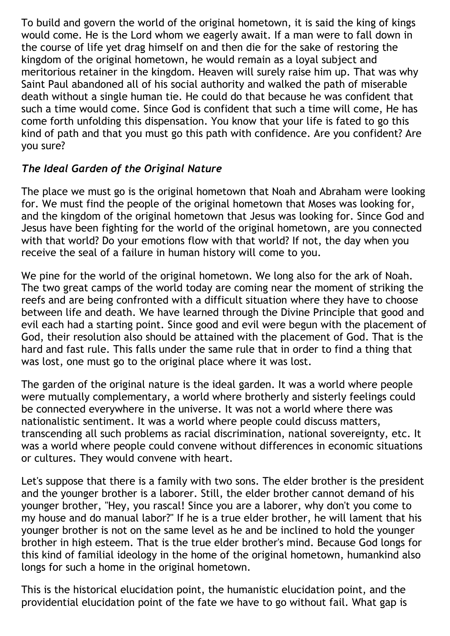To build and govern the world of the original hometown, it is said the king of kings would come. He is the Lord whom we eagerly await. If a man were to fall down in the course of life yet drag himself on and then die for the sake of restoring the kingdom of the original hometown, he would remain as a loyal subject and meritorious retainer in the kingdom. Heaven will surely raise him up. That was why Saint Paul abandoned all of his social authority and walked the path of miserable death without a single human tie. He could do that because he was confident that such a time would come. Since God is confident that such a time will come, He has come forth unfolding this dispensation. You know that your life is fated to go this kind of path and that you must go this path with confidence. Are you confident? Are you sure?

# *The Ideal Garden of the Original Nature*

The place we must go is the original hometown that Noah and Abraham were looking for. We must find the people of the original hometown that Moses was looking for, and the kingdom of the original hometown that Jesus was looking for. Since God and Jesus have been fighting for the world of the original hometown, are you connected with that world? Do your emotions flow with that world? If not, the day when you receive the seal of a failure in human history will come to you.

We pine for the world of the original hometown. We long also for the ark of Noah. The two great camps of the world today are coming near the moment of striking the reefs and are being confronted with a difficult situation where they have to choose between life and death. We have learned through the Divine Principle that good and evil each had a starting point. Since good and evil were begun with the placement of God, their resolution also should be attained with the placement of God. That is the hard and fast rule. This falls under the same rule that in order to find a thing that was lost, one must go to the original place where it was lost.

The garden of the original nature is the ideal garden. It was a world where people were mutually complementary, a world where brotherly and sisterly feelings could be connected everywhere in the universe. It was not a world where there was nationalistic sentiment. It was a world where people could discuss matters, transcending all such problems as racial discrimination, national sovereignty, etc. It was a world where people could convene without differences in economic situations or cultures. They would convene with heart.

Let's suppose that there is a family with two sons. The elder brother is the president and the younger brother is a laborer. Still, the elder brother cannot demand of his younger brother, "Hey, you rascal! Since you are a laborer, why don't you come to my house and do manual labor?" If he is a true elder brother, he will lament that his younger brother is not on the same level as he and be inclined to hold the younger brother in high esteem. That is the true elder brother's mind. Because God longs for this kind of familial ideology in the home of the original hometown, humankind also longs for such a home in the original hometown.

This is the historical elucidation point, the humanistic elucidation point, and the providential elucidation point of the fate we have to go without fail. What gap is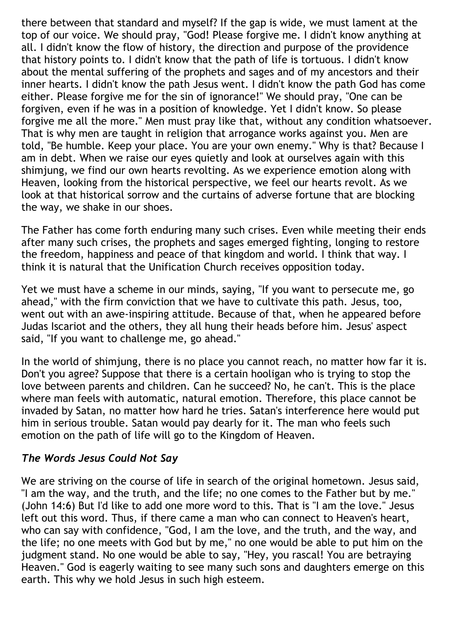there between that standard and myself? If the gap is wide, we must lament at the top of our voice. We should pray, "God! Please forgive me. I didn't know anything at all. I didn't know the flow of history, the direction and purpose of the providence that history points to. I didn't know that the path of life is tortuous. I didn't know about the mental suffering of the prophets and sages and of my ancestors and their inner hearts. I didn't know the path Jesus went. I didn't know the path God has come either. Please forgive me for the sin of ignorance!" We should pray, "One can be forgiven, even if he was in a position of knowledge. Yet I didn't know. So please forgive me all the more." Men must pray like that, without any condition whatsoever. That is why men are taught in religion that arrogance works against you. Men are told, "Be humble. Keep your place. You are your own enemy." Why is that? Because I am in debt. When we raise our eyes quietly and look at ourselves again with this shimjung, we find our own hearts revolting. As we experience emotion along with Heaven, looking from the historical perspective, we feel our hearts revolt. As we look at that historical sorrow and the curtains of adverse fortune that are blocking the way, we shake in our shoes.

The Father has come forth enduring many such crises. Even while meeting their ends after many such crises, the prophets and sages emerged fighting, longing to restore the freedom, happiness and peace of that kingdom and world. I think that way. I think it is natural that the Unification Church receives opposition today.

Yet we must have a scheme in our minds, saying, "If you want to persecute me, go ahead," with the firm conviction that we have to cultivate this path. Jesus, too, went out with an awe-inspiring attitude. Because of that, when he appeared before Judas Iscariot and the others, they all hung their heads before him. Jesus' aspect said, "If you want to challenge me, go ahead."

In the world of shimjung, there is no place you cannot reach, no matter how far it is. Don't you agree? Suppose that there is a certain hooligan who is trying to stop the love between parents and children. Can he succeed? No, he can't. This is the place where man feels with automatic, natural emotion. Therefore, this place cannot be invaded by Satan, no matter how hard he tries. Satan's interference here would put him in serious trouble. Satan would pay dearly for it. The man who feels such emotion on the path of life will go to the Kingdom of Heaven.

#### *The Words Jesus Could Not Say*

We are striving on the course of life in search of the original hometown. Jesus said, "I am the way, and the truth, and the life; no one comes to the Father but by me." (John 14:6) But I'd like to add one more word to this. That is "I am the love." Jesus left out this word. Thus, if there came a man who can connect to Heaven's heart, who can say with confidence, "God, I am the love, and the truth, and the way, and the life; no one meets with God but by me," no one would be able to put him on the judgment stand. No one would be able to say, "Hey, you rascal! You are betraying Heaven." God is eagerly waiting to see many such sons and daughters emerge on this earth. This why we hold Jesus in such high esteem.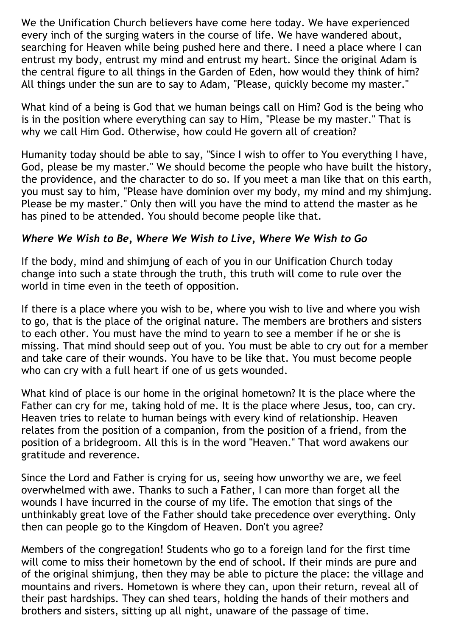We the Unification Church believers have come here today. We have experienced every inch of the surging waters in the course of life. We have wandered about, searching for Heaven while being pushed here and there. I need a place where I can entrust my body, entrust my mind and entrust my heart. Since the original Adam is the central figure to all things in the Garden of Eden, how would they think of him? All things under the sun are to say to Adam, "Please, quickly become my master."

What kind of a being is God that we human beings call on Him? God is the being who is in the position where everything can say to Him, "Please be my master." That is why we call Him God. Otherwise, how could He govern all of creation?

Humanity today should be able to say, "Since I wish to offer to You everything I have, God, please be my master." We should become the people who have built the history, the providence, and the character to do so. If you meet a man like that on this earth, you must say to him, "Please have dominion over my body, my mind and my shimjung. Please be my master." Only then will you have the mind to attend the master as he has pined to be attended. You should become people like that.

# *Where We Wish to Be, Where We Wish to Live, Where We Wish to Go*

If the body, mind and shimjung of each of you in our Unification Church today change into such a state through the truth, this truth will come to rule over the world in time even in the teeth of opposition.

If there is a place where you wish to be, where you wish to live and where you wish to go, that is the place of the original nature. The members are brothers and sisters to each other. You must have the mind to yearn to see a member if he or she is missing. That mind should seep out of you. You must be able to cry out for a member and take care of their wounds. You have to be like that. You must become people who can cry with a full heart if one of us gets wounded.

What kind of place is our home in the original hometown? It is the place where the Father can cry for me, taking hold of me. It is the place where Jesus, too, can cry. Heaven tries to relate to human beings with every kind of relationship. Heaven relates from the position of a companion, from the position of a friend, from the position of a bridegroom. All this is in the word "Heaven." That word awakens our gratitude and reverence.

Since the Lord and Father is crying for us, seeing how unworthy we are, we feel overwhelmed with awe. Thanks to such a Father, I can more than forget all the wounds I have incurred in the course of my life. The emotion that sings of the unthinkably great love of the Father should take precedence over everything. Only then can people go to the Kingdom of Heaven. Don't you agree?

Members of the congregation! Students who go to a foreign land for the first time will come to miss their hometown by the end of school. If their minds are pure and of the original shimjung, then they may be able to picture the place: the village and mountains and rivers. Hometown is where they can, upon their return, reveal all of their past hardships. They can shed tears, holding the hands of their mothers and brothers and sisters, sitting up all night, unaware of the passage of time.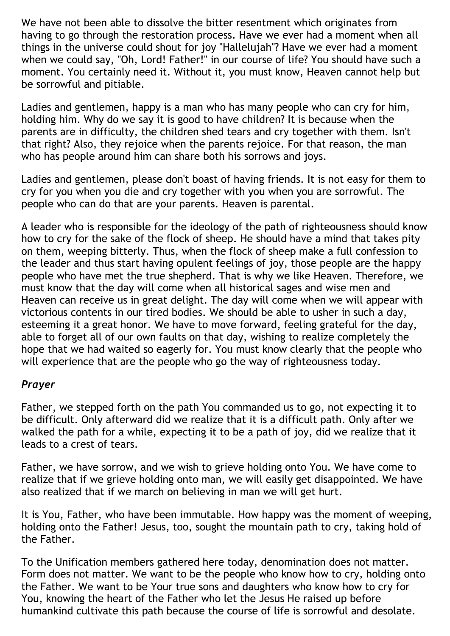We have not been able to dissolve the bitter resentment which originates from having to go through the restoration process. Have we ever had a moment when all things in the universe could shout for joy "Hallelujah"? Have we ever had a moment when we could say, "Oh, Lord! Father!" in our course of life? You should have such a moment. You certainly need it. Without it, you must know, Heaven cannot help but be sorrowful and pitiable.

Ladies and gentlemen, happy is a man who has many people who can cry for him, holding him. Why do we say it is good to have children? It is because when the parents are in difficulty, the children shed tears and cry together with them. Isn't that right? Also, they rejoice when the parents rejoice. For that reason, the man who has people around him can share both his sorrows and joys.

Ladies and gentlemen, please don't boast of having friends. It is not easy for them to cry for you when you die and cry together with you when you are sorrowful. The people who can do that are your parents. Heaven is parental.

A leader who is responsible for the ideology of the path of righteousness should know how to cry for the sake of the flock of sheep. He should have a mind that takes pity on them, weeping bitterly. Thus, when the flock of sheep make a full confession to the leader and thus start having opulent feelings of joy, those people are the happy people who have met the true shepherd. That is why we like Heaven. Therefore, we must know that the day will come when all historical sages and wise men and Heaven can receive us in great delight. The day will come when we will appear with victorious contents in our tired bodies. We should be able to usher in such a day, esteeming it a great honor. We have to move forward, feeling grateful for the day, able to forget all of our own faults on that day, wishing to realize completely the hope that we had waited so eagerly for. You must know clearly that the people who will experience that are the people who go the way of righteousness today.

#### *Prayer*

Father, we stepped forth on the path You commanded us to go, not expecting it to be difficult. Only afterward did we realize that it is a difficult path. Only after we walked the path for a while, expecting it to be a path of joy, did we realize that it leads to a crest of tears.

Father, we have sorrow, and we wish to grieve holding onto You. We have come to realize that if we grieve holding onto man, we will easily get disappointed. We have also realized that if we march on believing in man we will get hurt.

It is You, Father, who have been immutable. How happy was the moment of weeping, holding onto the Father! Jesus, too, sought the mountain path to cry, taking hold of the Father.

To the Unification members gathered here today, denomination does not matter. Form does not matter. We want to be the people who know how to cry, holding onto the Father. We want to be Your true sons and daughters who know how to cry for You, knowing the heart of the Father who let the Jesus He raised up before humankind cultivate this path because the course of life is sorrowful and desolate.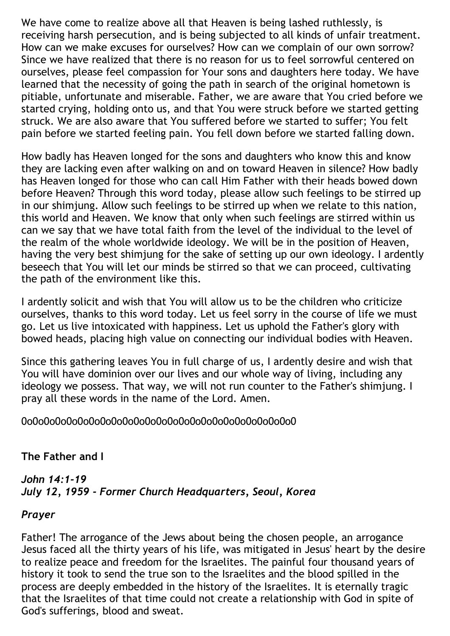We have come to realize above all that Heaven is being lashed ruthlessly, is receiving harsh persecution, and is being subjected to all kinds of unfair treatment. How can we make excuses for ourselves? How can we complain of our own sorrow? Since we have realized that there is no reason for us to feel sorrowful centered on ourselves, please feel compassion for Your sons and daughters here today. We have learned that the necessity of going the path in search of the original hometown is pitiable, unfortunate and miserable. Father, we are aware that You cried before we started crying, holding onto us, and that You were struck before we started getting struck. We are also aware that You suffered before we started to suffer; You felt pain before we started feeling pain. You fell down before we started falling down.

How badly has Heaven longed for the sons and daughters who know this and know they are lacking even after walking on and on toward Heaven in silence? How badly has Heaven longed for those who can call Him Father with their heads bowed down before Heaven? Through this word today, please allow such feelings to be stirred up in our shimjung. Allow such feelings to be stirred up when we relate to this nation, this world and Heaven. We know that only when such feelings are stirred within us can we say that we have total faith from the level of the individual to the level of the realm of the whole worldwide ideology. We will be in the position of Heaven, having the very best shimjung for the sake of setting up our own ideology. I ardently beseech that You will let our minds be stirred so that we can proceed, cultivating the path of the environment like this.

I ardently solicit and wish that You will allow us to be the children who criticize ourselves, thanks to this word today. Let us feel sorry in the course of life we must go. Let us live intoxicated with happiness. Let us uphold the Father's glory with bowed heads, placing high value on connecting our individual bodies with Heaven.

Since this gathering leaves You in full charge of us, I ardently desire and wish that You will have dominion over our lives and our whole way of living, including any ideology we possess. That way, we will not run counter to the Father's shimjung. I pray all these words in the name of the Lord. Amen.

0o0o0o0o0o0o0o0o0o0o0o0o0o0o0o0o0o0o0o0o0o0o0o0o0

# **The Father and I**

# *John 14:1-19 July 12, 1959 - Former Church Headquarters, Seoul, Korea*

# *Prayer*

Father! The arrogance of the Jews about being the chosen people, an arrogance Jesus faced all the thirty years of his life, was mitigated in Jesus' heart by the desire to realize peace and freedom for the Israelites. The painful four thousand years of history it took to send the true son to the Israelites and the blood spilled in the process are deeply embedded in the history of the Israelites. It is eternally tragic that the Israelites of that time could not create a relationship with God in spite of God's sufferings, blood and sweat.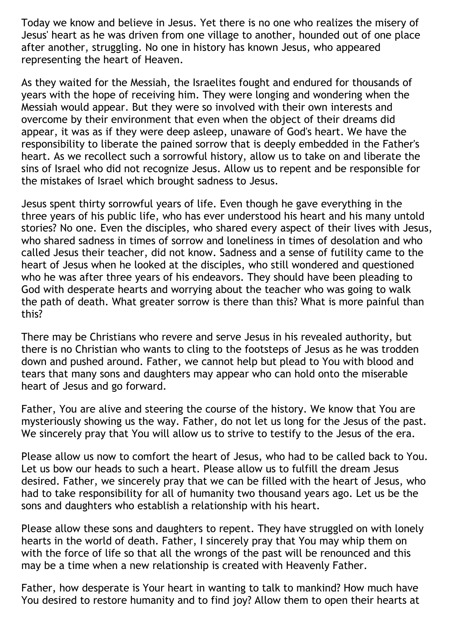Today we know and believe in Jesus. Yet there is no one who realizes the misery of Jesus' heart as he was driven from one village to another, hounded out of one place after another, struggling. No one in history has known Jesus, who appeared representing the heart of Heaven.

As they waited for the Messiah, the Israelites fought and endured for thousands of years with the hope of receiving him. They were longing and wondering when the Messiah would appear. But they were so involved with their own interests and overcome by their environment that even when the object of their dreams did appear, it was as if they were deep asleep, unaware of God's heart. We have the responsibility to liberate the pained sorrow that is deeply embedded in the Father's heart. As we recollect such a sorrowful history, allow us to take on and liberate the sins of Israel who did not recognize Jesus. Allow us to repent and be responsible for the mistakes of Israel which brought sadness to Jesus.

Jesus spent thirty sorrowful years of life. Even though he gave everything in the three years of his public life, who has ever understood his heart and his many untold stories? No one. Even the disciples, who shared every aspect of their lives with Jesus, who shared sadness in times of sorrow and loneliness in times of desolation and who called Jesus their teacher, did not know. Sadness and a sense of futility came to the heart of Jesus when he looked at the disciples, who still wondered and questioned who he was after three years of his endeavors. They should have been pleading to God with desperate hearts and worrying about the teacher who was going to walk the path of death. What greater sorrow is there than this? What is more painful than this?

There may be Christians who revere and serve Jesus in his revealed authority, but there is no Christian who wants to cling to the footsteps of Jesus as he was trodden down and pushed around. Father, we cannot help but plead to You with blood and tears that many sons and daughters may appear who can hold onto the miserable heart of Jesus and go forward.

Father, You are alive and steering the course of the history. We know that You are mysteriously showing us the way. Father, do not let us long for the Jesus of the past. We sincerely pray that You will allow us to strive to testify to the Jesus of the era.

Please allow us now to comfort the heart of Jesus, who had to be called back to You. Let us bow our heads to such a heart. Please allow us to fulfill the dream Jesus desired. Father, we sincerely pray that we can be filled with the heart of Jesus, who had to take responsibility for all of humanity two thousand years ago. Let us be the sons and daughters who establish a relationship with his heart.

Please allow these sons and daughters to repent. They have struggled on with lonely hearts in the world of death. Father, I sincerely pray that You may whip them on with the force of life so that all the wrongs of the past will be renounced and this may be a time when a new relationship is created with Heavenly Father.

Father, how desperate is Your heart in wanting to talk to mankind? How much have You desired to restore humanity and to find joy? Allow them to open their hearts at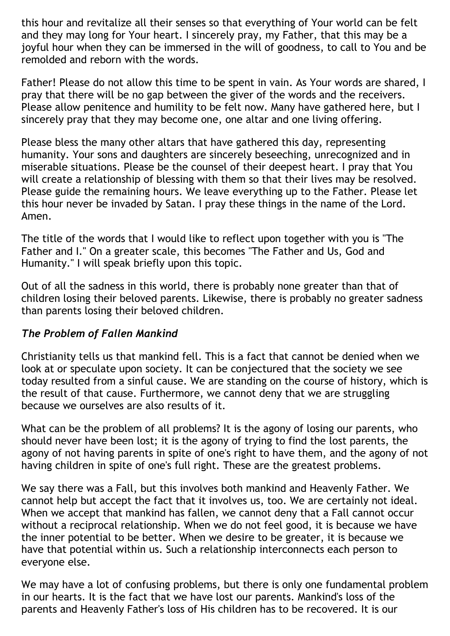this hour and revitalize all their senses so that everything of Your world can be felt and they may long for Your heart. I sincerely pray, my Father, that this may be a joyful hour when they can be immersed in the will of goodness, to call to You and be remolded and reborn with the words.

Father! Please do not allow this time to be spent in vain. As Your words are shared, I pray that there will be no gap between the giver of the words and the receivers. Please allow penitence and humility to be felt now. Many have gathered here, but I sincerely pray that they may become one, one altar and one living offering.

Please bless the many other altars that have gathered this day, representing humanity. Your sons and daughters are sincerely beseeching, unrecognized and in miserable situations. Please be the counsel of their deepest heart. I pray that You will create a relationship of blessing with them so that their lives may be resolved. Please guide the remaining hours. We leave everything up to the Father. Please let this hour never be invaded by Satan. I pray these things in the name of the Lord. Amen.

The title of the words that I would like to reflect upon together with you is "The Father and I." On a greater scale, this becomes "The Father and Us, God and Humanity." I will speak briefly upon this topic.

Out of all the sadness in this world, there is probably none greater than that of children losing their beloved parents. Likewise, there is probably no greater sadness than parents losing their beloved children.

# *The Problem of Fallen Mankind*

Christianity tells us that mankind fell. This is a fact that cannot be denied when we look at or speculate upon society. It can be conjectured that the society we see today resulted from a sinful cause. We are standing on the course of history, which is the result of that cause. Furthermore, we cannot deny that we are struggling because we ourselves are also results of it.

What can be the problem of all problems? It is the agony of losing our parents, who should never have been lost; it is the agony of trying to find the lost parents, the agony of not having parents in spite of one's right to have them, and the agony of not having children in spite of one's full right. These are the greatest problems.

We say there was a Fall, but this involves both mankind and Heavenly Father. We cannot help but accept the fact that it involves us, too. We are certainly not ideal. When we accept that mankind has fallen, we cannot deny that a Fall cannot occur without a reciprocal relationship. When we do not feel good, it is because we have the inner potential to be better. When we desire to be greater, it is because we have that potential within us. Such a relationship interconnects each person to everyone else.

We may have a lot of confusing problems, but there is only one fundamental problem in our hearts. It is the fact that we have lost our parents. Mankind's loss of the parents and Heavenly Father's loss of His children has to be recovered. It is our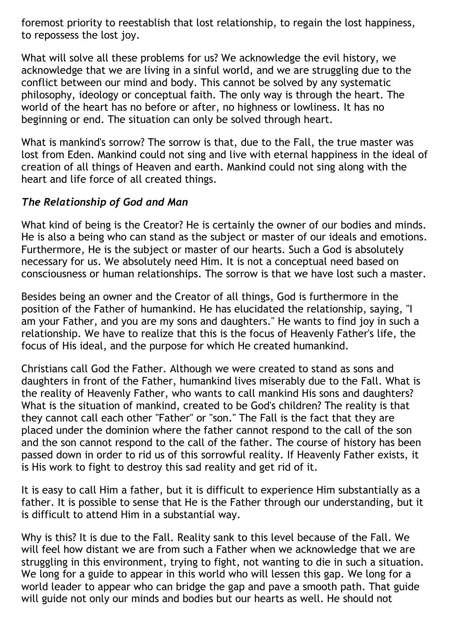foremost priority to reestablish that lost relationship, to regain the lost happiness, to repossess the lost joy.

What will solve all these problems for us? We acknowledge the evil history, we acknowledge that we are living in a sinful world, and we are struggling due to the conflict between our mind and body. This cannot be solved by any systematic philosophy, ideology or conceptual faith. The only way is through the heart. The world of the heart has no before or after, no highness or lowliness. It has no beginning or end. The situation can only be solved through heart.

What is mankind's sorrow? The sorrow is that, due to the Fall, the true master was lost from Eden. Mankind could not sing and live with eternal happiness in the ideal of creation of all things of Heaven and earth. Mankind could not sing along with the heart and life force of all created things.

#### *The Relationship of God and Man*

What kind of being is the Creator? He is certainly the owner of our bodies and minds. He is also a being who can stand as the subject or master of our ideals and emotions. Furthermore, He is the subject or master of our hearts. Such a God is absolutely necessary for us. We absolutely need Him. It is not a conceptual need based on consciousness or human relationships. The sorrow is that we have lost such a master.

Besides being an owner and the Creator of all things, God is furthermore in the position of the Father of humankind. He has elucidated the relationship, saying, "I am your Father, and you are my sons and daughters." He wants to find joy in such a relationship. We have to realize that this is the focus of Heavenly Father's life, the focus of His ideal, and the purpose for which He created humankind.

Christians call God the Father. Although we were created to stand as sons and daughters in front of the Father, humankind lives miserably due to the Fall. What is the reality of Heavenly Father, who wants to call mankind His sons and daughters? What is the situation of mankind, created to be God's children? The reality is that they cannot call each other "Father" or "son." The Fall is the fact that they are placed under the dominion where the father cannot respond to the call of the son and the son cannot respond to the call of the father. The course of history has been passed down in order to rid us of this sorrowful reality. If Heavenly Father exists, it is His work to fight to destroy this sad reality and get rid of it.

It is easy to call Him a father, but it is difficult to experience Him substantially as a father. It is possible to sense that He is the Father through our understanding, but it is difficult to attend Him in a substantial way.

Why is this? It is due to the Fall. Reality sank to this level because of the Fall. We will feel how distant we are from such a Father when we acknowledge that we are struggling in this environment, trying to fight, not wanting to die in such a situation. We long for a guide to appear in this world who will lessen this gap. We long for a world leader to appear who can bridge the gap and pave a smooth path. That guide will guide not only our minds and bodies but our hearts as well. He should not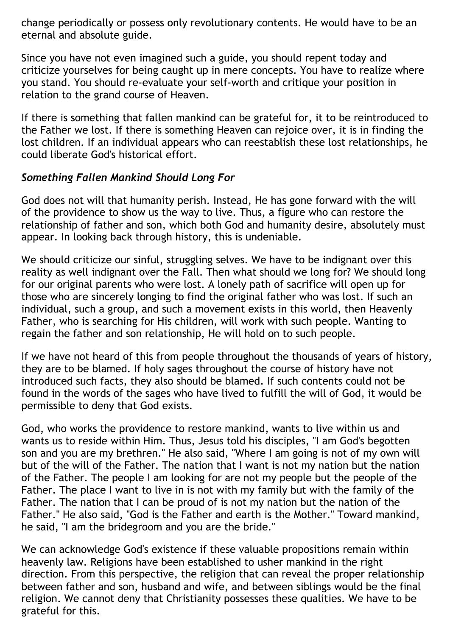change periodically or possess only revolutionary contents. He would have to be an eternal and absolute guide.

Since you have not even imagined such a guide, you should repent today and criticize yourselves for being caught up in mere concepts. You have to realize where you stand. You should re-evaluate your self-worth and critique your position in relation to the grand course of Heaven.

If there is something that fallen mankind can be grateful for, it to be reintroduced to the Father we lost. If there is something Heaven can rejoice over, it is in finding the lost children. If an individual appears who can reestablish these lost relationships, he could liberate God's historical effort.

# *Something Fallen Mankind Should Long For*

God does not will that humanity perish. Instead, He has gone forward with the will of the providence to show us the way to live. Thus, a figure who can restore the relationship of father and son, which both God and humanity desire, absolutely must appear. In looking back through history, this is undeniable.

We should criticize our sinful, struggling selves. We have to be indignant over this reality as well indignant over the Fall. Then what should we long for? We should long for our original parents who were lost. A lonely path of sacrifice will open up for those who are sincerely longing to find the original father who was lost. If such an individual, such a group, and such a movement exists in this world, then Heavenly Father, who is searching for His children, will work with such people. Wanting to regain the father and son relationship, He will hold on to such people.

If we have not heard of this from people throughout the thousands of years of history, they are to be blamed. If holy sages throughout the course of history have not introduced such facts, they also should be blamed. If such contents could not be found in the words of the sages who have lived to fulfill the will of God, it would be permissible to deny that God exists.

God, who works the providence to restore mankind, wants to live within us and wants us to reside within Him. Thus, Jesus told his disciples, "I am God's begotten son and you are my brethren." He also said, "Where I am going is not of my own will but of the will of the Father. The nation that I want is not my nation but the nation of the Father. The people I am looking for are not my people but the people of the Father. The place I want to live in is not with my family but with the family of the Father. The nation that I can be proud of is not my nation but the nation of the Father." He also said, "God is the Father and earth is the Mother." Toward mankind, he said, "I am the bridegroom and you are the bride."

We can acknowledge God's existence if these valuable propositions remain within heavenly law. Religions have been established to usher mankind in the right direction. From this perspective, the religion that can reveal the proper relationship between father and son, husband and wife, and between siblings would be the final religion. We cannot deny that Christianity possesses these qualities. We have to be grateful for this.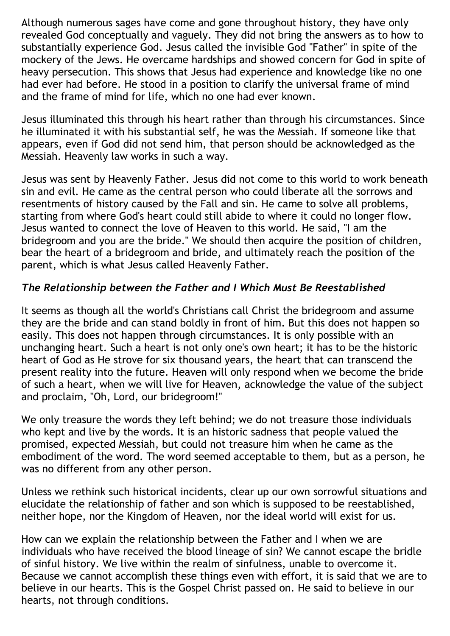Although numerous sages have come and gone throughout history, they have only revealed God conceptually and vaguely. They did not bring the answers as to how to substantially experience God. Jesus called the invisible God "Father" in spite of the mockery of the Jews. He overcame hardships and showed concern for God in spite of heavy persecution. This shows that Jesus had experience and knowledge like no one had ever had before. He stood in a position to clarify the universal frame of mind and the frame of mind for life, which no one had ever known.

Jesus illuminated this through his heart rather than through his circumstances. Since he illuminated it with his substantial self, he was the Messiah. If someone like that appears, even if God did not send him, that person should be acknowledged as the Messiah. Heavenly law works in such a way.

Jesus was sent by Heavenly Father. Jesus did not come to this world to work beneath sin and evil. He came as the central person who could liberate all the sorrows and resentments of history caused by the Fall and sin. He came to solve all problems, starting from where God's heart could still abide to where it could no longer flow. Jesus wanted to connect the love of Heaven to this world. He said, "I am the bridegroom and you are the bride." We should then acquire the position of children, bear the heart of a bridegroom and bride, and ultimately reach the position of the parent, which is what Jesus called Heavenly Father.

# *The Relationship between the Father and I Which Must Be Reestablished*

It seems as though all the world's Christians call Christ the bridegroom and assume they are the bride and can stand boldly in front of him. But this does not happen so easily. This does not happen through circumstances. It is only possible with an unchanging heart. Such a heart is not only one's own heart; it has to be the historic heart of God as He strove for six thousand years, the heart that can transcend the present reality into the future. Heaven will only respond when we become the bride of such a heart, when we will live for Heaven, acknowledge the value of the subject and proclaim, "Oh, Lord, our bridegroom!"

We only treasure the words they left behind; we do not treasure those individuals who kept and live by the words. It is an historic sadness that people valued the promised, expected Messiah, but could not treasure him when he came as the embodiment of the word. The word seemed acceptable to them, but as a person, he was no different from any other person.

Unless we rethink such historical incidents, clear up our own sorrowful situations and elucidate the relationship of father and son which is supposed to be reestablished, neither hope, nor the Kingdom of Heaven, nor the ideal world will exist for us.

How can we explain the relationship between the Father and I when we are individuals who have received the blood lineage of sin? We cannot escape the bridle of sinful history. We live within the realm of sinfulness, unable to overcome it. Because we cannot accomplish these things even with effort, it is said that we are to believe in our hearts. This is the Gospel Christ passed on. He said to believe in our hearts, not through conditions.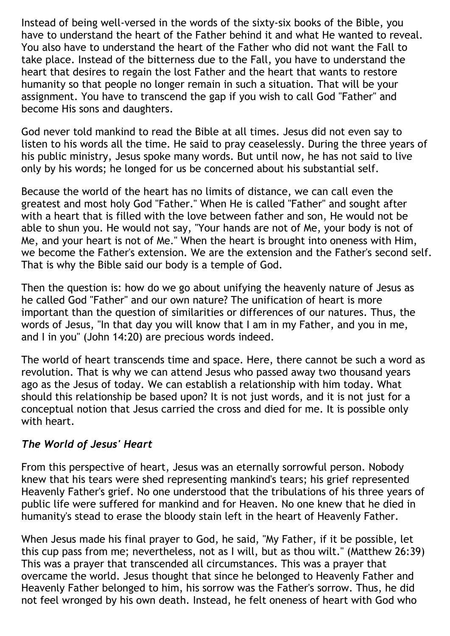Instead of being well-versed in the words of the sixty-six books of the Bible, you have to understand the heart of the Father behind it and what He wanted to reveal. You also have to understand the heart of the Father who did not want the Fall to take place. Instead of the bitterness due to the Fall, you have to understand the heart that desires to regain the lost Father and the heart that wants to restore humanity so that people no longer remain in such a situation. That will be your assignment. You have to transcend the gap if you wish to call God "Father" and become His sons and daughters.

God never told mankind to read the Bible at all times. Jesus did not even say to listen to his words all the time. He said to pray ceaselessly. During the three years of his public ministry, Jesus spoke many words. But until now, he has not said to live only by his words; he longed for us be concerned about his substantial self.

Because the world of the heart has no limits of distance, we can call even the greatest and most holy God "Father." When He is called "Father" and sought after with a heart that is filled with the love between father and son, He would not be able to shun you. He would not say, "Your hands are not of Me, your body is not of Me, and your heart is not of Me." When the heart is brought into oneness with Him, we become the Father's extension. We are the extension and the Father's second self. That is why the Bible said our body is a temple of God.

Then the question is: how do we go about unifying the heavenly nature of Jesus as he called God "Father" and our own nature? The unification of heart is more important than the question of similarities or differences of our natures. Thus, the words of Jesus, "In that day you will know that I am in my Father, and you in me, and I in you" (John 14:20) are precious words indeed.

The world of heart transcends time and space. Here, there cannot be such a word as revolution. That is why we can attend Jesus who passed away two thousand years ago as the Jesus of today. We can establish a relationship with him today. What should this relationship be based upon? It is not just words, and it is not just for a conceptual notion that Jesus carried the cross and died for me. It is possible only with heart.

# *The World of Jesus' Heart*

From this perspective of heart, Jesus was an eternally sorrowful person. Nobody knew that his tears were shed representing mankind's tears; his grief represented Heavenly Father's grief. No one understood that the tribulations of his three years of public life were suffered for mankind and for Heaven. No one knew that he died in humanity's stead to erase the bloody stain left in the heart of Heavenly Father.

When Jesus made his final prayer to God, he said, "My Father, if it be possible, let this cup pass from me; nevertheless, not as I will, but as thou wilt." (Matthew 26:39) This was a prayer that transcended all circumstances. This was a prayer that overcame the world. Jesus thought that since he belonged to Heavenly Father and Heavenly Father belonged to him, his sorrow was the Father's sorrow. Thus, he did not feel wronged by his own death. Instead, he felt oneness of heart with God who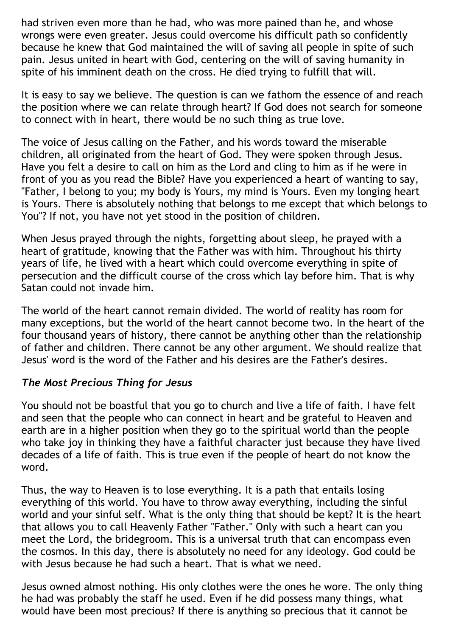had striven even more than he had, who was more pained than he, and whose wrongs were even greater. Jesus could overcome his difficult path so confidently because he knew that God maintained the will of saving all people in spite of such pain. Jesus united in heart with God, centering on the will of saving humanity in spite of his imminent death on the cross. He died trying to fulfill that will.

It is easy to say we believe. The question is can we fathom the essence of and reach the position where we can relate through heart? If God does not search for someone to connect with in heart, there would be no such thing as true love.

The voice of Jesus calling on the Father, and his words toward the miserable children, all originated from the heart of God. They were spoken through Jesus. Have you felt a desire to call on him as the Lord and cling to him as if he were in front of you as you read the Bible? Have you experienced a heart of wanting to say, "Father, I belong to you; my body is Yours, my mind is Yours. Even my longing heart is Yours. There is absolutely nothing that belongs to me except that which belongs to You"? If not, you have not yet stood in the position of children.

When Jesus prayed through the nights, forgetting about sleep, he prayed with a heart of gratitude, knowing that the Father was with him. Throughout his thirty years of life, he lived with a heart which could overcome everything in spite of persecution and the difficult course of the cross which lay before him. That is why Satan could not invade him.

The world of the heart cannot remain divided. The world of reality has room for many exceptions, but the world of the heart cannot become two. In the heart of the four thousand years of history, there cannot be anything other than the relationship of father and children. There cannot be any other argument. We should realize that Jesus' word is the word of the Father and his desires are the Father's desires.

# *The Most Precious Thing for Jesus*

You should not be boastful that you go to church and live a life of faith. I have felt and seen that the people who can connect in heart and be grateful to Heaven and earth are in a higher position when they go to the spiritual world than the people who take joy in thinking they have a faithful character just because they have lived decades of a life of faith. This is true even if the people of heart do not know the word.

Thus, the way to Heaven is to lose everything. It is a path that entails losing everything of this world. You have to throw away everything, including the sinful world and your sinful self. What is the only thing that should be kept? It is the heart that allows you to call Heavenly Father "Father." Only with such a heart can you meet the Lord, the bridegroom. This is a universal truth that can encompass even the cosmos. In this day, there is absolutely no need for any ideology. God could be with Jesus because he had such a heart. That is what we need.

Jesus owned almost nothing. His only clothes were the ones he wore. The only thing he had was probably the staff he used. Even if he did possess many things, what would have been most precious? If there is anything so precious that it cannot be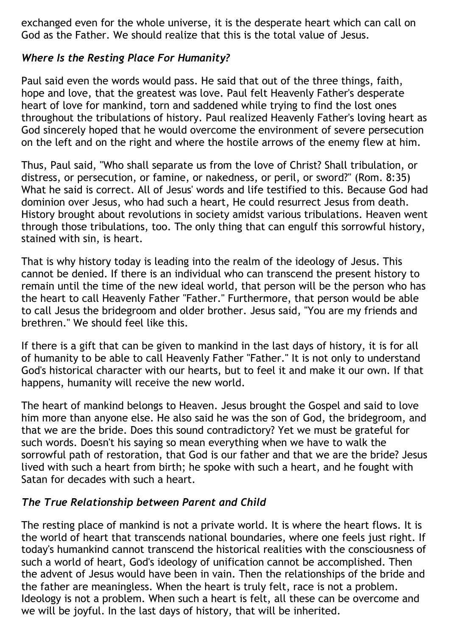exchanged even for the whole universe, it is the desperate heart which can call on God as the Father. We should realize that this is the total value of Jesus.

# *Where Is the Resting Place For Humanity?*

Paul said even the words would pass. He said that out of the three things, faith, hope and love, that the greatest was love. Paul felt Heavenly Father's desperate heart of love for mankind, torn and saddened while trying to find the lost ones throughout the tribulations of history. Paul realized Heavenly Father's loving heart as God sincerely hoped that he would overcome the environment of severe persecution on the left and on the right and where the hostile arrows of the enemy flew at him.

Thus, Paul said, "Who shall separate us from the love of Christ? Shall tribulation, or distress, or persecution, or famine, or nakedness, or peril, or sword?" (Rom. 8:35) What he said is correct. All of Jesus' words and life testified to this. Because God had dominion over Jesus, who had such a heart, He could resurrect Jesus from death. History brought about revolutions in society amidst various tribulations. Heaven went through those tribulations, too. The only thing that can engulf this sorrowful history, stained with sin, is heart.

That is why history today is leading into the realm of the ideology of Jesus. This cannot be denied. If there is an individual who can transcend the present history to remain until the time of the new ideal world, that person will be the person who has the heart to call Heavenly Father "Father." Furthermore, that person would be able to call Jesus the bridegroom and older brother. Jesus said, "You are my friends and brethren." We should feel like this.

If there is a gift that can be given to mankind in the last days of history, it is for all of humanity to be able to call Heavenly Father "Father." It is not only to understand God's historical character with our hearts, but to feel it and make it our own. If that happens, humanity will receive the new world.

The heart of mankind belongs to Heaven. Jesus brought the Gospel and said to love him more than anyone else. He also said he was the son of God, the bridegroom, and that we are the bride. Does this sound contradictory? Yet we must be grateful for such words. Doesn't his saying so mean everything when we have to walk the sorrowful path of restoration, that God is our father and that we are the bride? Jesus lived with such a heart from birth; he spoke with such a heart, and he fought with Satan for decades with such a heart.

# *The True Relationship between Parent and Child*

The resting place of mankind is not a private world. It is where the heart flows. It is the world of heart that transcends national boundaries, where one feels just right. If today's humankind cannot transcend the historical realities with the consciousness of such a world of heart, God's ideology of unification cannot be accomplished. Then the advent of Jesus would have been in vain. Then the relationships of the bride and the father are meaningless. When the heart is truly felt, race is not a problem. Ideology is not a problem. When such a heart is felt, all these can be overcome and we will be joyful. In the last days of history, that will be inherited.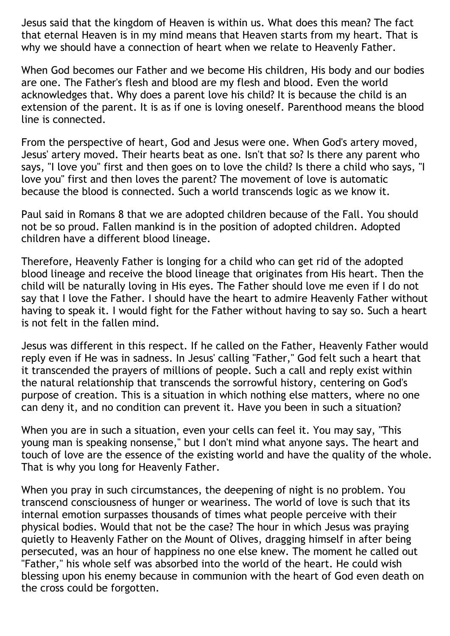Jesus said that the kingdom of Heaven is within us. What does this mean? The fact that eternal Heaven is in my mind means that Heaven starts from my heart. That is why we should have a connection of heart when we relate to Heavenly Father.

When God becomes our Father and we become His children, His body and our bodies are one. The Father's flesh and blood are my flesh and blood. Even the world acknowledges that. Why does a parent love his child? It is because the child is an extension of the parent. It is as if one is loving oneself. Parenthood means the blood line is connected.

From the perspective of heart, God and Jesus were one. When God's artery moved, Jesus' artery moved. Their hearts beat as one. Isn't that so? Is there any parent who says, "I love you" first and then goes on to love the child? Is there a child who says, "I love you" first and then loves the parent? The movement of love is automatic because the blood is connected. Such a world transcends logic as we know it.

Paul said in Romans 8 that we are adopted children because of the Fall. You should not be so proud. Fallen mankind is in the position of adopted children. Adopted children have a different blood lineage.

Therefore, Heavenly Father is longing for a child who can get rid of the adopted blood lineage and receive the blood lineage that originates from His heart. Then the child will be naturally loving in His eyes. The Father should love me even if I do not say that I love the Father. I should have the heart to admire Heavenly Father without having to speak it. I would fight for the Father without having to say so. Such a heart is not felt in the fallen mind.

Jesus was different in this respect. If he called on the Father, Heavenly Father would reply even if He was in sadness. In Jesus' calling "Father," God felt such a heart that it transcended the prayers of millions of people. Such a call and reply exist within the natural relationship that transcends the sorrowful history, centering on God's purpose of creation. This is a situation in which nothing else matters, where no one can deny it, and no condition can prevent it. Have you been in such a situation?

When you are in such a situation, even your cells can feel it. You may say, "This young man is speaking nonsense," but I don't mind what anyone says. The heart and touch of love are the essence of the existing world and have the quality of the whole. That is why you long for Heavenly Father.

When you pray in such circumstances, the deepening of night is no problem. You transcend consciousness of hunger or weariness. The world of love is such that its internal emotion surpasses thousands of times what people perceive with their physical bodies. Would that not be the case? The hour in which Jesus was praying quietly to Heavenly Father on the Mount of Olives, dragging himself in after being persecuted, was an hour of happiness no one else knew. The moment he called out "Father," his whole self was absorbed into the world of the heart. He could wish blessing upon his enemy because in communion with the heart of God even death on the cross could be forgotten.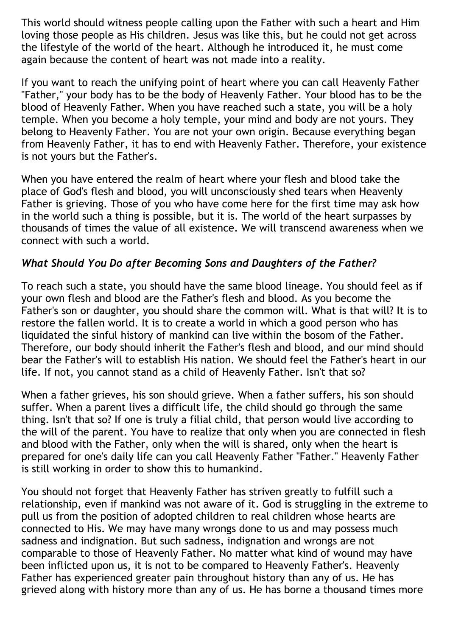This world should witness people calling upon the Father with such a heart and Him loving those people as His children. Jesus was like this, but he could not get across the lifestyle of the world of the heart. Although he introduced it, he must come again because the content of heart was not made into a reality.

If you want to reach the unifying point of heart where you can call Heavenly Father "Father," your body has to be the body of Heavenly Father. Your blood has to be the blood of Heavenly Father. When you have reached such a state, you will be a holy temple. When you become a holy temple, your mind and body are not yours. They belong to Heavenly Father. You are not your own origin. Because everything began from Heavenly Father, it has to end with Heavenly Father. Therefore, your existence is not yours but the Father's.

When you have entered the realm of heart where your flesh and blood take the place of God's flesh and blood, you will unconsciously shed tears when Heavenly Father is grieving. Those of you who have come here for the first time may ask how in the world such a thing is possible, but it is. The world of the heart surpasses by thousands of times the value of all existence. We will transcend awareness when we connect with such a world.

# *What Should You Do after Becoming Sons and Daughters of the Father?*

To reach such a state, you should have the same blood lineage. You should feel as if your own flesh and blood are the Father's flesh and blood. As you become the Father's son or daughter, you should share the common will. What is that will? It is to restore the fallen world. It is to create a world in which a good person who has liquidated the sinful history of mankind can live within the bosom of the Father. Therefore, our body should inherit the Father's flesh and blood, and our mind should bear the Father's will to establish His nation. We should feel the Father's heart in our life. If not, you cannot stand as a child of Heavenly Father. Isn't that so?

When a father grieves, his son should grieve. When a father suffers, his son should suffer. When a parent lives a difficult life, the child should go through the same thing. Isn't that so? If one is truly a filial child, that person would live according to the will of the parent. You have to realize that only when you are connected in flesh and blood with the Father, only when the will is shared, only when the heart is prepared for one's daily life can you call Heavenly Father "Father." Heavenly Father is still working in order to show this to humankind.

You should not forget that Heavenly Father has striven greatly to fulfill such a relationship, even if mankind was not aware of it. God is struggling in the extreme to pull us from the position of adopted children to real children whose hearts are connected to His. We may have many wrongs done to us and may possess much sadness and indignation. But such sadness, indignation and wrongs are not comparable to those of Heavenly Father. No matter what kind of wound may have been inflicted upon us, it is not to be compared to Heavenly Father's. Heavenly Father has experienced greater pain throughout history than any of us. He has grieved along with history more than any of us. He has borne a thousand times more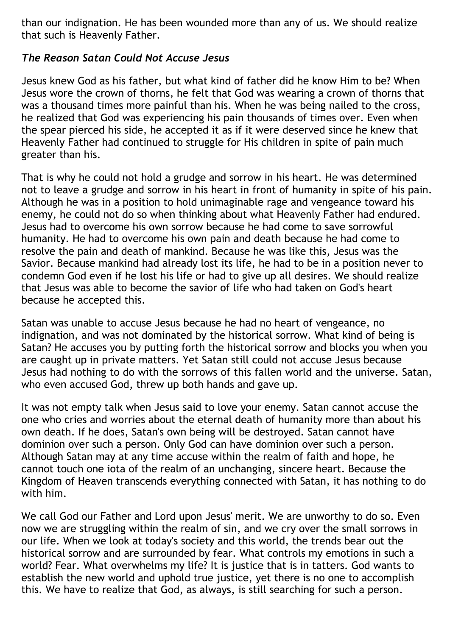than our indignation. He has been wounded more than any of us. We should realize that such is Heavenly Father.

# *The Reason Satan Could Not Accuse Jesus*

Jesus knew God as his father, but what kind of father did he know Him to be? When Jesus wore the crown of thorns, he felt that God was wearing a crown of thorns that was a thousand times more painful than his. When he was being nailed to the cross, he realized that God was experiencing his pain thousands of times over. Even when the spear pierced his side, he accepted it as if it were deserved since he knew that Heavenly Father had continued to struggle for His children in spite of pain much greater than his.

That is why he could not hold a grudge and sorrow in his heart. He was determined not to leave a grudge and sorrow in his heart in front of humanity in spite of his pain. Although he was in a position to hold unimaginable rage and vengeance toward his enemy, he could not do so when thinking about what Heavenly Father had endured. Jesus had to overcome his own sorrow because he had come to save sorrowful humanity. He had to overcome his own pain and death because he had come to resolve the pain and death of mankind. Because he was like this, Jesus was the Savior. Because mankind had already lost its life, he had to be in a position never to condemn God even if he lost his life or had to give up all desires. We should realize that Jesus was able to become the savior of life who had taken on God's heart because he accepted this.

Satan was unable to accuse Jesus because he had no heart of vengeance, no indignation, and was not dominated by the historical sorrow. What kind of being is Satan? He accuses you by putting forth the historical sorrow and blocks you when you are caught up in private matters. Yet Satan still could not accuse Jesus because Jesus had nothing to do with the sorrows of this fallen world and the universe. Satan, who even accused God, threw up both hands and gave up.

It was not empty talk when Jesus said to love your enemy. Satan cannot accuse the one who cries and worries about the eternal death of humanity more than about his own death. If he does, Satan's own being will be destroyed. Satan cannot have dominion over such a person. Only God can have dominion over such a person. Although Satan may at any time accuse within the realm of faith and hope, he cannot touch one iota of the realm of an unchanging, sincere heart. Because the Kingdom of Heaven transcends everything connected with Satan, it has nothing to do with him.

We call God our Father and Lord upon Jesus' merit. We are unworthy to do so. Even now we are struggling within the realm of sin, and we cry over the small sorrows in our life. When we look at today's society and this world, the trends bear out the historical sorrow and are surrounded by fear. What controls my emotions in such a world? Fear. What overwhelms my life? It is justice that is in tatters. God wants to establish the new world and uphold true justice, yet there is no one to accomplish this. We have to realize that God, as always, is still searching for such a person.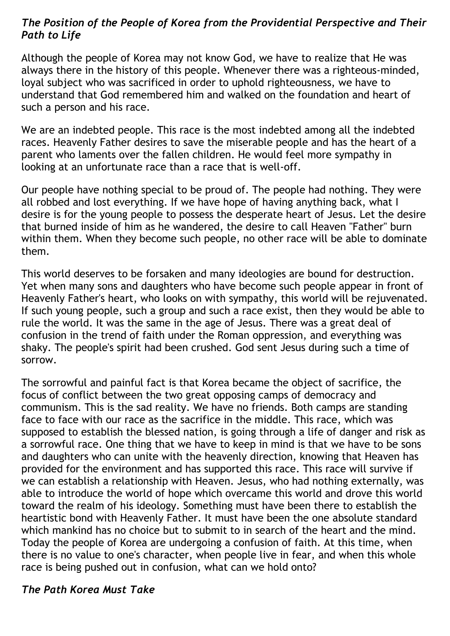### *The Position of the People of Korea from the Providential Perspective and Their Path to Life*

Although the people of Korea may not know God, we have to realize that He was always there in the history of this people. Whenever there was a righteous-minded, loyal subject who was sacrificed in order to uphold righteousness, we have to understand that God remembered him and walked on the foundation and heart of such a person and his race.

We are an indebted people. This race is the most indebted among all the indebted races. Heavenly Father desires to save the miserable people and has the heart of a parent who laments over the fallen children. He would feel more sympathy in looking at an unfortunate race than a race that is well-off.

Our people have nothing special to be proud of. The people had nothing. They were all robbed and lost everything. If we have hope of having anything back, what I desire is for the young people to possess the desperate heart of Jesus. Let the desire that burned inside of him as he wandered, the desire to call Heaven "Father" burn within them. When they become such people, no other race will be able to dominate them.

This world deserves to be forsaken and many ideologies are bound for destruction. Yet when many sons and daughters who have become such people appear in front of Heavenly Father's heart, who looks on with sympathy, this world will be rejuvenated. If such young people, such a group and such a race exist, then they would be able to rule the world. It was the same in the age of Jesus. There was a great deal of confusion in the trend of faith under the Roman oppression, and everything was shaky. The people's spirit had been crushed. God sent Jesus during such a time of sorrow.

The sorrowful and painful fact is that Korea became the object of sacrifice, the focus of conflict between the two great opposing camps of democracy and communism. This is the sad reality. We have no friends. Both camps are standing face to face with our race as the sacrifice in the middle. This race, which was supposed to establish the blessed nation, is going through a life of danger and risk as a sorrowful race. One thing that we have to keep in mind is that we have to be sons and daughters who can unite with the heavenly direction, knowing that Heaven has provided for the environment and has supported this race. This race will survive if we can establish a relationship with Heaven. Jesus, who had nothing externally, was able to introduce the world of hope which overcame this world and drove this world toward the realm of his ideology. Something must have been there to establish the heartistic bond with Heavenly Father. It must have been the one absolute standard which mankind has no choice but to submit to in search of the heart and the mind. Today the people of Korea are undergoing a confusion of faith. At this time, when there is no value to one's character, when people live in fear, and when this whole race is being pushed out in confusion, what can we hold onto?

### *The Path Korea Must Take*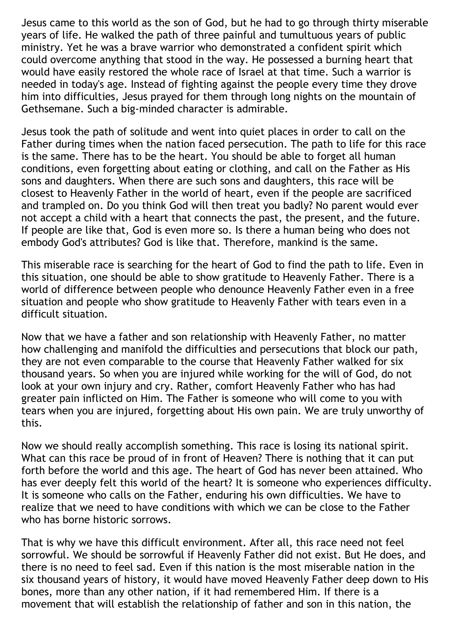Jesus came to this world as the son of God, but he had to go through thirty miserable years of life. He walked the path of three painful and tumultuous years of public ministry. Yet he was a brave warrior who demonstrated a confident spirit which could overcome anything that stood in the way. He possessed a burning heart that would have easily restored the whole race of Israel at that time. Such a warrior is needed in today's age. Instead of fighting against the people every time they drove him into difficulties, Jesus prayed for them through long nights on the mountain of Gethsemane. Such a big-minded character is admirable.

Jesus took the path of solitude and went into quiet places in order to call on the Father during times when the nation faced persecution. The path to life for this race is the same. There has to be the heart. You should be able to forget all human conditions, even forgetting about eating or clothing, and call on the Father as His sons and daughters. When there are such sons and daughters, this race will be closest to Heavenly Father in the world of heart, even if the people are sacrificed and trampled on. Do you think God will then treat you badly? No parent would ever not accept a child with a heart that connects the past, the present, and the future. If people are like that, God is even more so. Is there a human being who does not embody God's attributes? God is like that. Therefore, mankind is the same.

This miserable race is searching for the heart of God to find the path to life. Even in this situation, one should be able to show gratitude to Heavenly Father. There is a world of difference between people who denounce Heavenly Father even in a free situation and people who show gratitude to Heavenly Father with tears even in a difficult situation.

Now that we have a father and son relationship with Heavenly Father, no matter how challenging and manifold the difficulties and persecutions that block our path, they are not even comparable to the course that Heavenly Father walked for six thousand years. So when you are injured while working for the will of God, do not look at your own injury and cry. Rather, comfort Heavenly Father who has had greater pain inflicted on Him. The Father is someone who will come to you with tears when you are injured, forgetting about His own pain. We are truly unworthy of this.

Now we should really accomplish something. This race is losing its national spirit. What can this race be proud of in front of Heaven? There is nothing that it can put forth before the world and this age. The heart of God has never been attained. Who has ever deeply felt this world of the heart? It is someone who experiences difficulty. It is someone who calls on the Father, enduring his own difficulties. We have to realize that we need to have conditions with which we can be close to the Father who has borne historic sorrows.

That is why we have this difficult environment. After all, this race need not feel sorrowful. We should be sorrowful if Heavenly Father did not exist. But He does, and there is no need to feel sad. Even if this nation is the most miserable nation in the six thousand years of history, it would have moved Heavenly Father deep down to His bones, more than any other nation, if it had remembered Him. If there is a movement that will establish the relationship of father and son in this nation, the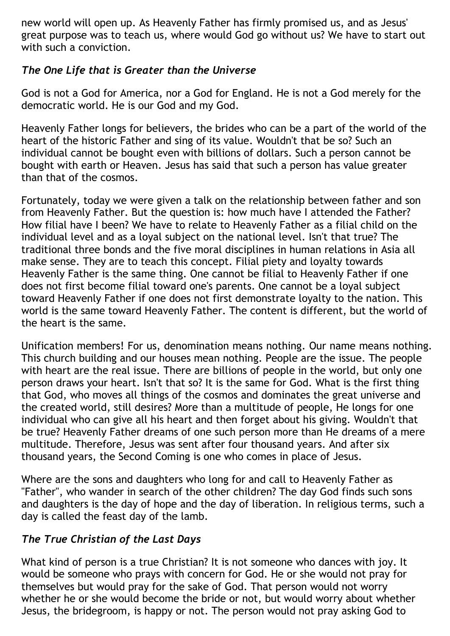new world will open up. As Heavenly Father has firmly promised us, and as Jesus' great purpose was to teach us, where would God go without us? We have to start out with such a conviction.

# *The One Life that is Greater than the Universe*

God is not a God for America, nor a God for England. He is not a God merely for the democratic world. He is our God and my God.

Heavenly Father longs for believers, the brides who can be a part of the world of the heart of the historic Father and sing of its value. Wouldn't that be so? Such an individual cannot be bought even with billions of dollars. Such a person cannot be bought with earth or Heaven. Jesus has said that such a person has value greater than that of the cosmos.

Fortunately, today we were given a talk on the relationship between father and son from Heavenly Father. But the question is: how much have I attended the Father? How filial have I been? We have to relate to Heavenly Father as a filial child on the individual level and as a loyal subject on the national level. Isn't that true? The traditional three bonds and the five moral disciplines in human relations in Asia all make sense. They are to teach this concept. Filial piety and loyalty towards Heavenly Father is the same thing. One cannot be filial to Heavenly Father if one does not first become filial toward one's parents. One cannot be a loyal subject toward Heavenly Father if one does not first demonstrate loyalty to the nation. This world is the same toward Heavenly Father. The content is different, but the world of the heart is the same.

Unification members! For us, denomination means nothing. Our name means nothing. This church building and our houses mean nothing. People are the issue. The people with heart are the real issue. There are billions of people in the world, but only one person draws your heart. Isn't that so? It is the same for God. What is the first thing that God, who moves all things of the cosmos and dominates the great universe and the created world, still desires? More than a multitude of people, He longs for one individual who can give all his heart and then forget about his giving. Wouldn't that be true? Heavenly Father dreams of one such person more than He dreams of a mere multitude. Therefore, Jesus was sent after four thousand years. And after six thousand years, the Second Coming is one who comes in place of Jesus.

Where are the sons and daughters who long for and call to Heavenly Father as "Father", who wander in search of the other children? The day God finds such sons and daughters is the day of hope and the day of liberation. In religious terms, such a day is called the feast day of the lamb.

# *The True Christian of the Last Days*

What kind of person is a true Christian? It is not someone who dances with joy. It would be someone who prays with concern for God. He or she would not pray for themselves but would pray for the sake of God. That person would not worry whether he or she would become the bride or not, but would worry about whether Jesus, the bridegroom, is happy or not. The person would not pray asking God to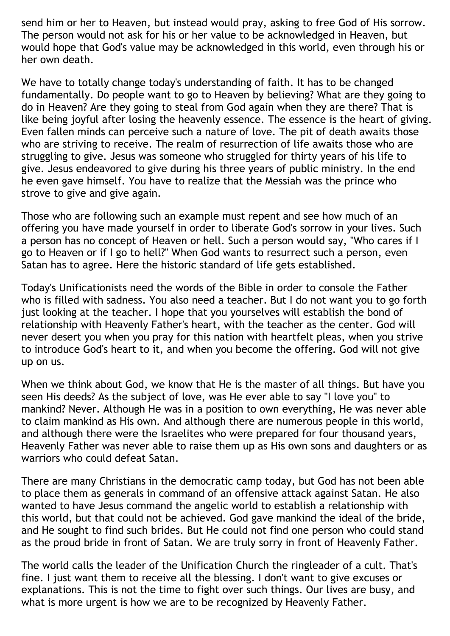send him or her to Heaven, but instead would pray, asking to free God of His sorrow. The person would not ask for his or her value to be acknowledged in Heaven, but would hope that God's value may be acknowledged in this world, even through his or her own death.

We have to totally change today's understanding of faith. It has to be changed fundamentally. Do people want to go to Heaven by believing? What are they going to do in Heaven? Are they going to steal from God again when they are there? That is like being joyful after losing the heavenly essence. The essence is the heart of giving. Even fallen minds can perceive such a nature of love. The pit of death awaits those who are striving to receive. The realm of resurrection of life awaits those who are struggling to give. Jesus was someone who struggled for thirty years of his life to give. Jesus endeavored to give during his three years of public ministry. In the end he even gave himself. You have to realize that the Messiah was the prince who strove to give and give again.

Those who are following such an example must repent and see how much of an offering you have made yourself in order to liberate God's sorrow in your lives. Such a person has no concept of Heaven or hell. Such a person would say, "Who cares if I go to Heaven or if I go to hell?" When God wants to resurrect such a person, even Satan has to agree. Here the historic standard of life gets established.

Today's Unificationists need the words of the Bible in order to console the Father who is filled with sadness. You also need a teacher. But I do not want you to go forth just looking at the teacher. I hope that you yourselves will establish the bond of relationship with Heavenly Father's heart, with the teacher as the center. God will never desert you when you pray for this nation with heartfelt pleas, when you strive to introduce God's heart to it, and when you become the offering. God will not give up on us.

When we think about God, we know that He is the master of all things. But have you seen His deeds? As the subject of love, was He ever able to say "I love you" to mankind? Never. Although He was in a position to own everything, He was never able to claim mankind as His own. And although there are numerous people in this world, and although there were the Israelites who were prepared for four thousand years, Heavenly Father was never able to raise them up as His own sons and daughters or as warriors who could defeat Satan.

There are many Christians in the democratic camp today, but God has not been able to place them as generals in command of an offensive attack against Satan. He also wanted to have Jesus command the angelic world to establish a relationship with this world, but that could not be achieved. God gave mankind the ideal of the bride, and He sought to find such brides. But He could not find one person who could stand as the proud bride in front of Satan. We are truly sorry in front of Heavenly Father.

The world calls the leader of the Unification Church the ringleader of a cult. That's fine. I just want them to receive all the blessing. I don't want to give excuses or explanations. This is not the time to fight over such things. Our lives are busy, and what is more urgent is how we are to be recognized by Heavenly Father.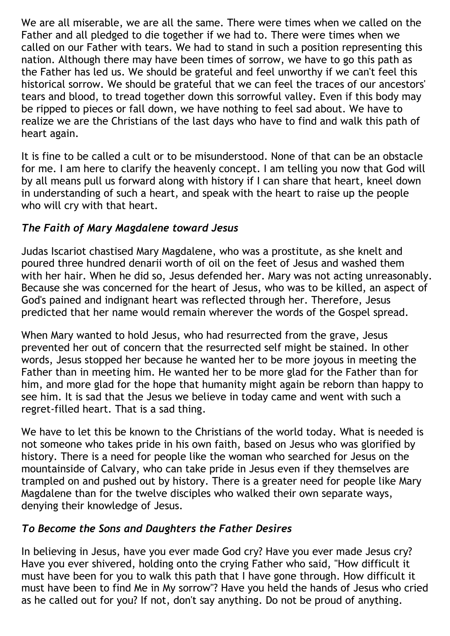We are all miserable, we are all the same. There were times when we called on the Father and all pledged to die together if we had to. There were times when we called on our Father with tears. We had to stand in such a position representing this nation. Although there may have been times of sorrow, we have to go this path as the Father has led us. We should be grateful and feel unworthy if we can't feel this historical sorrow. We should be grateful that we can feel the traces of our ancestors' tears and blood, to tread together down this sorrowful valley. Even if this body may be ripped to pieces or fall down, we have nothing to feel sad about. We have to realize we are the Christians of the last days who have to find and walk this path of heart again.

It is fine to be called a cult or to be misunderstood. None of that can be an obstacle for me. I am here to clarify the heavenly concept. I am telling you now that God will by all means pull us forward along with history if I can share that heart, kneel down in understanding of such a heart, and speak with the heart to raise up the people who will cry with that heart.

### *The Faith of Mary Magdalene toward Jesus*

Judas Iscariot chastised Mary Magdalene, who was a prostitute, as she knelt and poured three hundred denarii worth of oil on the feet of Jesus and washed them with her hair. When he did so, Jesus defended her. Mary was not acting unreasonably. Because she was concerned for the heart of Jesus, who was to be killed, an aspect of God's pained and indignant heart was reflected through her. Therefore, Jesus predicted that her name would remain wherever the words of the Gospel spread.

When Mary wanted to hold Jesus, who had resurrected from the grave, Jesus prevented her out of concern that the resurrected self might be stained. In other words, Jesus stopped her because he wanted her to be more joyous in meeting the Father than in meeting him. He wanted her to be more glad for the Father than for him, and more glad for the hope that humanity might again be reborn than happy to see him. It is sad that the Jesus we believe in today came and went with such a regret-filled heart. That is a sad thing.

We have to let this be known to the Christians of the world today. What is needed is not someone who takes pride in his own faith, based on Jesus who was glorified by history. There is a need for people like the woman who searched for Jesus on the mountainside of Calvary, who can take pride in Jesus even if they themselves are trampled on and pushed out by history. There is a greater need for people like Mary Magdalene than for the twelve disciples who walked their own separate ways, denying their knowledge of Jesus.

# *To Become the Sons and Daughters the Father Desires*

In believing in Jesus, have you ever made God cry? Have you ever made Jesus cry? Have you ever shivered, holding onto the crying Father who said, "How difficult it must have been for you to walk this path that I have gone through. How difficult it must have been to find Me in My sorrow"? Have you held the hands of Jesus who cried as he called out for you? If not, don't say anything. Do not be proud of anything.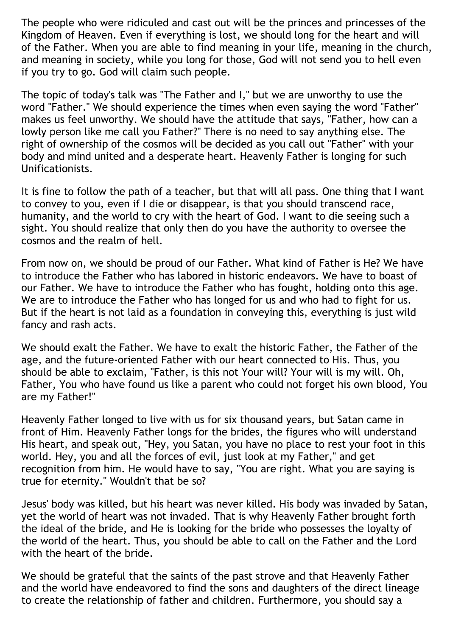The people who were ridiculed and cast out will be the princes and princesses of the Kingdom of Heaven. Even if everything is lost, we should long for the heart and will of the Father. When you are able to find meaning in your life, meaning in the church, and meaning in society, while you long for those, God will not send you to hell even if you try to go. God will claim such people.

The topic of today's talk was "The Father and I," but we are unworthy to use the word "Father." We should experience the times when even saying the word "Father" makes us feel unworthy. We should have the attitude that says, "Father, how can a lowly person like me call you Father?" There is no need to say anything else. The right of ownership of the cosmos will be decided as you call out "Father" with your body and mind united and a desperate heart. Heavenly Father is longing for such Unificationists.

It is fine to follow the path of a teacher, but that will all pass. One thing that I want to convey to you, even if I die or disappear, is that you should transcend race, humanity, and the world to cry with the heart of God. I want to die seeing such a sight. You should realize that only then do you have the authority to oversee the cosmos and the realm of hell.

From now on, we should be proud of our Father. What kind of Father is He? We have to introduce the Father who has labored in historic endeavors. We have to boast of our Father. We have to introduce the Father who has fought, holding onto this age. We are to introduce the Father who has longed for us and who had to fight for us. But if the heart is not laid as a foundation in conveying this, everything is just wild fancy and rash acts.

We should exalt the Father. We have to exalt the historic Father, the Father of the age, and the future-oriented Father with our heart connected to His. Thus, you should be able to exclaim, "Father, is this not Your will? Your will is my will. Oh, Father, You who have found us like a parent who could not forget his own blood, You are my Father!"

Heavenly Father longed to live with us for six thousand years, but Satan came in front of Him. Heavenly Father longs for the brides, the figures who will understand His heart, and speak out, "Hey, you Satan, you have no place to rest your foot in this world. Hey, you and all the forces of evil, just look at my Father," and get recognition from him. He would have to say, "You are right. What you are saying is true for eternity." Wouldn't that be so?

Jesus' body was killed, but his heart was never killed. His body was invaded by Satan, yet the world of heart was not invaded. That is why Heavenly Father brought forth the ideal of the bride, and He is looking for the bride who possesses the loyalty of the world of the heart. Thus, you should be able to call on the Father and the Lord with the heart of the bride.

We should be grateful that the saints of the past strove and that Heavenly Father and the world have endeavored to find the sons and daughters of the direct lineage to create the relationship of father and children. Furthermore, you should say a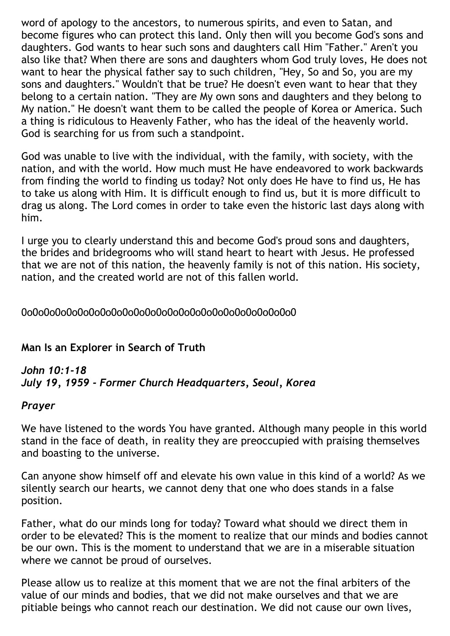word of apology to the ancestors, to numerous spirits, and even to Satan, and become figures who can protect this land. Only then will you become God's sons and daughters. God wants to hear such sons and daughters call Him "Father." Aren't you also like that? When there are sons and daughters whom God truly loves, He does not want to hear the physical father say to such children, "Hey, So and So, you are my sons and daughters." Wouldn't that be true? He doesn't even want to hear that they belong to a certain nation. "They are My own sons and daughters and they belong to My nation." He doesn't want them to be called the people of Korea or America. Such a thing is ridiculous to Heavenly Father, who has the ideal of the heavenly world. God is searching for us from such a standpoint.

God was unable to live with the individual, with the family, with society, with the nation, and with the world. How much must He have endeavored to work backwards from finding the world to finding us today? Not only does He have to find us, He has to take us along with Him. It is difficult enough to find us, but it is more difficult to drag us along. The Lord comes in order to take even the historic last days along with him.

I urge you to clearly understand this and become God's proud sons and daughters, the brides and bridegrooms who will stand heart to heart with Jesus. He professed that we are not of this nation, the heavenly family is not of this nation. His society, nation, and the created world are not of this fallen world.

#### 0o0o0o0o0o0o0o0o0o0o0o0o0o0o0o0o0o0o0o0o0o0o0o0o0

#### **Man Is an Explorer in Search of Truth**

#### *John 10:1-18 July 19, 1959 - Former Church Headquarters, Seoul, Korea*

#### *Prayer*

We have listened to the words You have granted. Although many people in this world stand in the face of death, in reality they are preoccupied with praising themselves and boasting to the universe.

Can anyone show himself off and elevate his own value in this kind of a world? As we silently search our hearts, we cannot deny that one who does stands in a false position.

Father, what do our minds long for today? Toward what should we direct them in order to be elevated? This is the moment to realize that our minds and bodies cannot be our own. This is the moment to understand that we are in a miserable situation where we cannot be proud of ourselves.

Please allow us to realize at this moment that we are not the final arbiters of the value of our minds and bodies, that we did not make ourselves and that we are pitiable beings who cannot reach our destination. We did not cause our own lives,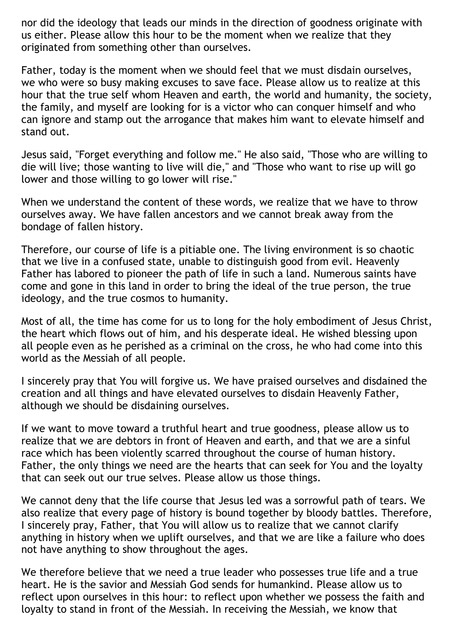nor did the ideology that leads our minds in the direction of goodness originate with us either. Please allow this hour to be the moment when we realize that they originated from something other than ourselves.

Father, today is the moment when we should feel that we must disdain ourselves, we who were so busy making excuses to save face. Please allow us to realize at this hour that the true self whom Heaven and earth, the world and humanity, the society, the family, and myself are looking for is a victor who can conquer himself and who can ignore and stamp out the arrogance that makes him want to elevate himself and stand out.

Jesus said, "Forget everything and follow me." He also said, "Those who are willing to die will live; those wanting to live will die," and "Those who want to rise up will go lower and those willing to go lower will rise."

When we understand the content of these words, we realize that we have to throw ourselves away. We have fallen ancestors and we cannot break away from the bondage of fallen history.

Therefore, our course of life is a pitiable one. The living environment is so chaotic that we live in a confused state, unable to distinguish good from evil. Heavenly Father has labored to pioneer the path of life in such a land. Numerous saints have come and gone in this land in order to bring the ideal of the true person, the true ideology, and the true cosmos to humanity.

Most of all, the time has come for us to long for the holy embodiment of Jesus Christ, the heart which flows out of him, and his desperate ideal. He wished blessing upon all people even as he perished as a criminal on the cross, he who had come into this world as the Messiah of all people.

I sincerely pray that You will forgive us. We have praised ourselves and disdained the creation and all things and have elevated ourselves to disdain Heavenly Father, although we should be disdaining ourselves.

If we want to move toward a truthful heart and true goodness, please allow us to realize that we are debtors in front of Heaven and earth, and that we are a sinful race which has been violently scarred throughout the course of human history. Father, the only things we need are the hearts that can seek for You and the loyalty that can seek out our true selves. Please allow us those things.

We cannot deny that the life course that Jesus led was a sorrowful path of tears. We also realize that every page of history is bound together by bloody battles. Therefore, I sincerely pray, Father, that You will allow us to realize that we cannot clarify anything in history when we uplift ourselves, and that we are like a failure who does not have anything to show throughout the ages.

We therefore believe that we need a true leader who possesses true life and a true heart. He is the savior and Messiah God sends for humankind. Please allow us to reflect upon ourselves in this hour: to reflect upon whether we possess the faith and loyalty to stand in front of the Messiah. In receiving the Messiah, we know that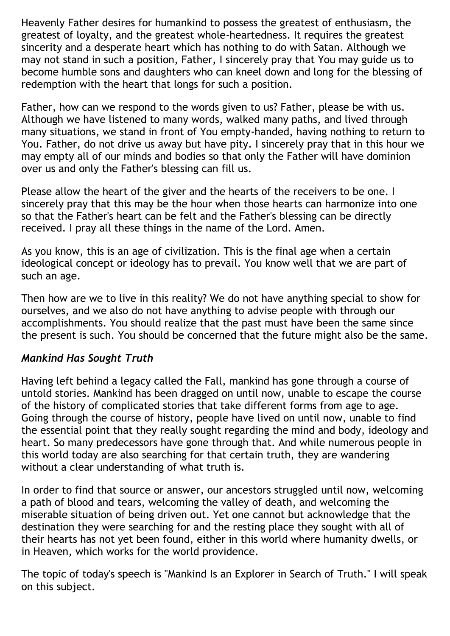Heavenly Father desires for humankind to possess the greatest of enthusiasm, the greatest of loyalty, and the greatest whole-heartedness. It requires the greatest sincerity and a desperate heart which has nothing to do with Satan. Although we may not stand in such a position, Father, I sincerely pray that You may guide us to become humble sons and daughters who can kneel down and long for the blessing of redemption with the heart that longs for such a position.

Father, how can we respond to the words given to us? Father, please be with us. Although we have listened to many words, walked many paths, and lived through many situations, we stand in front of You empty-handed, having nothing to return to You. Father, do not drive us away but have pity. I sincerely pray that in this hour we may empty all of our minds and bodies so that only the Father will have dominion over us and only the Father's blessing can fill us.

Please allow the heart of the giver and the hearts of the receivers to be one. I sincerely pray that this may be the hour when those hearts can harmonize into one so that the Father's heart can be felt and the Father's blessing can be directly received. I pray all these things in the name of the Lord. Amen.

As you know, this is an age of civilization. This is the final age when a certain ideological concept or ideology has to prevail. You know well that we are part of such an age.

Then how are we to live in this reality? We do not have anything special to show for ourselves, and we also do not have anything to advise people with through our accomplishments. You should realize that the past must have been the same since the present is such. You should be concerned that the future might also be the same.

### *Mankind Has Sought Truth*

Having left behind a legacy called the Fall, mankind has gone through a course of untold stories. Mankind has been dragged on until now, unable to escape the course of the history of complicated stories that take different forms from age to age. Going through the course of history, people have lived on until now, unable to find the essential point that they really sought regarding the mind and body, ideology and heart. So many predecessors have gone through that. And while numerous people in this world today are also searching for that certain truth, they are wandering without a clear understanding of what truth is.

In order to find that source or answer, our ancestors struggled until now, welcoming a path of blood and tears, welcoming the valley of death, and welcoming the miserable situation of being driven out. Yet one cannot but acknowledge that the destination they were searching for and the resting place they sought with all of their hearts has not yet been found, either in this world where humanity dwells, or in Heaven, which works for the world providence.

The topic of today's speech is "Mankind Is an Explorer in Search of Truth." I will speak on this subject.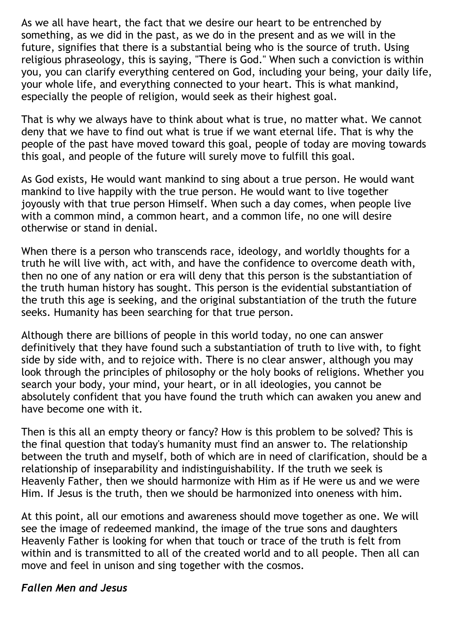As we all have heart, the fact that we desire our heart to be entrenched by something, as we did in the past, as we do in the present and as we will in the future, signifies that there is a substantial being who is the source of truth. Using religious phraseology, this is saying, "There is God." When such a conviction is within you, you can clarify everything centered on God, including your being, your daily life, your whole life, and everything connected to your heart. This is what mankind, especially the people of religion, would seek as their highest goal.

That is why we always have to think about what is true, no matter what. We cannot deny that we have to find out what is true if we want eternal life. That is why the people of the past have moved toward this goal, people of today are moving towards this goal, and people of the future will surely move to fulfill this goal.

As God exists, He would want mankind to sing about a true person. He would want mankind to live happily with the true person. He would want to live together joyously with that true person Himself. When such a day comes, when people live with a common mind, a common heart, and a common life, no one will desire otherwise or stand in denial.

When there is a person who transcends race, ideology, and worldly thoughts for a truth he will live with, act with, and have the confidence to overcome death with, then no one of any nation or era will deny that this person is the substantiation of the truth human history has sought. This person is the evidential substantiation of the truth this age is seeking, and the original substantiation of the truth the future seeks. Humanity has been searching for that true person.

Although there are billions of people in this world today, no one can answer definitively that they have found such a substantiation of truth to live with, to fight side by side with, and to rejoice with. There is no clear answer, although you may look through the principles of philosophy or the holy books of religions. Whether you search your body, your mind, your heart, or in all ideologies, you cannot be absolutely confident that you have found the truth which can awaken you anew and have become one with it.

Then is this all an empty theory or fancy? How is this problem to be solved? This is the final question that today's humanity must find an answer to. The relationship between the truth and myself, both of which are in need of clarification, should be a relationship of inseparability and indistinguishability. If the truth we seek is Heavenly Father, then we should harmonize with Him as if He were us and we were Him. If Jesus is the truth, then we should be harmonized into oneness with him.

At this point, all our emotions and awareness should move together as one. We will see the image of redeemed mankind, the image of the true sons and daughters Heavenly Father is looking for when that touch or trace of the truth is felt from within and is transmitted to all of the created world and to all people. Then all can move and feel in unison and sing together with the cosmos.

### *Fallen Men and Jesus*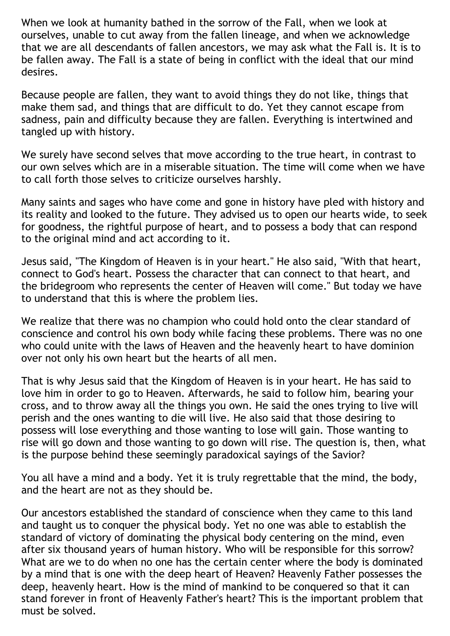When we look at humanity bathed in the sorrow of the Fall, when we look at ourselves, unable to cut away from the fallen lineage, and when we acknowledge that we are all descendants of fallen ancestors, we may ask what the Fall is. It is to be fallen away. The Fall is a state of being in conflict with the ideal that our mind desires.

Because people are fallen, they want to avoid things they do not like, things that make them sad, and things that are difficult to do. Yet they cannot escape from sadness, pain and difficulty because they are fallen. Everything is intertwined and tangled up with history.

We surely have second selves that move according to the true heart, in contrast to our own selves which are in a miserable situation. The time will come when we have to call forth those selves to criticize ourselves harshly.

Many saints and sages who have come and gone in history have pled with history and its reality and looked to the future. They advised us to open our hearts wide, to seek for goodness, the rightful purpose of heart, and to possess a body that can respond to the original mind and act according to it.

Jesus said, "The Kingdom of Heaven is in your heart." He also said, "With that heart, connect to God's heart. Possess the character that can connect to that heart, and the bridegroom who represents the center of Heaven will come." But today we have to understand that this is where the problem lies.

We realize that there was no champion who could hold onto the clear standard of conscience and control his own body while facing these problems. There was no one who could unite with the laws of Heaven and the heavenly heart to have dominion over not only his own heart but the hearts of all men.

That is why Jesus said that the Kingdom of Heaven is in your heart. He has said to love him in order to go to Heaven. Afterwards, he said to follow him, bearing your cross, and to throw away all the things you own. He said the ones trying to live will perish and the ones wanting to die will live. He also said that those desiring to possess will lose everything and those wanting to lose will gain. Those wanting to rise will go down and those wanting to go down will rise. The question is, then, what is the purpose behind these seemingly paradoxical sayings of the Savior?

You all have a mind and a body. Yet it is truly regrettable that the mind, the body, and the heart are not as they should be.

Our ancestors established the standard of conscience when they came to this land and taught us to conquer the physical body. Yet no one was able to establish the standard of victory of dominating the physical body centering on the mind, even after six thousand years of human history. Who will be responsible for this sorrow? What are we to do when no one has the certain center where the body is dominated by a mind that is one with the deep heart of Heaven? Heavenly Father possesses the deep, heavenly heart. How is the mind of mankind to be conquered so that it can stand forever in front of Heavenly Father's heart? This is the important problem that must be solved.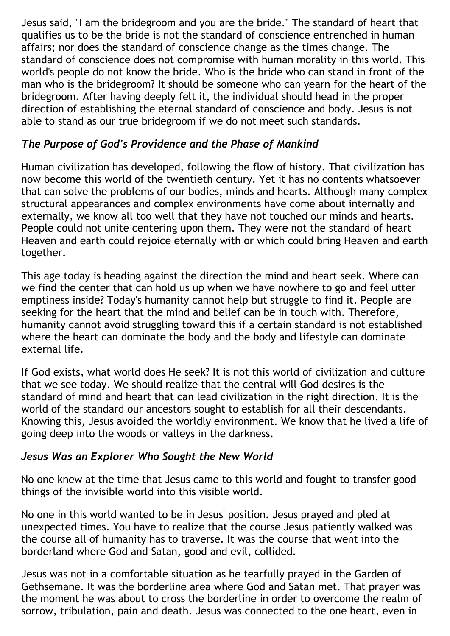Jesus said, "I am the bridegroom and you are the bride." The standard of heart that qualifies us to be the bride is not the standard of conscience entrenched in human affairs; nor does the standard of conscience change as the times change. The standard of conscience does not compromise with human morality in this world. This world's people do not know the bride. Who is the bride who can stand in front of the man who is the bridegroom? It should be someone who can yearn for the heart of the bridegroom. After having deeply felt it, the individual should head in the proper direction of establishing the eternal standard of conscience and body. Jesus is not able to stand as our true bridegroom if we do not meet such standards.

### *The Purpose of God's Providence and the Phase of Mankind*

Human civilization has developed, following the flow of history. That civilization has now become this world of the twentieth century. Yet it has no contents whatsoever that can solve the problems of our bodies, minds and hearts. Although many complex structural appearances and complex environments have come about internally and externally, we know all too well that they have not touched our minds and hearts. People could not unite centering upon them. They were not the standard of heart Heaven and earth could rejoice eternally with or which could bring Heaven and earth together.

This age today is heading against the direction the mind and heart seek. Where can we find the center that can hold us up when we have nowhere to go and feel utter emptiness inside? Today's humanity cannot help but struggle to find it. People are seeking for the heart that the mind and belief can be in touch with. Therefore, humanity cannot avoid struggling toward this if a certain standard is not established where the heart can dominate the body and the body and lifestyle can dominate external life.

If God exists, what world does He seek? It is not this world of civilization and culture that we see today. We should realize that the central will God desires is the standard of mind and heart that can lead civilization in the right direction. It is the world of the standard our ancestors sought to establish for all their descendants. Knowing this, Jesus avoided the worldly environment. We know that he lived a life of going deep into the woods or valleys in the darkness.

### *Jesus Was an Explorer Who Sought the New World*

No one knew at the time that Jesus came to this world and fought to transfer good things of the invisible world into this visible world.

No one in this world wanted to be in Jesus' position. Jesus prayed and pled at unexpected times. You have to realize that the course Jesus patiently walked was the course all of humanity has to traverse. It was the course that went into the borderland where God and Satan, good and evil, collided.

Jesus was not in a comfortable situation as he tearfully prayed in the Garden of Gethsemane. It was the borderline area where God and Satan met. That prayer was the moment he was about to cross the borderline in order to overcome the realm of sorrow, tribulation, pain and death. Jesus was connected to the one heart, even in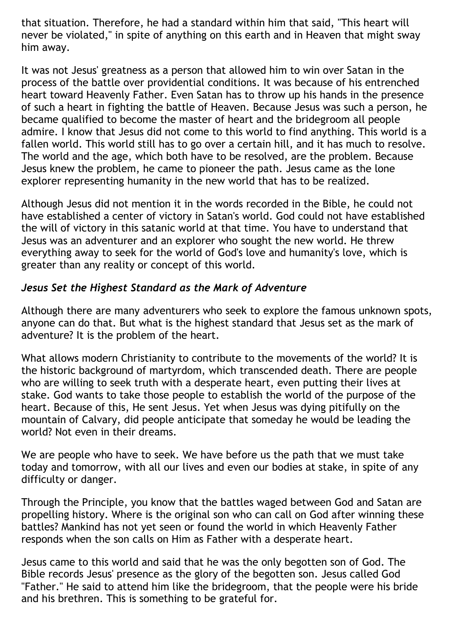that situation. Therefore, he had a standard within him that said, "This heart will never be violated," in spite of anything on this earth and in Heaven that might sway him away.

It was not Jesus' greatness as a person that allowed him to win over Satan in the process of the battle over providential conditions. It was because of his entrenched heart toward Heavenly Father. Even Satan has to throw up his hands in the presence of such a heart in fighting the battle of Heaven. Because Jesus was such a person, he became qualified to become the master of heart and the bridegroom all people admire. I know that Jesus did not come to this world to find anything. This world is a fallen world. This world still has to go over a certain hill, and it has much to resolve. The world and the age, which both have to be resolved, are the problem. Because Jesus knew the problem, he came to pioneer the path. Jesus came as the lone explorer representing humanity in the new world that has to be realized.

Although Jesus did not mention it in the words recorded in the Bible, he could not have established a center of victory in Satan's world. God could not have established the will of victory in this satanic world at that time. You have to understand that Jesus was an adventurer and an explorer who sought the new world. He threw everything away to seek for the world of God's love and humanity's love, which is greater than any reality or concept of this world.

### *Jesus Set the Highest Standard as the Mark of Adventure*

Although there are many adventurers who seek to explore the famous unknown spots, anyone can do that. But what is the highest standard that Jesus set as the mark of adventure? It is the problem of the heart.

What allows modern Christianity to contribute to the movements of the world? It is the historic background of martyrdom, which transcended death. There are people who are willing to seek truth with a desperate heart, even putting their lives at stake. God wants to take those people to establish the world of the purpose of the heart. Because of this, He sent Jesus. Yet when Jesus was dying pitifully on the mountain of Calvary, did people anticipate that someday he would be leading the world? Not even in their dreams.

We are people who have to seek. We have before us the path that we must take today and tomorrow, with all our lives and even our bodies at stake, in spite of any difficulty or danger.

Through the Principle, you know that the battles waged between God and Satan are propelling history. Where is the original son who can call on God after winning these battles? Mankind has not yet seen or found the world in which Heavenly Father responds when the son calls on Him as Father with a desperate heart.

Jesus came to this world and said that he was the only begotten son of God. The Bible records Jesus' presence as the glory of the begotten son. Jesus called God "Father." He said to attend him like the bridegroom, that the people were his bride and his brethren. This is something to be grateful for.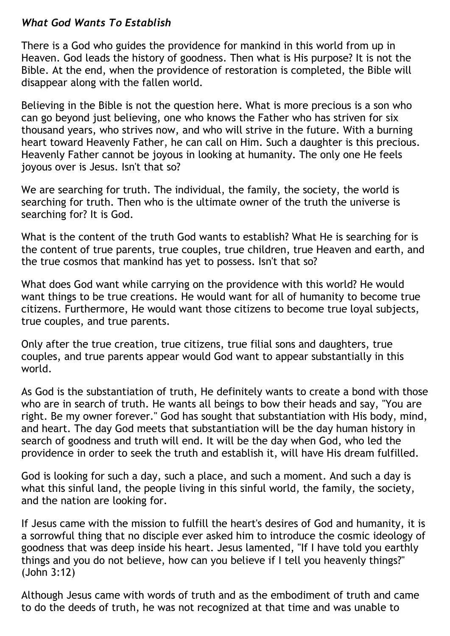#### *What God Wants To Establish*

There is a God who guides the providence for mankind in this world from up in Heaven. God leads the history of goodness. Then what is His purpose? It is not the Bible. At the end, when the providence of restoration is completed, the Bible will disappear along with the fallen world.

Believing in the Bible is not the question here. What is more precious is a son who can go beyond just believing, one who knows the Father who has striven for six thousand years, who strives now, and who will strive in the future. With a burning heart toward Heavenly Father, he can call on Him. Such a daughter is this precious. Heavenly Father cannot be joyous in looking at humanity. The only one He feels joyous over is Jesus. Isn't that so?

We are searching for truth. The individual, the family, the society, the world is searching for truth. Then who is the ultimate owner of the truth the universe is searching for? It is God.

What is the content of the truth God wants to establish? What He is searching for is the content of true parents, true couples, true children, true Heaven and earth, and the true cosmos that mankind has yet to possess. Isn't that so?

What does God want while carrying on the providence with this world? He would want things to be true creations. He would want for all of humanity to become true citizens. Furthermore, He would want those citizens to become true loyal subjects, true couples, and true parents.

Only after the true creation, true citizens, true filial sons and daughters, true couples, and true parents appear would God want to appear substantially in this world.

As God is the substantiation of truth, He definitely wants to create a bond with those who are in search of truth. He wants all beings to bow their heads and say, "You are right. Be my owner forever." God has sought that substantiation with His body, mind, and heart. The day God meets that substantiation will be the day human history in search of goodness and truth will end. It will be the day when God, who led the providence in order to seek the truth and establish it, will have His dream fulfilled.

God is looking for such a day, such a place, and such a moment. And such a day is what this sinful land, the people living in this sinful world, the family, the society, and the nation are looking for.

If Jesus came with the mission to fulfill the heart's desires of God and humanity, it is a sorrowful thing that no disciple ever asked him to introduce the cosmic ideology of goodness that was deep inside his heart. Jesus lamented, "If I have told you earthly things and you do not believe, how can you believe if I tell you heavenly things?" (John 3:12)

Although Jesus came with words of truth and as the embodiment of truth and came to do the deeds of truth, he was not recognized at that time and was unable to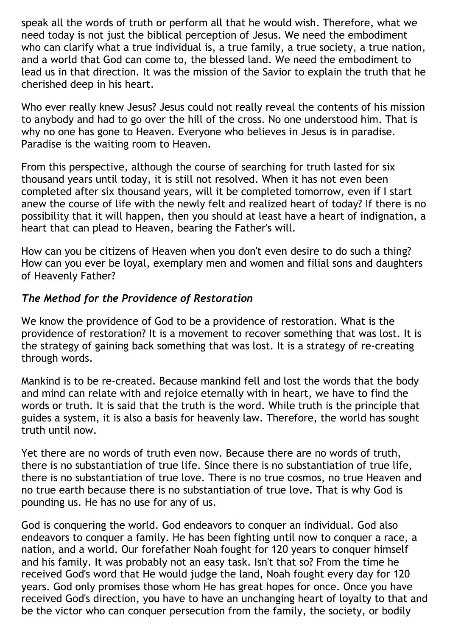speak all the words of truth or perform all that he would wish. Therefore, what we need today is not just the biblical perception of Jesus. We need the embodiment who can clarify what a true individual is, a true family, a true society, a true nation, and a world that God can come to, the blessed land. We need the embodiment to lead us in that direction. It was the mission of the Savior to explain the truth that he cherished deep in his heart.

Who ever really knew Jesus? Jesus could not really reveal the contents of his mission to anybody and had to go over the hill of the cross. No one understood him. That is why no one has gone to Heaven. Everyone who believes in Jesus is in paradise. Paradise is the waiting room to Heaven.

From this perspective, although the course of searching for truth lasted for six thousand years until today, it is still not resolved. When it has not even been completed after six thousand years, will it be completed tomorrow, even if I start anew the course of life with the newly felt and realized heart of today? If there is no possibility that it will happen, then you should at least have a heart of indignation, a heart that can plead to Heaven, bearing the Father's will.

How can you be citizens of Heaven when you don't even desire to do such a thing? How can you ever be loyal, exemplary men and women and filial sons and daughters of Heavenly Father?

### *The Method for the Providence of Restoration*

We know the providence of God to be a providence of restoration. What is the providence of restoration? It is a movement to recover something that was lost. It is the strategy of gaining back something that was lost. It is a strategy of re-creating through words.

Mankind is to be re-created. Because mankind fell and lost the words that the body and mind can relate with and rejoice eternally with in heart, we have to find the words or truth. It is said that the truth is the word. While truth is the principle that guides a system, it is also a basis for heavenly law. Therefore, the world has sought truth until now.

Yet there are no words of truth even now. Because there are no words of truth, there is no substantiation of true life. Since there is no substantiation of true life, there is no substantiation of true love. There is no true cosmos, no true Heaven and no true earth because there is no substantiation of true love. That is why God is pounding us. He has no use for any of us.

God is conquering the world. God endeavors to conquer an individual. God also endeavors to conquer a family. He has been fighting until now to conquer a race, a nation, and a world. Our forefather Noah fought for 120 years to conquer himself and his family. It was probably not an easy task. Isn't that so? From the time he received God's word that He would judge the land, Noah fought every day for 120 years. God only promises those whom He has great hopes for once. Once you have received God's direction, you have to have an unchanging heart of loyalty to that and be the victor who can conquer persecution from the family, the society, or bodily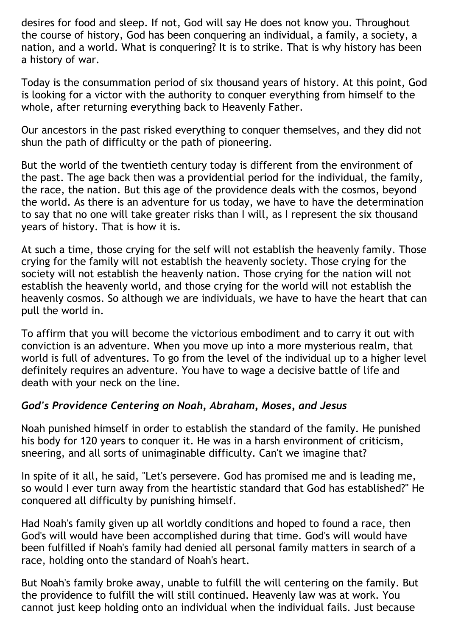desires for food and sleep. If not, God will say He does not know you. Throughout the course of history, God has been conquering an individual, a family, a society, a nation, and a world. What is conquering? It is to strike. That is why history has been a history of war.

Today is the consummation period of six thousand years of history. At this point, God is looking for a victor with the authority to conquer everything from himself to the whole, after returning everything back to Heavenly Father.

Our ancestors in the past risked everything to conquer themselves, and they did not shun the path of difficulty or the path of pioneering.

But the world of the twentieth century today is different from the environment of the past. The age back then was a providential period for the individual, the family, the race, the nation. But this age of the providence deals with the cosmos, beyond the world. As there is an adventure for us today, we have to have the determination to say that no one will take greater risks than I will, as I represent the six thousand years of history. That is how it is.

At such a time, those crying for the self will not establish the heavenly family. Those crying for the family will not establish the heavenly society. Those crying for the society will not establish the heavenly nation. Those crying for the nation will not establish the heavenly world, and those crying for the world will not establish the heavenly cosmos. So although we are individuals, we have to have the heart that can pull the world in.

To affirm that you will become the victorious embodiment and to carry it out with conviction is an adventure. When you move up into a more mysterious realm, that world is full of adventures. To go from the level of the individual up to a higher level definitely requires an adventure. You have to wage a decisive battle of life and death with your neck on the line.

### *God's Providence Centering on Noah, Abraham, Moses, and Jesus*

Noah punished himself in order to establish the standard of the family. He punished his body for 120 years to conquer it. He was in a harsh environment of criticism, sneering, and all sorts of unimaginable difficulty. Can't we imagine that?

In spite of it all, he said, "Let's persevere. God has promised me and is leading me, so would I ever turn away from the heartistic standard that God has established?" He conquered all difficulty by punishing himself.

Had Noah's family given up all worldly conditions and hoped to found a race, then God's will would have been accomplished during that time. God's will would have been fulfilled if Noah's family had denied all personal family matters in search of a race, holding onto the standard of Noah's heart.

But Noah's family broke away, unable to fulfill the will centering on the family. But the providence to fulfill the will still continued. Heavenly law was at work. You cannot just keep holding onto an individual when the individual fails. Just because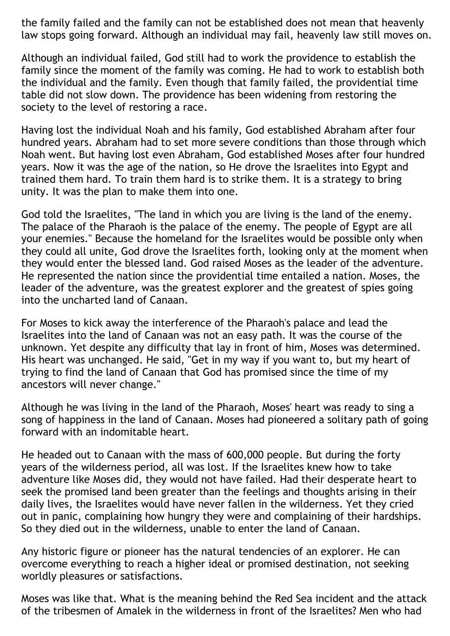the family failed and the family can not be established does not mean that heavenly law stops going forward. Although an individual may fail, heavenly law still moves on.

Although an individual failed, God still had to work the providence to establish the family since the moment of the family was coming. He had to work to establish both the individual and the family. Even though that family failed, the providential time table did not slow down. The providence has been widening from restoring the society to the level of restoring a race.

Having lost the individual Noah and his family, God established Abraham after four hundred years. Abraham had to set more severe conditions than those through which Noah went. But having lost even Abraham, God established Moses after four hundred years. Now it was the age of the nation, so He drove the Israelites into Egypt and trained them hard. To train them hard is to strike them. It is a strategy to bring unity. It was the plan to make them into one.

God told the Israelites, "The land in which you are living is the land of the enemy. The palace of the Pharaoh is the palace of the enemy. The people of Egypt are all your enemies." Because the homeland for the Israelites would be possible only when they could all unite, God drove the Israelites forth, looking only at the moment when they would enter the blessed land. God raised Moses as the leader of the adventure. He represented the nation since the providential time entailed a nation. Moses, the leader of the adventure, was the greatest explorer and the greatest of spies going into the uncharted land of Canaan.

For Moses to kick away the interference of the Pharaoh's palace and lead the Israelites into the land of Canaan was not an easy path. It was the course of the unknown. Yet despite any difficulty that lay in front of him, Moses was determined. His heart was unchanged. He said, "Get in my way if you want to, but my heart of trying to find the land of Canaan that God has promised since the time of my ancestors will never change."

Although he was living in the land of the Pharaoh, Moses' heart was ready to sing a song of happiness in the land of Canaan. Moses had pioneered a solitary path of going forward with an indomitable heart.

He headed out to Canaan with the mass of 600,000 people. But during the forty years of the wilderness period, all was lost. If the Israelites knew how to take adventure like Moses did, they would not have failed. Had their desperate heart to seek the promised land been greater than the feelings and thoughts arising in their daily lives, the Israelites would have never fallen in the wilderness. Yet they cried out in panic, complaining how hungry they were and complaining of their hardships. So they died out in the wilderness, unable to enter the land of Canaan.

Any historic figure or pioneer has the natural tendencies of an explorer. He can overcome everything to reach a higher ideal or promised destination, not seeking worldly pleasures or satisfactions.

Moses was like that. What is the meaning behind the Red Sea incident and the attack of the tribesmen of Amalek in the wilderness in front of the Israelites? Men who had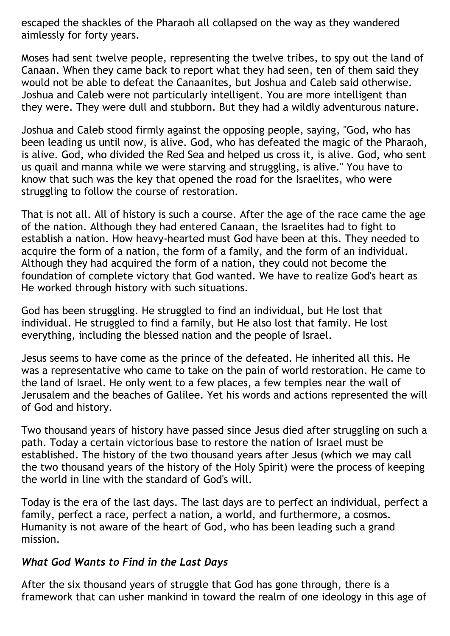escaped the shackles of the Pharaoh all collapsed on the way as they wandered aimlessly for forty years.

Moses had sent twelve people, representing the twelve tribes, to spy out the land of Canaan. When they came back to report what they had seen, ten of them said they would not be able to defeat the Canaanites, but Joshua and Caleb said otherwise. Joshua and Caleb were not particularly intelligent. You are more intelligent than they were. They were dull and stubborn. But they had a wildly adventurous nature.

Joshua and Caleb stood firmly against the opposing people, saying, "God, who has been leading us until now, is alive. God, who has defeated the magic of the Pharaoh, is alive. God, who divided the Red Sea and helped us cross it, is alive. God, who sent us quail and manna while we were starving and struggling, is alive." You have to know that such was the key that opened the road for the Israelites, who were struggling to follow the course of restoration.

That is not all. All of history is such a course. After the age of the race came the age of the nation. Although they had entered Canaan, the Israelites had to fight to establish a nation. How heavy-hearted must God have been at this. They needed to acquire the form of a nation, the form of a family, and the form of an individual. Although they had acquired the form of a nation, they could not become the foundation of complete victory that God wanted. We have to realize God's heart as He worked through history with such situations.

God has been struggling. He struggled to find an individual, but He lost that individual. He struggled to find a family, but He also lost that family. He lost everything, including the blessed nation and the people of Israel.

Jesus seems to have come as the prince of the defeated. He inherited all this. He was a representative who came to take on the pain of world restoration. He came to the land of Israel. He only went to a few places, a few temples near the wall of Jerusalem and the beaches of Galilee. Yet his words and actions represented the will of God and history.

Two thousand years of history have passed since Jesus died after struggling on such a path. Today a certain victorious base to restore the nation of Israel must be established. The history of the two thousand years after Jesus (which we may call the two thousand years of the history of the Holy Spirit) were the process of keeping the world in line with the standard of God's will.

Today is the era of the last days. The last days are to perfect an individual, perfect a family, perfect a race, perfect a nation, a world, and furthermore, a cosmos. Humanity is not aware of the heart of God, who has been leading such a grand mission.

### *What God Wants to Find in the Last Days*

After the six thousand years of struggle that God has gone through, there is a framework that can usher mankind in toward the realm of one ideology in this age of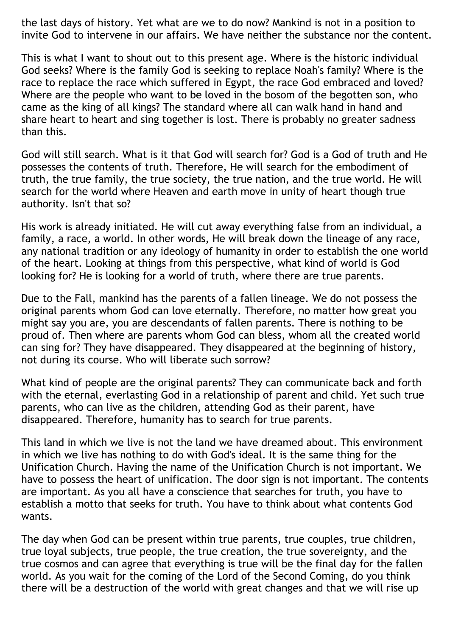the last days of history. Yet what are we to do now? Mankind is not in a position to invite God to intervene in our affairs. We have neither the substance nor the content.

This is what I want to shout out to this present age. Where is the historic individual God seeks? Where is the family God is seeking to replace Noah's family? Where is the race to replace the race which suffered in Egypt, the race God embraced and loved? Where are the people who want to be loved in the bosom of the begotten son, who came as the king of all kings? The standard where all can walk hand in hand and share heart to heart and sing together is lost. There is probably no greater sadness than this.

God will still search. What is it that God will search for? God is a God of truth and He possesses the contents of truth. Therefore, He will search for the embodiment of truth, the true family, the true society, the true nation, and the true world. He will search for the world where Heaven and earth move in unity of heart though true authority. Isn't that so?

His work is already initiated. He will cut away everything false from an individual, a family, a race, a world. In other words, He will break down the lineage of any race, any national tradition or any ideology of humanity in order to establish the one world of the heart. Looking at things from this perspective, what kind of world is God looking for? He is looking for a world of truth, where there are true parents.

Due to the Fall, mankind has the parents of a fallen lineage. We do not possess the original parents whom God can love eternally. Therefore, no matter how great you might say you are, you are descendants of fallen parents. There is nothing to be proud of. Then where are parents whom God can bless, whom all the created world can sing for? They have disappeared. They disappeared at the beginning of history, not during its course. Who will liberate such sorrow?

What kind of people are the original parents? They can communicate back and forth with the eternal, everlasting God in a relationship of parent and child. Yet such true parents, who can live as the children, attending God as their parent, have disappeared. Therefore, humanity has to search for true parents.

This land in which we live is not the land we have dreamed about. This environment in which we live has nothing to do with God's ideal. It is the same thing for the Unification Church. Having the name of the Unification Church is not important. We have to possess the heart of unification. The door sign is not important. The contents are important. As you all have a conscience that searches for truth, you have to establish a motto that seeks for truth. You have to think about what contents God wants.

The day when God can be present within true parents, true couples, true children, true loyal subjects, true people, the true creation, the true sovereignty, and the true cosmos and can agree that everything is true will be the final day for the fallen world. As you wait for the coming of the Lord of the Second Coming, do you think there will be a destruction of the world with great changes and that we will rise up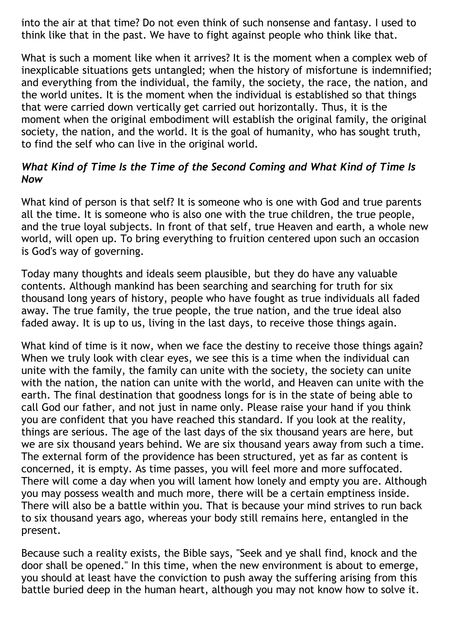into the air at that time? Do not even think of such nonsense and fantasy. I used to think like that in the past. We have to fight against people who think like that.

What is such a moment like when it arrives? It is the moment when a complex web of inexplicable situations gets untangled; when the history of misfortune is indemnified; and everything from the individual, the family, the society, the race, the nation, and the world unites. It is the moment when the individual is established so that things that were carried down vertically get carried out horizontally. Thus, it is the moment when the original embodiment will establish the original family, the original society, the nation, and the world. It is the goal of humanity, who has sought truth, to find the self who can live in the original world.

### *What Kind of Time Is the Time of the Second Coming and What Kind of Time Is Now*

What kind of person is that self? It is someone who is one with God and true parents all the time. It is someone who is also one with the true children, the true people, and the true loyal subjects. In front of that self, true Heaven and earth, a whole new world, will open up. To bring everything to fruition centered upon such an occasion is God's way of governing.

Today many thoughts and ideals seem plausible, but they do have any valuable contents. Although mankind has been searching and searching for truth for six thousand long years of history, people who have fought as true individuals all faded away. The true family, the true people, the true nation, and the true ideal also faded away. It is up to us, living in the last days, to receive those things again.

What kind of time is it now, when we face the destiny to receive those things again? When we truly look with clear eyes, we see this is a time when the individual can unite with the family, the family can unite with the society, the society can unite with the nation, the nation can unite with the world, and Heaven can unite with the earth. The final destination that goodness longs for is in the state of being able to call God our father, and not just in name only. Please raise your hand if you think you are confident that you have reached this standard. If you look at the reality, things are serious. The age of the last days of the six thousand years are here, but we are six thousand years behind. We are six thousand years away from such a time. The external form of the providence has been structured, yet as far as content is concerned, it is empty. As time passes, you will feel more and more suffocated. There will come a day when you will lament how lonely and empty you are. Although you may possess wealth and much more, there will be a certain emptiness inside. There will also be a battle within you. That is because your mind strives to run back to six thousand years ago, whereas your body still remains here, entangled in the present.

Because such a reality exists, the Bible says, "Seek and ye shall find, knock and the door shall be opened." In this time, when the new environment is about to emerge, you should at least have the conviction to push away the suffering arising from this battle buried deep in the human heart, although you may not know how to solve it.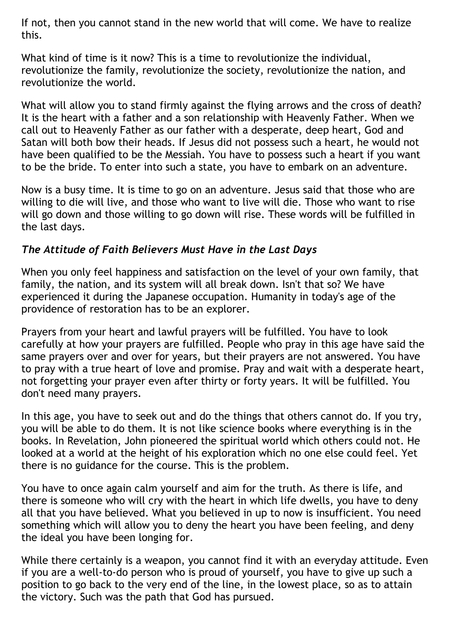If not, then you cannot stand in the new world that will come. We have to realize this.

What kind of time is it now? This is a time to revolutionize the individual, revolutionize the family, revolutionize the society, revolutionize the nation, and revolutionize the world.

What will allow you to stand firmly against the flying arrows and the cross of death? It is the heart with a father and a son relationship with Heavenly Father. When we call out to Heavenly Father as our father with a desperate, deep heart, God and Satan will both bow their heads. If Jesus did not possess such a heart, he would not have been qualified to be the Messiah. You have to possess such a heart if you want to be the bride. To enter into such a state, you have to embark on an adventure.

Now is a busy time. It is time to go on an adventure. Jesus said that those who are willing to die will live, and those who want to live will die. Those who want to rise will go down and those willing to go down will rise. These words will be fulfilled in the last days.

### *The Attitude of Faith Believers Must Have in the Last Days*

When you only feel happiness and satisfaction on the level of your own family, that family, the nation, and its system will all break down. Isn't that so? We have experienced it during the Japanese occupation. Humanity in today's age of the providence of restoration has to be an explorer.

Prayers from your heart and lawful prayers will be fulfilled. You have to look carefully at how your prayers are fulfilled. People who pray in this age have said the same prayers over and over for years, but their prayers are not answered. You have to pray with a true heart of love and promise. Pray and wait with a desperate heart, not forgetting your prayer even after thirty or forty years. It will be fulfilled. You don't need many prayers.

In this age, you have to seek out and do the things that others cannot do. If you try, you will be able to do them. It is not like science books where everything is in the books. In Revelation, John pioneered the spiritual world which others could not. He looked at a world at the height of his exploration which no one else could feel. Yet there is no guidance for the course. This is the problem.

You have to once again calm yourself and aim for the truth. As there is life, and there is someone who will cry with the heart in which life dwells, you have to deny all that you have believed. What you believed in up to now is insufficient. You need something which will allow you to deny the heart you have been feeling, and deny the ideal you have been longing for.

While there certainly is a weapon, you cannot find it with an everyday attitude. Even if you are a well-to-do person who is proud of yourself, you have to give up such a position to go back to the very end of the line, in the lowest place, so as to attain the victory. Such was the path that God has pursued.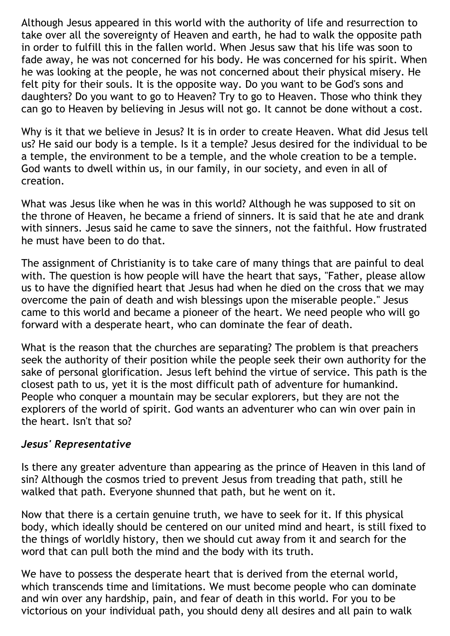Although Jesus appeared in this world with the authority of life and resurrection to take over all the sovereignty of Heaven and earth, he had to walk the opposite path in order to fulfill this in the fallen world. When Jesus saw that his life was soon to fade away, he was not concerned for his body. He was concerned for his spirit. When he was looking at the people, he was not concerned about their physical misery. He felt pity for their souls. It is the opposite way. Do you want to be God's sons and daughters? Do you want to go to Heaven? Try to go to Heaven. Those who think they can go to Heaven by believing in Jesus will not go. It cannot be done without a cost.

Why is it that we believe in Jesus? It is in order to create Heaven. What did Jesus tell us? He said our body is a temple. Is it a temple? Jesus desired for the individual to be a temple, the environment to be a temple, and the whole creation to be a temple. God wants to dwell within us, in our family, in our society, and even in all of creation.

What was Jesus like when he was in this world? Although he was supposed to sit on the throne of Heaven, he became a friend of sinners. It is said that he ate and drank with sinners. Jesus said he came to save the sinners, not the faithful. How frustrated he must have been to do that.

The assignment of Christianity is to take care of many things that are painful to deal with. The question is how people will have the heart that says, "Father, please allow us to have the dignified heart that Jesus had when he died on the cross that we may overcome the pain of death and wish blessings upon the miserable people." Jesus came to this world and became a pioneer of the heart. We need people who will go forward with a desperate heart, who can dominate the fear of death.

What is the reason that the churches are separating? The problem is that preachers seek the authority of their position while the people seek their own authority for the sake of personal glorification. Jesus left behind the virtue of service. This path is the closest path to us, yet it is the most difficult path of adventure for humankind. People who conquer a mountain may be secular explorers, but they are not the explorers of the world of spirit. God wants an adventurer who can win over pain in the heart. Isn't that so?

#### *Jesus' Representative*

Is there any greater adventure than appearing as the prince of Heaven in this land of sin? Although the cosmos tried to prevent Jesus from treading that path, still he walked that path. Everyone shunned that path, but he went on it.

Now that there is a certain genuine truth, we have to seek for it. If this physical body, which ideally should be centered on our united mind and heart, is still fixed to the things of worldly history, then we should cut away from it and search for the word that can pull both the mind and the body with its truth.

We have to possess the desperate heart that is derived from the eternal world, which transcends time and limitations. We must become people who can dominate and win over any hardship, pain, and fear of death in this world. For you to be victorious on your individual path, you should deny all desires and all pain to walk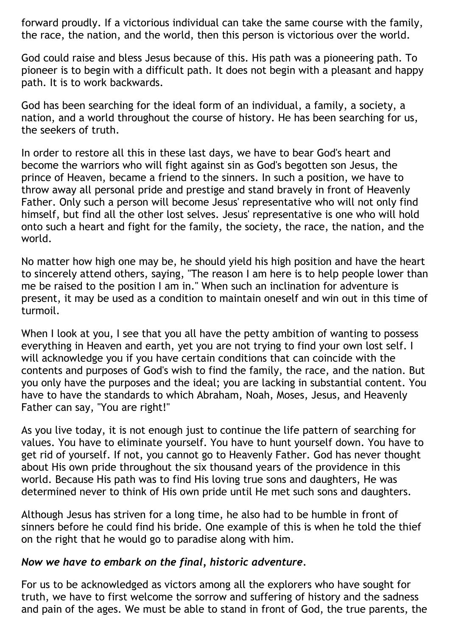forward proudly. If a victorious individual can take the same course with the family, the race, the nation, and the world, then this person is victorious over the world.

God could raise and bless Jesus because of this. His path was a pioneering path. To pioneer is to begin with a difficult path. It does not begin with a pleasant and happy path. It is to work backwards.

God has been searching for the ideal form of an individual, a family, a society, a nation, and a world throughout the course of history. He has been searching for us, the seekers of truth.

In order to restore all this in these last days, we have to bear God's heart and become the warriors who will fight against sin as God's begotten son Jesus, the prince of Heaven, became a friend to the sinners. In such a position, we have to throw away all personal pride and prestige and stand bravely in front of Heavenly Father. Only such a person will become Jesus' representative who will not only find himself, but find all the other lost selves. Jesus' representative is one who will hold onto such a heart and fight for the family, the society, the race, the nation, and the world.

No matter how high one may be, he should yield his high position and have the heart to sincerely attend others, saying, "The reason I am here is to help people lower than me be raised to the position I am in." When such an inclination for adventure is present, it may be used as a condition to maintain oneself and win out in this time of turmoil.

When I look at you, I see that you all have the petty ambition of wanting to possess everything in Heaven and earth, yet you are not trying to find your own lost self. I will acknowledge you if you have certain conditions that can coincide with the contents and purposes of God's wish to find the family, the race, and the nation. But you only have the purposes and the ideal; you are lacking in substantial content. You have to have the standards to which Abraham, Noah, Moses, Jesus, and Heavenly Father can say, "You are right!"

As you live today, it is not enough just to continue the life pattern of searching for values. You have to eliminate yourself. You have to hunt yourself down. You have to get rid of yourself. If not, you cannot go to Heavenly Father. God has never thought about His own pride throughout the six thousand years of the providence in this world. Because His path was to find His loving true sons and daughters, He was determined never to think of His own pride until He met such sons and daughters.

Although Jesus has striven for a long time, he also had to be humble in front of sinners before he could find his bride. One example of this is when he told the thief on the right that he would go to paradise along with him.

#### *Now we have to embark on the final, historic adventure.*

For us to be acknowledged as victors among all the explorers who have sought for truth, we have to first welcome the sorrow and suffering of history and the sadness and pain of the ages. We must be able to stand in front of God, the true parents, the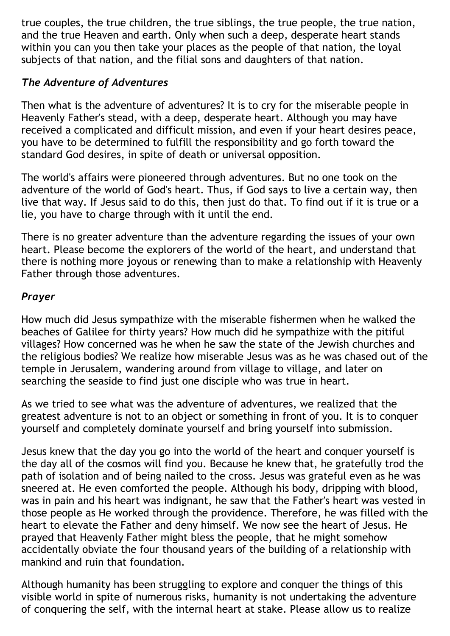true couples, the true children, the true siblings, the true people, the true nation, and the true Heaven and earth. Only when such a deep, desperate heart stands within you can you then take your places as the people of that nation, the loyal subjects of that nation, and the filial sons and daughters of that nation.

# *The Adventure of Adventures*

Then what is the adventure of adventures? It is to cry for the miserable people in Heavenly Father's stead, with a deep, desperate heart. Although you may have received a complicated and difficult mission, and even if your heart desires peace, you have to be determined to fulfill the responsibility and go forth toward the standard God desires, in spite of death or universal opposition.

The world's affairs were pioneered through adventures. But no one took on the adventure of the world of God's heart. Thus, if God says to live a certain way, then live that way. If Jesus said to do this, then just do that. To find out if it is true or a lie, you have to charge through with it until the end.

There is no greater adventure than the adventure regarding the issues of your own heart. Please become the explorers of the world of the heart, and understand that there is nothing more joyous or renewing than to make a relationship with Heavenly Father through those adventures.

# *Prayer*

How much did Jesus sympathize with the miserable fishermen when he walked the beaches of Galilee for thirty years? How much did he sympathize with the pitiful villages? How concerned was he when he saw the state of the Jewish churches and the religious bodies? We realize how miserable Jesus was as he was chased out of the temple in Jerusalem, wandering around from village to village, and later on searching the seaside to find just one disciple who was true in heart.

As we tried to see what was the adventure of adventures, we realized that the greatest adventure is not to an object or something in front of you. It is to conquer yourself and completely dominate yourself and bring yourself into submission.

Jesus knew that the day you go into the world of the heart and conquer yourself is the day all of the cosmos will find you. Because he knew that, he gratefully trod the path of isolation and of being nailed to the cross. Jesus was grateful even as he was sneered at. He even comforted the people. Although his body, dripping with blood, was in pain and his heart was indignant, he saw that the Father's heart was vested in those people as He worked through the providence. Therefore, he was filled with the heart to elevate the Father and deny himself. We now see the heart of Jesus. He prayed that Heavenly Father might bless the people, that he might somehow accidentally obviate the four thousand years of the building of a relationship with mankind and ruin that foundation.

Although humanity has been struggling to explore and conquer the things of this visible world in spite of numerous risks, humanity is not undertaking the adventure of conquering the self, with the internal heart at stake. Please allow us to realize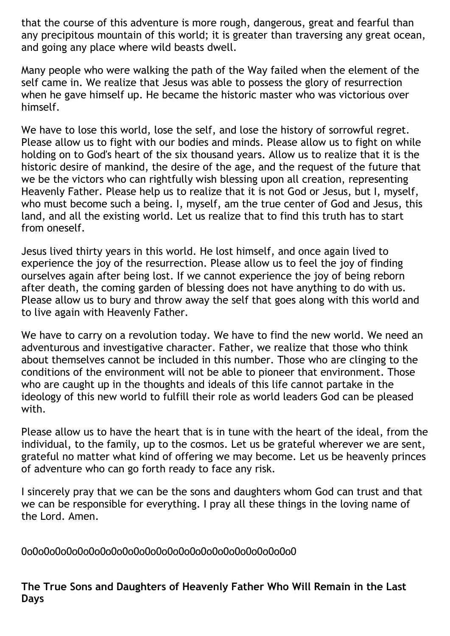that the course of this adventure is more rough, dangerous, great and fearful than any precipitous mountain of this world; it is greater than traversing any great ocean, and going any place where wild beasts dwell.

Many people who were walking the path of the Way failed when the element of the self came in. We realize that Jesus was able to possess the glory of resurrection when he gave himself up. He became the historic master who was victorious over himself.

We have to lose this world, lose the self, and lose the history of sorrowful regret. Please allow us to fight with our bodies and minds. Please allow us to fight on while holding on to God's heart of the six thousand years. Allow us to realize that it is the historic desire of mankind, the desire of the age, and the request of the future that we be the victors who can rightfully wish blessing upon all creation, representing Heavenly Father. Please help us to realize that it is not God or Jesus, but I, myself, who must become such a being. I, myself, am the true center of God and Jesus, this land, and all the existing world. Let us realize that to find this truth has to start from oneself.

Jesus lived thirty years in this world. He lost himself, and once again lived to experience the joy of the resurrection. Please allow us to feel the joy of finding ourselves again after being lost. If we cannot experience the joy of being reborn after death, the coming garden of blessing does not have anything to do with us. Please allow us to bury and throw away the self that goes along with this world and to live again with Heavenly Father.

We have to carry on a revolution today. We have to find the new world. We need an adventurous and investigative character. Father, we realize that those who think about themselves cannot be included in this number. Those who are clinging to the conditions of the environment will not be able to pioneer that environment. Those who are caught up in the thoughts and ideals of this life cannot partake in the ideology of this new world to fulfill their role as world leaders God can be pleased with.

Please allow us to have the heart that is in tune with the heart of the ideal, from the individual, to the family, up to the cosmos. Let us be grateful wherever we are sent, grateful no matter what kind of offering we may become. Let us be heavenly princes of adventure who can go forth ready to face any risk.

I sincerely pray that we can be the sons and daughters whom God can trust and that we can be responsible for everything. I pray all these things in the loving name of the Lord. Amen.

0o0o0o0o0o0o0o0o0o0o0o0o0o0o0o0o0o0o0o0o0o0o0o0o0

**The True Sons and Daughters of Heavenly Father Who Will Remain in the Last Days**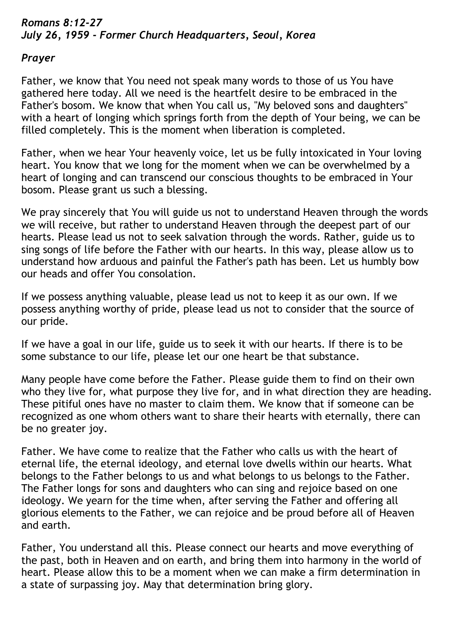## *Romans 8:12-27 July 26, 1959 - Former Church Headquarters, Seoul, Korea*

### *Prayer*

Father, we know that You need not speak many words to those of us You have gathered here today. All we need is the heartfelt desire to be embraced in the Father's bosom. We know that when You call us, "My beloved sons and daughters" with a heart of longing which springs forth from the depth of Your being, we can be filled completely. This is the moment when liberation is completed.

Father, when we hear Your heavenly voice, let us be fully intoxicated in Your loving heart. You know that we long for the moment when we can be overwhelmed by a heart of longing and can transcend our conscious thoughts to be embraced in Your bosom. Please grant us such a blessing.

We pray sincerely that You will guide us not to understand Heaven through the words we will receive, but rather to understand Heaven through the deepest part of our hearts. Please lead us not to seek salvation through the words. Rather, guide us to sing songs of life before the Father with our hearts. In this way, please allow us to understand how arduous and painful the Father's path has been. Let us humbly bow our heads and offer You consolation.

If we possess anything valuable, please lead us not to keep it as our own. If we possess anything worthy of pride, please lead us not to consider that the source of our pride.

If we have a goal in our life, guide us to seek it with our hearts. If there is to be some substance to our life, please let our one heart be that substance.

Many people have come before the Father. Please guide them to find on their own who they live for, what purpose they live for, and in what direction they are heading. These pitiful ones have no master to claim them. We know that if someone can be recognized as one whom others want to share their hearts with eternally, there can be no greater joy.

Father. We have come to realize that the Father who calls us with the heart of eternal life, the eternal ideology, and eternal love dwells within our hearts. What belongs to the Father belongs to us and what belongs to us belongs to the Father. The Father longs for sons and daughters who can sing and rejoice based on one ideology. We yearn for the time when, after serving the Father and offering all glorious elements to the Father, we can rejoice and be proud before all of Heaven and earth.

Father, You understand all this. Please connect our hearts and move everything of the past, both in Heaven and on earth, and bring them into harmony in the world of heart. Please allow this to be a moment when we can make a firm determination in a state of surpassing joy. May that determination bring glory.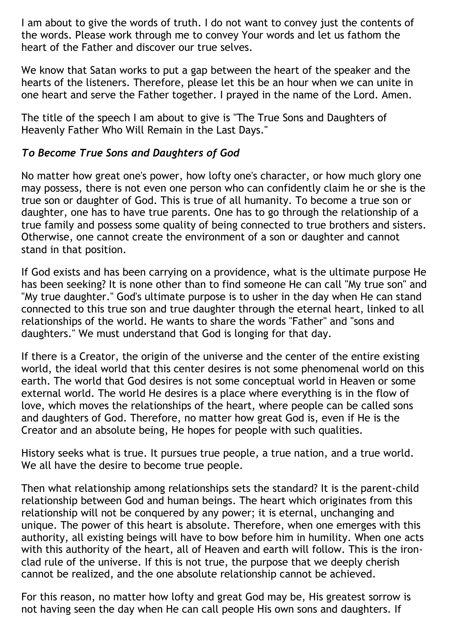I am about to give the words of truth. I do not want to convey just the contents of the words. Please work through me to convey Your words and let us fathom the heart of the Father and discover our true selves.

We know that Satan works to put a gap between the heart of the speaker and the hearts of the listeners. Therefore, please let this be an hour when we can unite in one heart and serve the Father together. I prayed in the name of the Lord. Amen.

The title of the speech I am about to give is "The True Sons and Daughters of Heavenly Father Who Will Remain in the Last Days."

### *To Become True Sons and Daughters of God*

No matter how great one's power, how lofty one's character, or how much glory one may possess, there is not even one person who can confidently claim he or she is the true son or daughter of God. This is true of all humanity. To become a true son or daughter, one has to have true parents. One has to go through the relationship of a true family and possess some quality of being connected to true brothers and sisters. Otherwise, one cannot create the environment of a son or daughter and cannot stand in that position.

If God exists and has been carrying on a providence, what is the ultimate purpose He has been seeking? It is none other than to find someone He can call "My true son" and "My true daughter." God's ultimate purpose is to usher in the day when He can stand connected to this true son and true daughter through the eternal heart, linked to all relationships of the world. He wants to share the words "Father" and "sons and daughters." We must understand that God is longing for that day.

If there is a Creator, the origin of the universe and the center of the entire existing world, the ideal world that this center desires is not some phenomenal world on this earth. The world that God desires is not some conceptual world in Heaven or some external world. The world He desires is a place where everything is in the flow of love, which moves the relationships of the heart, where people can be called sons and daughters of God. Therefore, no matter how great God is, even if He is the Creator and an absolute being, He hopes for people with such qualities.

History seeks what is true. It pursues true people, a true nation, and a true world. We all have the desire to become true people.

Then what relationship among relationships sets the standard? It is the parent-child relationship between God and human beings. The heart which originates from this relationship will not be conquered by any power; it is eternal, unchanging and unique. The power of this heart is absolute. Therefore, when one emerges with this authority, all existing beings will have to bow before him in humility. When one acts with this authority of the heart, all of Heaven and earth will follow. This is the ironclad rule of the universe. If this is not true, the purpose that we deeply cherish cannot be realized, and the one absolute relationship cannot be achieved.

For this reason, no matter how lofty and great God may be, His greatest sorrow is not having seen the day when He can call people His own sons and daughters. If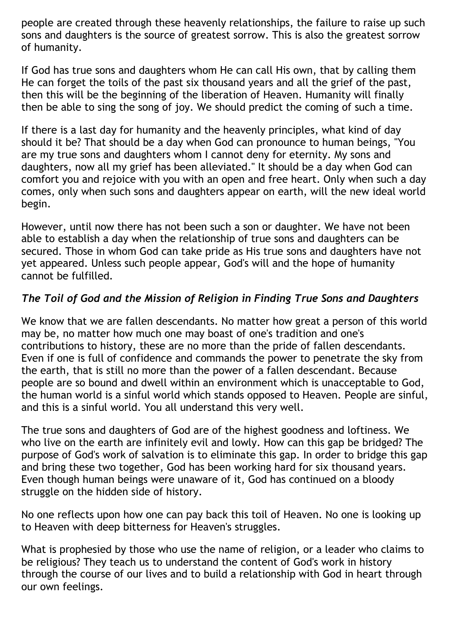people are created through these heavenly relationships, the failure to raise up such sons and daughters is the source of greatest sorrow. This is also the greatest sorrow of humanity.

If God has true sons and daughters whom He can call His own, that by calling them He can forget the toils of the past six thousand years and all the grief of the past, then this will be the beginning of the liberation of Heaven. Humanity will finally then be able to sing the song of joy. We should predict the coming of such a time.

If there is a last day for humanity and the heavenly principles, what kind of day should it be? That should be a day when God can pronounce to human beings, "You are my true sons and daughters whom I cannot deny for eternity. My sons and daughters, now all my grief has been alleviated." It should be a day when God can comfort you and rejoice with you with an open and free heart. Only when such a day comes, only when such sons and daughters appear on earth, will the new ideal world begin.

However, until now there has not been such a son or daughter. We have not been able to establish a day when the relationship of true sons and daughters can be secured. Those in whom God can take pride as His true sons and daughters have not yet appeared. Unless such people appear, God's will and the hope of humanity cannot be fulfilled.

# *The Toil of God and the Mission of Religion in Finding True Sons and Daughters*

We know that we are fallen descendants. No matter how great a person of this world may be, no matter how much one may boast of one's tradition and one's contributions to history, these are no more than the pride of fallen descendants. Even if one is full of confidence and commands the power to penetrate the sky from the earth, that is still no more than the power of a fallen descendant. Because people are so bound and dwell within an environment which is unacceptable to God, the human world is a sinful world which stands opposed to Heaven. People are sinful, and this is a sinful world. You all understand this very well.

The true sons and daughters of God are of the highest goodness and loftiness. We who live on the earth are infinitely evil and lowly. How can this gap be bridged? The purpose of God's work of salvation is to eliminate this gap. In order to bridge this gap and bring these two together, God has been working hard for six thousand years. Even though human beings were unaware of it, God has continued on a bloody struggle on the hidden side of history.

No one reflects upon how one can pay back this toil of Heaven. No one is looking up to Heaven with deep bitterness for Heaven's struggles.

What is prophesied by those who use the name of religion, or a leader who claims to be religious? They teach us to understand the content of God's work in history through the course of our lives and to build a relationship with God in heart through our own feelings.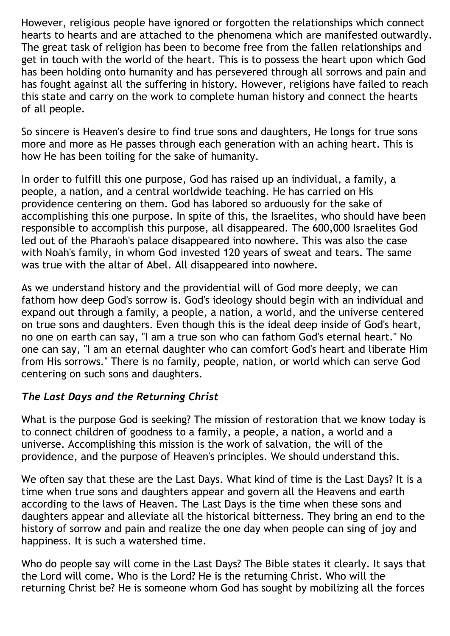However, religious people have ignored or forgotten the relationships which connect hearts to hearts and are attached to the phenomena which are manifested outwardly. The great task of religion has been to become free from the fallen relationships and get in touch with the world of the heart. This is to possess the heart upon which God has been holding onto humanity and has persevered through all sorrows and pain and has fought against all the suffering in history. However, religions have failed to reach this state and carry on the work to complete human history and connect the hearts of all people.

So sincere is Heaven's desire to find true sons and daughters, He longs for true sons more and more as He passes through each generation with an aching heart. This is how He has been toiling for the sake of humanity.

In order to fulfill this one purpose, God has raised up an individual, a family, a people, a nation, and a central worldwide teaching. He has carried on His providence centering on them. God has labored so arduously for the sake of accomplishing this one purpose. In spite of this, the Israelites, who should have been responsible to accomplish this purpose, all disappeared. The 600,000 Israelites God led out of the Pharaoh's palace disappeared into nowhere. This was also the case with Noah's family, in whom God invested 120 years of sweat and tears. The same was true with the altar of Abel. All disappeared into nowhere.

As we understand history and the providential will of God more deeply, we can fathom how deep God's sorrow is. God's ideology should begin with an individual and expand out through a family, a people, a nation, a world, and the universe centered on true sons and daughters. Even though this is the ideal deep inside of God's heart, no one on earth can say, "I am a true son who can fathom God's eternal heart." No one can say, "I am an eternal daughter who can comfort God's heart and liberate Him from His sorrows." There is no family, people, nation, or world which can serve God centering on such sons and daughters.

### *The Last Days and the Returning Christ*

What is the purpose God is seeking? The mission of restoration that we know today is to connect children of goodness to a family, a people, a nation, a world and a universe. Accomplishing this mission is the work of salvation, the will of the providence, and the purpose of Heaven's principles. We should understand this.

We often say that these are the Last Days. What kind of time is the Last Days? It is a time when true sons and daughters appear and govern all the Heavens and earth according to the laws of Heaven. The Last Days is the time when these sons and daughters appear and alleviate all the historical bitterness. They bring an end to the history of sorrow and pain and realize the one day when people can sing of joy and happiness. It is such a watershed time.

Who do people say will come in the Last Days? The Bible states it clearly. It says that the Lord will come. Who is the Lord? He is the returning Christ. Who will the returning Christ be? He is someone whom God has sought by mobilizing all the forces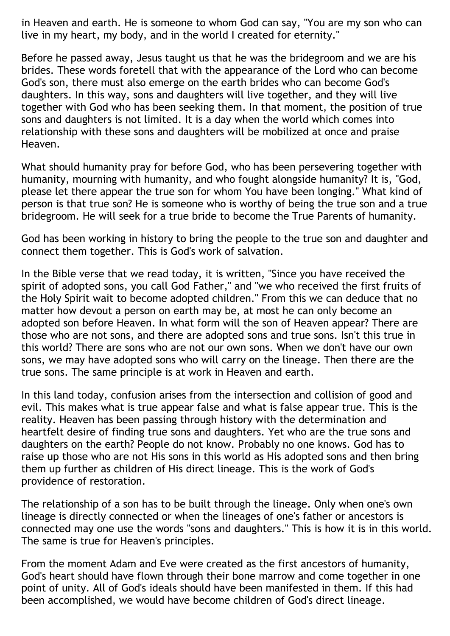in Heaven and earth. He is someone to whom God can say, "You are my son who can live in my heart, my body, and in the world I created for eternity."

Before he passed away, Jesus taught us that he was the bridegroom and we are his brides. These words foretell that with the appearance of the Lord who can become God's son, there must also emerge on the earth brides who can become God's daughters. In this way, sons and daughters will live together, and they will live together with God who has been seeking them. In that moment, the position of true sons and daughters is not limited. It is a day when the world which comes into relationship with these sons and daughters will be mobilized at once and praise Heaven.

What should humanity pray for before God, who has been persevering together with humanity, mourning with humanity, and who fought alongside humanity? It is, "God, please let there appear the true son for whom You have been longing." What kind of person is that true son? He is someone who is worthy of being the true son and a true bridegroom. He will seek for a true bride to become the True Parents of humanity.

God has been working in history to bring the people to the true son and daughter and connect them together. This is God's work of salvation.

In the Bible verse that we read today, it is written, "Since you have received the spirit of adopted sons, you call God Father," and "we who received the first fruits of the Holy Spirit wait to become adopted children." From this we can deduce that no matter how devout a person on earth may be, at most he can only become an adopted son before Heaven. In what form will the son of Heaven appear? There are those who are not sons, and there are adopted sons and true sons. Isn't this true in this world? There are sons who are not our own sons. When we don't have our own sons, we may have adopted sons who will carry on the lineage. Then there are the true sons. The same principle is at work in Heaven and earth.

In this land today, confusion arises from the intersection and collision of good and evil. This makes what is true appear false and what is false appear true. This is the reality. Heaven has been passing through history with the determination and heartfelt desire of finding true sons and daughters. Yet who are the true sons and daughters on the earth? People do not know. Probably no one knows. God has to raise up those who are not His sons in this world as His adopted sons and then bring them up further as children of His direct lineage. This is the work of God's providence of restoration.

The relationship of a son has to be built through the lineage. Only when one's own lineage is directly connected or when the lineages of one's father or ancestors is connected may one use the words "sons and daughters." This is how it is in this world. The same is true for Heaven's principles.

From the moment Adam and Eve were created as the first ancestors of humanity, God's heart should have flown through their bone marrow and come together in one point of unity. All of God's ideals should have been manifested in them. If this had been accomplished, we would have become children of God's direct lineage.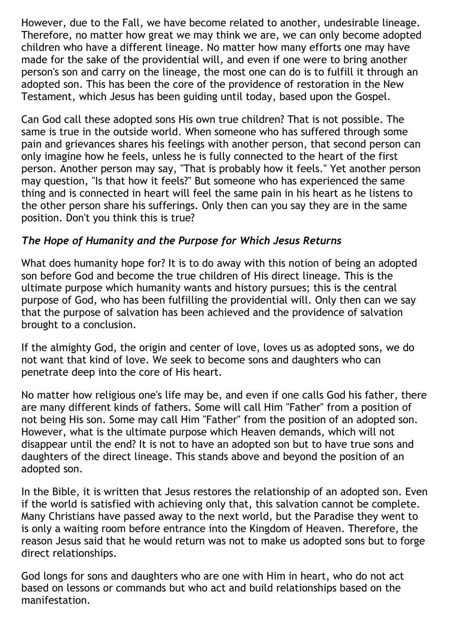However, due to the Fall, we have become related to another, undesirable lineage. Therefore, no matter how great we may think we are, we can only become adopted children who have a different lineage. No matter how many efforts one may have made for the sake of the providential will, and even if one were to bring another person's son and carry on the lineage, the most one can do is to fulfill it through an adopted son. This has been the core of the providence of restoration in the New Testament, which Jesus has been guiding until today, based upon the Gospel.

Can God call these adopted sons His own true children? That is not possible. The same is true in the outside world. When someone who has suffered through some pain and grievances shares his feelings with another person, that second person can only imagine how he feels, unless he is fully connected to the heart of the first person. Another person may say, "That is probably how it feels." Yet another person may question, "Is that how it feels?" But someone who has experienced the same thing and is connected in heart will feel the same pain in his heart as he listens to the other person share his sufferings. Only then can you say they are in the same position. Don't you think this is true?

# *The Hope of Humanity and the Purpose for Which Jesus Returns*

What does humanity hope for? It is to do away with this notion of being an adopted son before God and become the true children of His direct lineage. This is the ultimate purpose which humanity wants and history pursues; this is the central purpose of God, who has been fulfilling the providential will. Only then can we say that the purpose of salvation has been achieved and the providence of salvation brought to a conclusion.

If the almighty God, the origin and center of love, loves us as adopted sons, we do not want that kind of love. We seek to become sons and daughters who can penetrate deep into the core of His heart.

No matter how religious one's life may be, and even if one calls God his father, there are many different kinds of fathers. Some will call Him "Father" from a position of not being His son. Some may call Him "Father" from the position of an adopted son. However, what is the ultimate purpose which Heaven demands, which will not disappear until the end? It is not to have an adopted son but to have true sons and daughters of the direct lineage. This stands above and beyond the position of an adopted son.

In the Bible, it is written that Jesus restores the relationship of an adopted son. Even if the world is satisfied with achieving only that, this salvation cannot be complete. Many Christians have passed away to the next world, but the Paradise they went to is only a waiting room before entrance into the Kingdom of Heaven. Therefore, the reason Jesus said that he would return was not to make us adopted sons but to forge direct relationships.

God longs for sons and daughters who are one with Him in heart, who do not act based on lessons or commands but who act and build relationships based on the manifestation.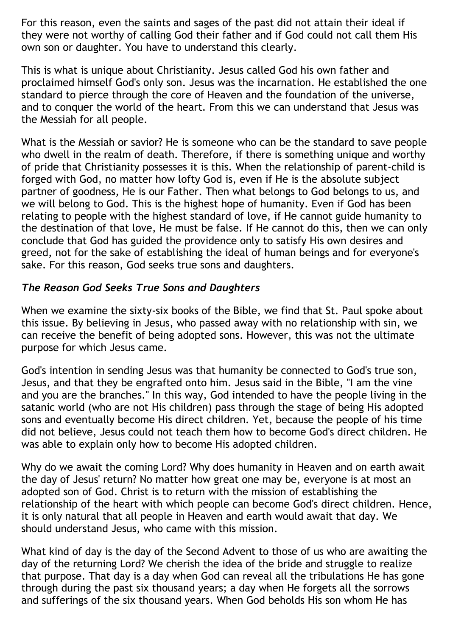For this reason, even the saints and sages of the past did not attain their ideal if they were not worthy of calling God their father and if God could not call them His own son or daughter. You have to understand this clearly.

This is what is unique about Christianity. Jesus called God his own father and proclaimed himself God's only son. Jesus was the incarnation. He established the one standard to pierce through the core of Heaven and the foundation of the universe, and to conquer the world of the heart. From this we can understand that Jesus was the Messiah for all people.

What is the Messiah or savior? He is someone who can be the standard to save people who dwell in the realm of death. Therefore, if there is something unique and worthy of pride that Christianity possesses it is this. When the relationship of parent-child is forged with God, no matter how lofty God is, even if He is the absolute subject partner of goodness, He is our Father. Then what belongs to God belongs to us, and we will belong to God. This is the highest hope of humanity. Even if God has been relating to people with the highest standard of love, if He cannot guide humanity to the destination of that love, He must be false. If He cannot do this, then we can only conclude that God has guided the providence only to satisfy His own desires and greed, not for the sake of establishing the ideal of human beings and for everyone's sake. For this reason, God seeks true sons and daughters.

#### *The Reason God Seeks True Sons and Daughters*

When we examine the sixty-six books of the Bible, we find that St. Paul spoke about this issue. By believing in Jesus, who passed away with no relationship with sin, we can receive the benefit of being adopted sons. However, this was not the ultimate purpose for which Jesus came.

God's intention in sending Jesus was that humanity be connected to God's true son, Jesus, and that they be engrafted onto him. Jesus said in the Bible, "I am the vine and you are the branches." In this way, God intended to have the people living in the satanic world (who are not His children) pass through the stage of being His adopted sons and eventually become His direct children. Yet, because the people of his time did not believe, Jesus could not teach them how to become God's direct children. He was able to explain only how to become His adopted children.

Why do we await the coming Lord? Why does humanity in Heaven and on earth await the day of Jesus' return? No matter how great one may be, everyone is at most an adopted son of God. Christ is to return with the mission of establishing the relationship of the heart with which people can become God's direct children. Hence, it is only natural that all people in Heaven and earth would await that day. We should understand Jesus, who came with this mission.

What kind of day is the day of the Second Advent to those of us who are awaiting the day of the returning Lord? We cherish the idea of the bride and struggle to realize that purpose. That day is a day when God can reveal all the tribulations He has gone through during the past six thousand years; a day when He forgets all the sorrows and sufferings of the six thousand years. When God beholds His son whom He has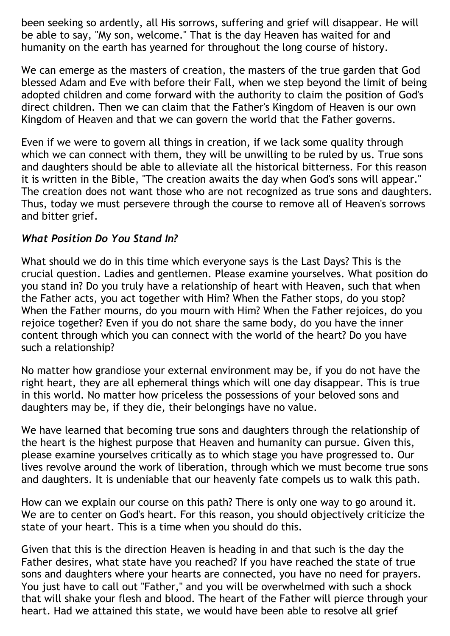been seeking so ardently, all His sorrows, suffering and grief will disappear. He will be able to say, "My son, welcome." That is the day Heaven has waited for and humanity on the earth has yearned for throughout the long course of history.

We can emerge as the masters of creation, the masters of the true garden that God blessed Adam and Eve with before their Fall, when we step beyond the limit of being adopted children and come forward with the authority to claim the position of God's direct children. Then we can claim that the Father's Kingdom of Heaven is our own Kingdom of Heaven and that we can govern the world that the Father governs.

Even if we were to govern all things in creation, if we lack some quality through which we can connect with them, they will be unwilling to be ruled by us. True sons and daughters should be able to alleviate all the historical bitterness. For this reason it is written in the Bible, "The creation awaits the day when God's sons will appear." The creation does not want those who are not recognized as true sons and daughters. Thus, today we must persevere through the course to remove all of Heaven's sorrows and bitter grief.

### *What Position Do You Stand In?*

What should we do in this time which everyone says is the Last Days? This is the crucial question. Ladies and gentlemen. Please examine yourselves. What position do you stand in? Do you truly have a relationship of heart with Heaven, such that when the Father acts, you act together with Him? When the Father stops, do you stop? When the Father mourns, do you mourn with Him? When the Father rejoices, do you rejoice together? Even if you do not share the same body, do you have the inner content through which you can connect with the world of the heart? Do you have such a relationship?

No matter how grandiose your external environment may be, if you do not have the right heart, they are all ephemeral things which will one day disappear. This is true in this world. No matter how priceless the possessions of your beloved sons and daughters may be, if they die, their belongings have no value.

We have learned that becoming true sons and daughters through the relationship of the heart is the highest purpose that Heaven and humanity can pursue. Given this, please examine yourselves critically as to which stage you have progressed to. Our lives revolve around the work of liberation, through which we must become true sons and daughters. It is undeniable that our heavenly fate compels us to walk this path.

How can we explain our course on this path? There is only one way to go around it. We are to center on God's heart. For this reason, you should objectively criticize the state of your heart. This is a time when you should do this.

Given that this is the direction Heaven is heading in and that such is the day the Father desires, what state have you reached? If you have reached the state of true sons and daughters where your hearts are connected, you have no need for prayers. You just have to call out "Father," and you will be overwhelmed with such a shock that will shake your flesh and blood. The heart of the Father will pierce through your heart. Had we attained this state, we would have been able to resolve all grief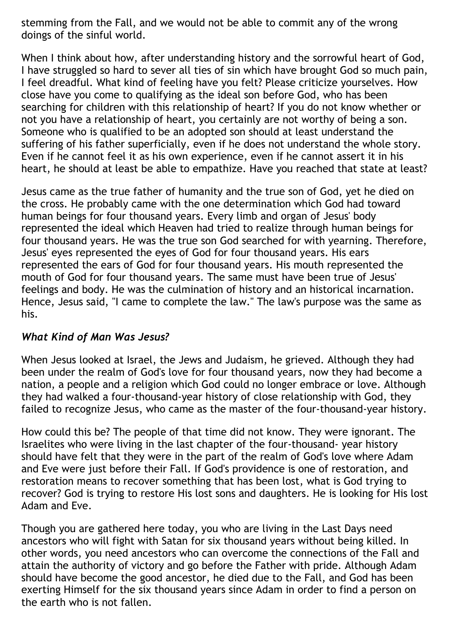stemming from the Fall, and we would not be able to commit any of the wrong doings of the sinful world.

When I think about how, after understanding history and the sorrowful heart of God, I have struggled so hard to sever all ties of sin which have brought God so much pain, I feel dreadful. What kind of feeling have you felt? Please criticize yourselves. How close have you come to qualifying as the ideal son before God, who has been searching for children with this relationship of heart? If you do not know whether or not you have a relationship of heart, you certainly are not worthy of being a son. Someone who is qualified to be an adopted son should at least understand the suffering of his father superficially, even if he does not understand the whole story. Even if he cannot feel it as his own experience, even if he cannot assert it in his heart, he should at least be able to empathize. Have you reached that state at least?

Jesus came as the true father of humanity and the true son of God, yet he died on the cross. He probably came with the one determination which God had toward human beings for four thousand years. Every limb and organ of Jesus' body represented the ideal which Heaven had tried to realize through human beings for four thousand years. He was the true son God searched for with yearning. Therefore, Jesus' eyes represented the eyes of God for four thousand years. His ears represented the ears of God for four thousand years. His mouth represented the mouth of God for four thousand years. The same must have been true of Jesus' feelings and body. He was the culmination of history and an historical incarnation. Hence, Jesus said, "I came to complete the law." The law's purpose was the same as his.

### *What Kind of Man Was Jesus?*

When Jesus looked at Israel, the Jews and Judaism, he grieved. Although they had been under the realm of God's love for four thousand years, now they had become a nation, a people and a religion which God could no longer embrace or love. Although they had walked a four-thousand-year history of close relationship with God, they failed to recognize Jesus, who came as the master of the four-thousand-year history.

How could this be? The people of that time did not know. They were ignorant. The Israelites who were living in the last chapter of the four-thousand- year history should have felt that they were in the part of the realm of God's love where Adam and Eve were just before their Fall. If God's providence is one of restoration, and restoration means to recover something that has been lost, what is God trying to recover? God is trying to restore His lost sons and daughters. He is looking for His lost Adam and Eve.

Though you are gathered here today, you who are living in the Last Days need ancestors who will fight with Satan for six thousand years without being killed. In other words, you need ancestors who can overcome the connections of the Fall and attain the authority of victory and go before the Father with pride. Although Adam should have become the good ancestor, he died due to the Fall, and God has been exerting Himself for the six thousand years since Adam in order to find a person on the earth who is not fallen.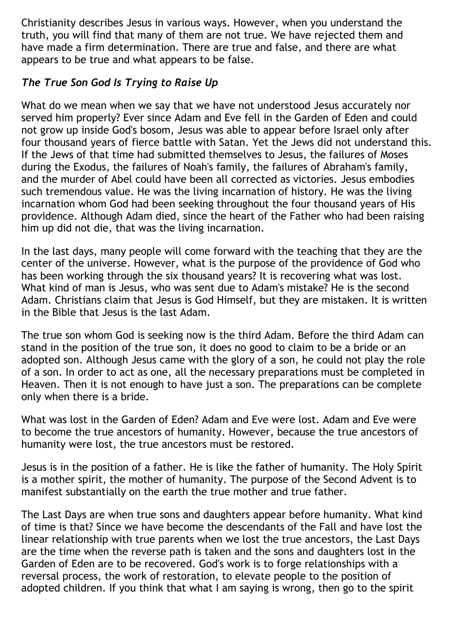Christianity describes Jesus in various ways. However, when you understand the truth, you will find that many of them are not true. We have rejected them and have made a firm determination. There are true and false, and there are what appears to be true and what appears to be false.

# *The True Son God Is Trying to Raise Up*

What do we mean when we say that we have not understood Jesus accurately nor served him properly? Ever since Adam and Eve fell in the Garden of Eden and could not grow up inside God's bosom, Jesus was able to appear before Israel only after four thousand years of fierce battle with Satan. Yet the Jews did not understand this. If the Jews of that time had submitted themselves to Jesus, the failures of Moses during the Exodus, the failures of Noah's family, the failures of Abraham's family, and the murder of Abel could have been all corrected as victories. Jesus embodies such tremendous value. He was the living incarnation of history. He was the living incarnation whom God had been seeking throughout the four thousand years of His providence. Although Adam died, since the heart of the Father who had been raising him up did not die, that was the living incarnation.

In the last days, many people will come forward with the teaching that they are the center of the universe. However, what is the purpose of the providence of God who has been working through the six thousand years? It is recovering what was lost. What kind of man is Jesus, who was sent due to Adam's mistake? He is the second Adam. Christians claim that Jesus is God Himself, but they are mistaken. It is written in the Bible that Jesus is the last Adam.

The true son whom God is seeking now is the third Adam. Before the third Adam can stand in the position of the true son, it does no good to claim to be a bride or an adopted son. Although Jesus came with the glory of a son, he could not play the role of a son. In order to act as one, all the necessary preparations must be completed in Heaven. Then it is not enough to have just a son. The preparations can be complete only when there is a bride.

What was lost in the Garden of Eden? Adam and Eve were lost. Adam and Eve were to become the true ancestors of humanity. However, because the true ancestors of humanity were lost, the true ancestors must be restored.

Jesus is in the position of a father. He is like the father of humanity. The Holy Spirit is a mother spirit, the mother of humanity. The purpose of the Second Advent is to manifest substantially on the earth the true mother and true father.

The Last Days are when true sons and daughters appear before humanity. What kind of time is that? Since we have become the descendants of the Fall and have lost the linear relationship with true parents when we lost the true ancestors, the Last Days are the time when the reverse path is taken and the sons and daughters lost in the Garden of Eden are to be recovered. God's work is to forge relationships with a reversal process, the work of restoration, to elevate people to the position of adopted children. If you think that what I am saying is wrong, then go to the spirit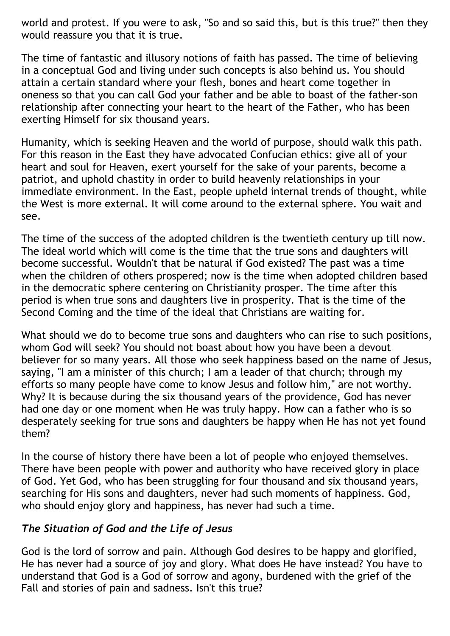world and protest. If you were to ask, "So and so said this, but is this true?" then they would reassure you that it is true.

The time of fantastic and illusory notions of faith has passed. The time of believing in a conceptual God and living under such concepts is also behind us. You should attain a certain standard where your flesh, bones and heart come together in oneness so that you can call God your father and be able to boast of the father-son relationship after connecting your heart to the heart of the Father, who has been exerting Himself for six thousand years.

Humanity, which is seeking Heaven and the world of purpose, should walk this path. For this reason in the East they have advocated Confucian ethics: give all of your heart and soul for Heaven, exert yourself for the sake of your parents, become a patriot, and uphold chastity in order to build heavenly relationships in your immediate environment. In the East, people upheld internal trends of thought, while the West is more external. It will come around to the external sphere. You wait and see.

The time of the success of the adopted children is the twentieth century up till now. The ideal world which will come is the time that the true sons and daughters will become successful. Wouldn't that be natural if God existed? The past was a time when the children of others prospered; now is the time when adopted children based in the democratic sphere centering on Christianity prosper. The time after this period is when true sons and daughters live in prosperity. That is the time of the Second Coming and the time of the ideal that Christians are waiting for.

What should we do to become true sons and daughters who can rise to such positions, whom God will seek? You should not boast about how you have been a devout believer for so many years. All those who seek happiness based on the name of Jesus, saying, "I am a minister of this church; I am a leader of that church; through my efforts so many people have come to know Jesus and follow him," are not worthy. Why? It is because during the six thousand years of the providence, God has never had one day or one moment when He was truly happy. How can a father who is so desperately seeking for true sons and daughters be happy when He has not yet found them?

In the course of history there have been a lot of people who enjoyed themselves. There have been people with power and authority who have received glory in place of God. Yet God, who has been struggling for four thousand and six thousand years, searching for His sons and daughters, never had such moments of happiness. God, who should enjoy glory and happiness, has never had such a time.

### *The Situation of God and the Life of Jesus*

God is the lord of sorrow and pain. Although God desires to be happy and glorified, He has never had a source of joy and glory. What does He have instead? You have to understand that God is a God of sorrow and agony, burdened with the grief of the Fall and stories of pain and sadness. Isn't this true?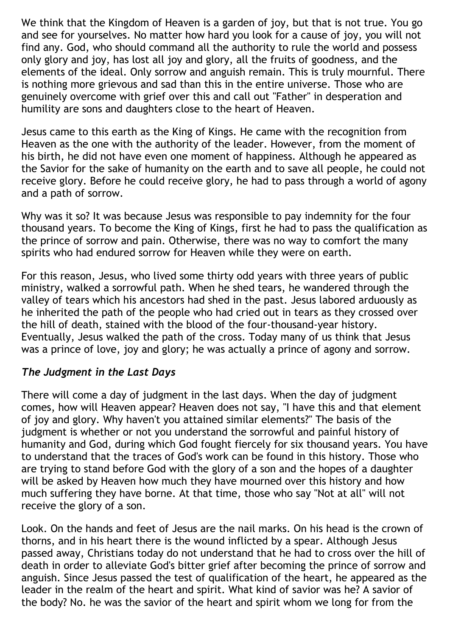We think that the Kingdom of Heaven is a garden of joy, but that is not true. You go and see for yourselves. No matter how hard you look for a cause of joy, you will not find any. God, who should command all the authority to rule the world and possess only glory and joy, has lost all joy and glory, all the fruits of goodness, and the elements of the ideal. Only sorrow and anguish remain. This is truly mournful. There is nothing more grievous and sad than this in the entire universe. Those who are genuinely overcome with grief over this and call out "Father" in desperation and humility are sons and daughters close to the heart of Heaven.

Jesus came to this earth as the King of Kings. He came with the recognition from Heaven as the one with the authority of the leader. However, from the moment of his birth, he did not have even one moment of happiness. Although he appeared as the Savior for the sake of humanity on the earth and to save all people, he could not receive glory. Before he could receive glory, he had to pass through a world of agony and a path of sorrow.

Why was it so? It was because Jesus was responsible to pay indemnity for the four thousand years. To become the King of Kings, first he had to pass the qualification as the prince of sorrow and pain. Otherwise, there was no way to comfort the many spirits who had endured sorrow for Heaven while they were on earth.

For this reason, Jesus, who lived some thirty odd years with three years of public ministry, walked a sorrowful path. When he shed tears, he wandered through the valley of tears which his ancestors had shed in the past. Jesus labored arduously as he inherited the path of the people who had cried out in tears as they crossed over the hill of death, stained with the blood of the four-thousand-year history. Eventually, Jesus walked the path of the cross. Today many of us think that Jesus was a prince of love, joy and glory; he was actually a prince of agony and sorrow.

#### *The Judgment in the Last Days*

There will come a day of judgment in the last days. When the day of judgment comes, how will Heaven appear? Heaven does not say, "I have this and that element of joy and glory. Why haven't you attained similar elements?" The basis of the judgment is whether or not you understand the sorrowful and painful history of humanity and God, during which God fought fiercely for six thousand years. You have to understand that the traces of God's work can be found in this history. Those who are trying to stand before God with the glory of a son and the hopes of a daughter will be asked by Heaven how much they have mourned over this history and how much suffering they have borne. At that time, those who say "Not at all" will not receive the glory of a son.

Look. On the hands and feet of Jesus are the nail marks. On his head is the crown of thorns, and in his heart there is the wound inflicted by a spear. Although Jesus passed away, Christians today do not understand that he had to cross over the hill of death in order to alleviate God's bitter grief after becoming the prince of sorrow and anguish. Since Jesus passed the test of qualification of the heart, he appeared as the leader in the realm of the heart and spirit. What kind of savior was he? A savior of the body? No. he was the savior of the heart and spirit whom we long for from the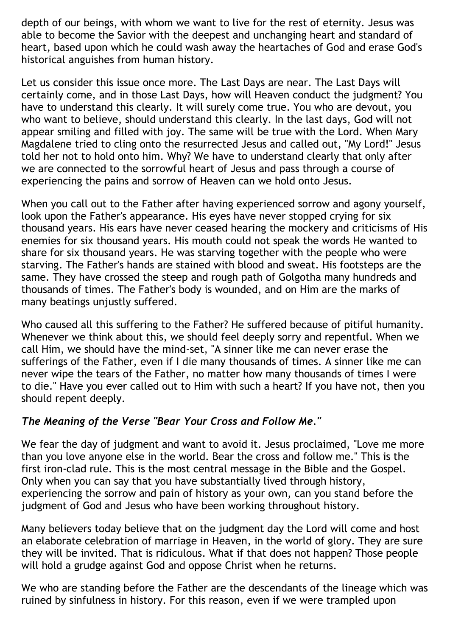depth of our beings, with whom we want to live for the rest of eternity. Jesus was able to become the Savior with the deepest and unchanging heart and standard of heart, based upon which he could wash away the heartaches of God and erase God's historical anguishes from human history.

Let us consider this issue once more. The Last Days are near. The Last Days will certainly come, and in those Last Days, how will Heaven conduct the judgment? You have to understand this clearly. It will surely come true. You who are devout, you who want to believe, should understand this clearly. In the last days, God will not appear smiling and filled with joy. The same will be true with the Lord. When Mary Magdalene tried to cling onto the resurrected Jesus and called out, "My Lord!" Jesus told her not to hold onto him. Why? We have to understand clearly that only after we are connected to the sorrowful heart of Jesus and pass through a course of experiencing the pains and sorrow of Heaven can we hold onto Jesus.

When you call out to the Father after having experienced sorrow and agony yourself, look upon the Father's appearance. His eyes have never stopped crying for six thousand years. His ears have never ceased hearing the mockery and criticisms of His enemies for six thousand years. His mouth could not speak the words He wanted to share for six thousand years. He was starving together with the people who were starving. The Father's hands are stained with blood and sweat. His footsteps are the same. They have crossed the steep and rough path of Golgotha many hundreds and thousands of times. The Father's body is wounded, and on Him are the marks of many beatings unjustly suffered.

Who caused all this suffering to the Father? He suffered because of pitiful humanity. Whenever we think about this, we should feel deeply sorry and repentful. When we call Him, we should have the mind-set, "A sinner like me can never erase the sufferings of the Father, even if I die many thousands of times. A sinner like me can never wipe the tears of the Father, no matter how many thousands of times I were to die." Have you ever called out to Him with such a heart? If you have not, then you should repent deeply.

### *The Meaning of the Verse "Bear Your Cross and Follow Me."*

We fear the day of judgment and want to avoid it. Jesus proclaimed, "Love me more than you love anyone else in the world. Bear the cross and follow me." This is the first iron-clad rule. This is the most central message in the Bible and the Gospel. Only when you can say that you have substantially lived through history, experiencing the sorrow and pain of history as your own, can you stand before the judgment of God and Jesus who have been working throughout history.

Many believers today believe that on the judgment day the Lord will come and host an elaborate celebration of marriage in Heaven, in the world of glory. They are sure they will be invited. That is ridiculous. What if that does not happen? Those people will hold a grudge against God and oppose Christ when he returns.

We who are standing before the Father are the descendants of the lineage which was ruined by sinfulness in history. For this reason, even if we were trampled upon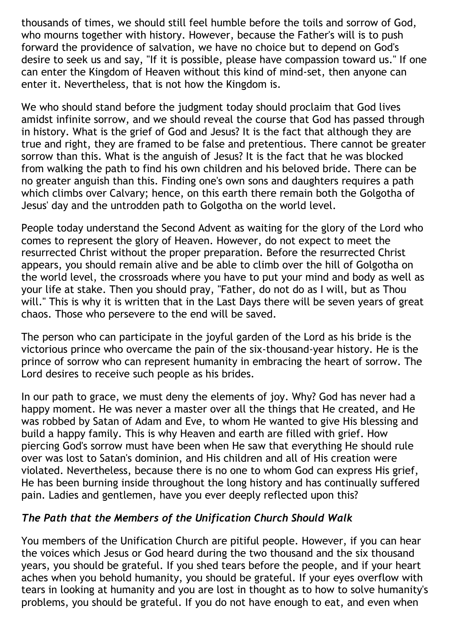thousands of times, we should still feel humble before the toils and sorrow of God, who mourns together with history. However, because the Father's will is to push forward the providence of salvation, we have no choice but to depend on God's desire to seek us and say, "If it is possible, please have compassion toward us." If one can enter the Kingdom of Heaven without this kind of mind-set, then anyone can enter it. Nevertheless, that is not how the Kingdom is.

We who should stand before the judgment today should proclaim that God lives amidst infinite sorrow, and we should reveal the course that God has passed through in history. What is the grief of God and Jesus? It is the fact that although they are true and right, they are framed to be false and pretentious. There cannot be greater sorrow than this. What is the anguish of Jesus? It is the fact that he was blocked from walking the path to find his own children and his beloved bride. There can be no greater anguish than this. Finding one's own sons and daughters requires a path which climbs over Calvary; hence, on this earth there remain both the Golgotha of Jesus' day and the untrodden path to Golgotha on the world level.

People today understand the Second Advent as waiting for the glory of the Lord who comes to represent the glory of Heaven. However, do not expect to meet the resurrected Christ without the proper preparation. Before the resurrected Christ appears, you should remain alive and be able to climb over the hill of Golgotha on the world level, the crossroads where you have to put your mind and body as well as your life at stake. Then you should pray, "Father, do not do as I will, but as Thou will." This is why it is written that in the Last Days there will be seven years of great chaos. Those who persevere to the end will be saved.

The person who can participate in the joyful garden of the Lord as his bride is the victorious prince who overcame the pain of the six-thousand-year history. He is the prince of sorrow who can represent humanity in embracing the heart of sorrow. The Lord desires to receive such people as his brides.

In our path to grace, we must deny the elements of joy. Why? God has never had a happy moment. He was never a master over all the things that He created, and He was robbed by Satan of Adam and Eve, to whom He wanted to give His blessing and build a happy family. This is why Heaven and earth are filled with grief. How piercing God's sorrow must have been when He saw that everything He should rule over was lost to Satan's dominion, and His children and all of His creation were violated. Nevertheless, because there is no one to whom God can express His grief, He has been burning inside throughout the long history and has continually suffered pain. Ladies and gentlemen, have you ever deeply reflected upon this?

### *The Path that the Members of the Unification Church Should Walk*

You members of the Unification Church are pitiful people. However, if you can hear the voices which Jesus or God heard during the two thousand and the six thousand years, you should be grateful. If you shed tears before the people, and if your heart aches when you behold humanity, you should be grateful. If your eyes overflow with tears in looking at humanity and you are lost in thought as to how to solve humanity's problems, you should be grateful. If you do not have enough to eat, and even when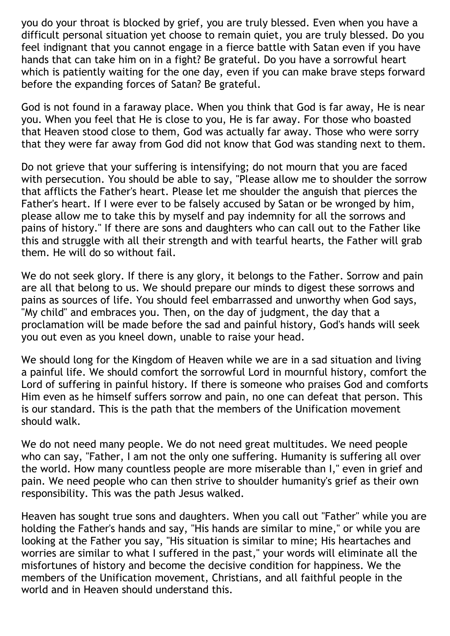you do your throat is blocked by grief, you are truly blessed. Even when you have a difficult personal situation yet choose to remain quiet, you are truly blessed. Do you feel indignant that you cannot engage in a fierce battle with Satan even if you have hands that can take him on in a fight? Be grateful. Do you have a sorrowful heart which is patiently waiting for the one day, even if you can make brave steps forward before the expanding forces of Satan? Be grateful.

God is not found in a faraway place. When you think that God is far away, He is near you. When you feel that He is close to you, He is far away. For those who boasted that Heaven stood close to them, God was actually far away. Those who were sorry that they were far away from God did not know that God was standing next to them.

Do not grieve that your suffering is intensifying; do not mourn that you are faced with persecution. You should be able to say, "Please allow me to shoulder the sorrow that afflicts the Father's heart. Please let me shoulder the anguish that pierces the Father's heart. If I were ever to be falsely accused by Satan or be wronged by him, please allow me to take this by myself and pay indemnity for all the sorrows and pains of history." If there are sons and daughters who can call out to the Father like this and struggle with all their strength and with tearful hearts, the Father will grab them. He will do so without fail.

We do not seek glory. If there is any glory, it belongs to the Father. Sorrow and pain are all that belong to us. We should prepare our minds to digest these sorrows and pains as sources of life. You should feel embarrassed and unworthy when God says, "My child" and embraces you. Then, on the day of judgment, the day that a proclamation will be made before the sad and painful history, God's hands will seek you out even as you kneel down, unable to raise your head.

We should long for the Kingdom of Heaven while we are in a sad situation and living a painful life. We should comfort the sorrowful Lord in mournful history, comfort the Lord of suffering in painful history. If there is someone who praises God and comforts Him even as he himself suffers sorrow and pain, no one can defeat that person. This is our standard. This is the path that the members of the Unification movement should walk.

We do not need many people. We do not need great multitudes. We need people who can say, "Father, I am not the only one suffering. Humanity is suffering all over the world. How many countless people are more miserable than I," even in grief and pain. We need people who can then strive to shoulder humanity's grief as their own responsibility. This was the path Jesus walked.

Heaven has sought true sons and daughters. When you call out "Father" while you are holding the Father's hands and say, "His hands are similar to mine," or while you are looking at the Father you say, "His situation is similar to mine; His heartaches and worries are similar to what I suffered in the past," your words will eliminate all the misfortunes of history and become the decisive condition for happiness. We the members of the Unification movement, Christians, and all faithful people in the world and in Heaven should understand this.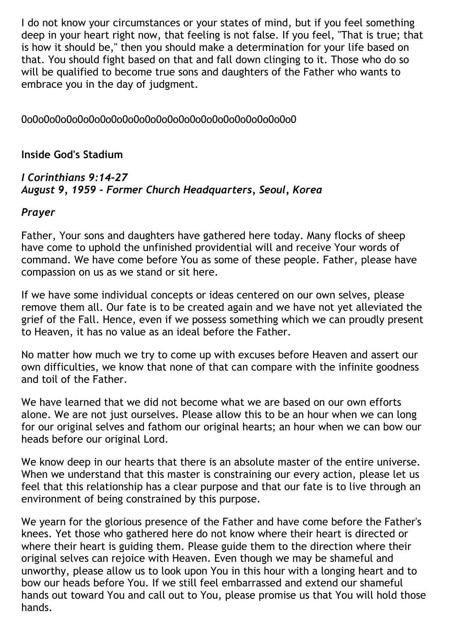I do not know your circumstances or your states of mind, but if you feel something deep in your heart right now, that feeling is not false. If you feel, "That is true; that is how it should be," then you should make a determination for your life based on that. You should fight based on that and fall down clinging to it. Those who do so will be qualified to become true sons and daughters of the Father who wants to embrace you in the day of judgment.

### 0o0o0o0o0o0o0o0o0o0o0o0o0o0o0o0o0o0o0o0o0o0o0o0o0

#### **Inside God's Stadium**

#### *I Corinthians 9:14-27 August 9, 1959 - Former Church Headquarters, Seoul, Korea*

#### *Prayer*

Father, Your sons and daughters have gathered here today. Many flocks of sheep have come to uphold the unfinished providential will and receive Your words of command. We have come before You as some of these people. Father, please have compassion on us as we stand or sit here.

If we have some individual concepts or ideas centered on our own selves, please remove them all. Our fate is to be created again and we have not yet alleviated the grief of the Fall. Hence, even if we possess something which we can proudly present to Heaven, it has no value as an ideal before the Father.

No matter how much we try to come up with excuses before Heaven and assert our own difficulties, we know that none of that can compare with the infinite goodness and toil of the Father.

We have learned that we did not become what we are based on our own efforts alone. We are not just ourselves. Please allow this to be an hour when we can long for our original selves and fathom our original hearts; an hour when we can bow our heads before our original Lord.

We know deep in our hearts that there is an absolute master of the entire universe. When we understand that this master is constraining our every action, please let us feel that this relationship has a clear purpose and that our fate is to live through an environment of being constrained by this purpose.

We yearn for the glorious presence of the Father and have come before the Father's knees. Yet those who gathered here do not know where their heart is directed or where their heart is guiding them. Please guide them to the direction where their original selves can rejoice with Heaven. Even though we may be shameful and unworthy, please allow us to look upon You in this hour with a longing heart and to bow our heads before You. If we still feel embarrassed and extend our shameful hands out toward You and call out to You, please promise us that You will hold those hands.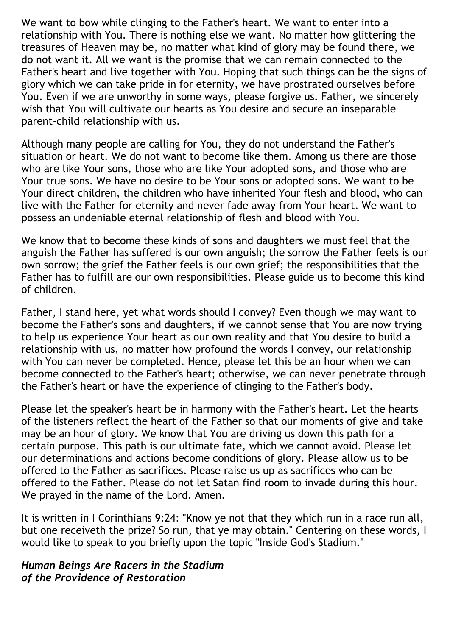We want to bow while clinging to the Father's heart. We want to enter into a relationship with You. There is nothing else we want. No matter how glittering the treasures of Heaven may be, no matter what kind of glory may be found there, we do not want it. All we want is the promise that we can remain connected to the Father's heart and live together with You. Hoping that such things can be the signs of glory which we can take pride in for eternity, we have prostrated ourselves before You. Even if we are unworthy in some ways, please forgive us. Father, we sincerely wish that You will cultivate our hearts as You desire and secure an inseparable parent-child relationship with us.

Although many people are calling for You, they do not understand the Father's situation or heart. We do not want to become like them. Among us there are those who are like Your sons, those who are like Your adopted sons, and those who are Your true sons. We have no desire to be Your sons or adopted sons. We want to be Your direct children, the children who have inherited Your flesh and blood, who can live with the Father for eternity and never fade away from Your heart. We want to possess an undeniable eternal relationship of flesh and blood with You.

We know that to become these kinds of sons and daughters we must feel that the anguish the Father has suffered is our own anguish; the sorrow the Father feels is our own sorrow; the grief the Father feels is our own grief; the responsibilities that the Father has to fulfill are our own responsibilities. Please guide us to become this kind of children.

Father, I stand here, yet what words should I convey? Even though we may want to become the Father's sons and daughters, if we cannot sense that You are now trying to help us experience Your heart as our own reality and that You desire to build a relationship with us, no matter how profound the words I convey, our relationship with You can never be completed. Hence, please let this be an hour when we can become connected to the Father's heart; otherwise, we can never penetrate through the Father's heart or have the experience of clinging to the Father's body.

Please let the speaker's heart be in harmony with the Father's heart. Let the hearts of the listeners reflect the heart of the Father so that our moments of give and take may be an hour of glory. We know that You are driving us down this path for a certain purpose. This path is our ultimate fate, which we cannot avoid. Please let our determinations and actions become conditions of glory. Please allow us to be offered to the Father as sacrifices. Please raise us up as sacrifices who can be offered to the Father. Please do not let Satan find room to invade during this hour. We prayed in the name of the Lord. Amen.

It is written in I Corinthians 9:24: "Know ye not that they which run in a race run all, but one receiveth the prize? So run, that ye may obtain." Centering on these words, I would like to speak to you briefly upon the topic "Inside God's Stadium."

#### *Human Beings Are Racers in the Stadium of the Providence of Restoration*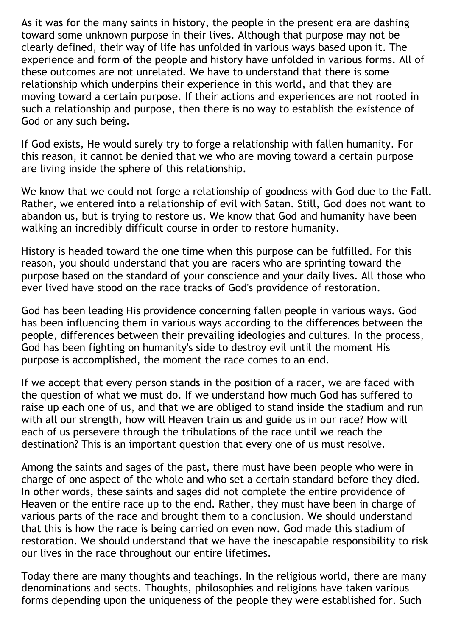As it was for the many saints in history, the people in the present era are dashing toward some unknown purpose in their lives. Although that purpose may not be clearly defined, their way of life has unfolded in various ways based upon it. The experience and form of the people and history have unfolded in various forms. All of these outcomes are not unrelated. We have to understand that there is some relationship which underpins their experience in this world, and that they are moving toward a certain purpose. If their actions and experiences are not rooted in such a relationship and purpose, then there is no way to establish the existence of God or any such being.

If God exists, He would surely try to forge a relationship with fallen humanity. For this reason, it cannot be denied that we who are moving toward a certain purpose are living inside the sphere of this relationship.

We know that we could not forge a relationship of goodness with God due to the Fall. Rather, we entered into a relationship of evil with Satan. Still, God does not want to abandon us, but is trying to restore us. We know that God and humanity have been walking an incredibly difficult course in order to restore humanity.

History is headed toward the one time when this purpose can be fulfilled. For this reason, you should understand that you are racers who are sprinting toward the purpose based on the standard of your conscience and your daily lives. All those who ever lived have stood on the race tracks of God's providence of restoration.

God has been leading His providence concerning fallen people in various ways. God has been influencing them in various ways according to the differences between the people, differences between their prevailing ideologies and cultures. In the process, God has been fighting on humanity's side to destroy evil until the moment His purpose is accomplished, the moment the race comes to an end.

If we accept that every person stands in the position of a racer, we are faced with the question of what we must do. If we understand how much God has suffered to raise up each one of us, and that we are obliged to stand inside the stadium and run with all our strength, how will Heaven train us and guide us in our race? How will each of us persevere through the tribulations of the race until we reach the destination? This is an important question that every one of us must resolve.

Among the saints and sages of the past, there must have been people who were in charge of one aspect of the whole and who set a certain standard before they died. In other words, these saints and sages did not complete the entire providence of Heaven or the entire race up to the end. Rather, they must have been in charge of various parts of the race and brought them to a conclusion. We should understand that this is how the race is being carried on even now. God made this stadium of restoration. We should understand that we have the inescapable responsibility to risk our lives in the race throughout our entire lifetimes.

Today there are many thoughts and teachings. In the religious world, there are many denominations and sects. Thoughts, philosophies and religions have taken various forms depending upon the uniqueness of the people they were established for. Such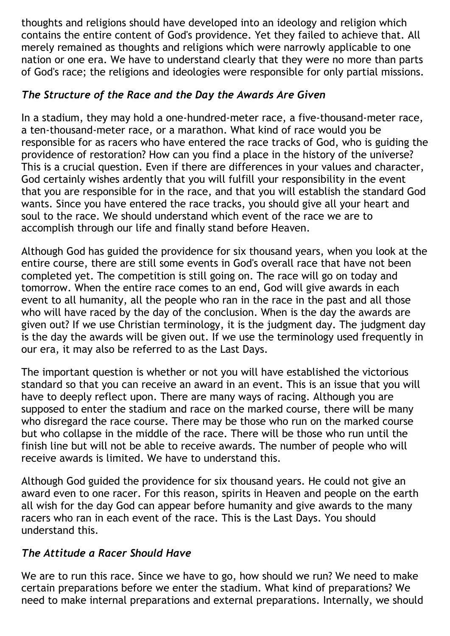thoughts and religions should have developed into an ideology and religion which contains the entire content of God's providence. Yet they failed to achieve that. All merely remained as thoughts and religions which were narrowly applicable to one nation or one era. We have to understand clearly that they were no more than parts of God's race; the religions and ideologies were responsible for only partial missions.

# *The Structure of the Race and the Day the Awards Are Given*

In a stadium, they may hold a one-hundred-meter race, a five-thousand-meter race, a ten-thousand-meter race, or a marathon. What kind of race would you be responsible for as racers who have entered the race tracks of God, who is guiding the providence of restoration? How can you find a place in the history of the universe? This is a crucial question. Even if there are differences in your values and character, God certainly wishes ardently that you will fulfill your responsibility in the event that you are responsible for in the race, and that you will establish the standard God wants. Since you have entered the race tracks, you should give all your heart and soul to the race. We should understand which event of the race we are to accomplish through our life and finally stand before Heaven.

Although God has guided the providence for six thousand years, when you look at the entire course, there are still some events in God's overall race that have not been completed yet. The competition is still going on. The race will go on today and tomorrow. When the entire race comes to an end, God will give awards in each event to all humanity, all the people who ran in the race in the past and all those who will have raced by the day of the conclusion. When is the day the awards are given out? If we use Christian terminology, it is the judgment day. The judgment day is the day the awards will be given out. If we use the terminology used frequently in our era, it may also be referred to as the Last Days.

The important question is whether or not you will have established the victorious standard so that you can receive an award in an event. This is an issue that you will have to deeply reflect upon. There are many ways of racing. Although you are supposed to enter the stadium and race on the marked course, there will be many who disregard the race course. There may be those who run on the marked course but who collapse in the middle of the race. There will be those who run until the finish line but will not be able to receive awards. The number of people who will receive awards is limited. We have to understand this.

Although God guided the providence for six thousand years. He could not give an award even to one racer. For this reason, spirits in Heaven and people on the earth all wish for the day God can appear before humanity and give awards to the many racers who ran in each event of the race. This is the Last Days. You should understand this.

## *The Attitude a Racer Should Have*

We are to run this race. Since we have to go, how should we run? We need to make certain preparations before we enter the stadium. What kind of preparations? We need to make internal preparations and external preparations. Internally, we should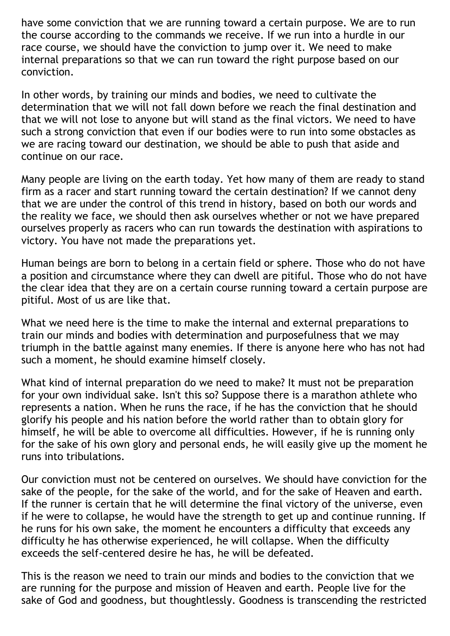have some conviction that we are running toward a certain purpose. We are to run the course according to the commands we receive. If we run into a hurdle in our race course, we should have the conviction to jump over it. We need to make internal preparations so that we can run toward the right purpose based on our conviction.

In other words, by training our minds and bodies, we need to cultivate the determination that we will not fall down before we reach the final destination and that we will not lose to anyone but will stand as the final victors. We need to have such a strong conviction that even if our bodies were to run into some obstacles as we are racing toward our destination, we should be able to push that aside and continue on our race.

Many people are living on the earth today. Yet how many of them are ready to stand firm as a racer and start running toward the certain destination? If we cannot deny that we are under the control of this trend in history, based on both our words and the reality we face, we should then ask ourselves whether or not we have prepared ourselves properly as racers who can run towards the destination with aspirations to victory. You have not made the preparations yet.

Human beings are born to belong in a certain field or sphere. Those who do not have a position and circumstance where they can dwell are pitiful. Those who do not have the clear idea that they are on a certain course running toward a certain purpose are pitiful. Most of us are like that.

What we need here is the time to make the internal and external preparations to train our minds and bodies with determination and purposefulness that we may triumph in the battle against many enemies. If there is anyone here who has not had such a moment, he should examine himself closely.

What kind of internal preparation do we need to make? It must not be preparation for your own individual sake. Isn't this so? Suppose there is a marathon athlete who represents a nation. When he runs the race, if he has the conviction that he should glorify his people and his nation before the world rather than to obtain glory for himself, he will be able to overcome all difficulties. However, if he is running only for the sake of his own glory and personal ends, he will easily give up the moment he runs into tribulations.

Our conviction must not be centered on ourselves. We should have conviction for the sake of the people, for the sake of the world, and for the sake of Heaven and earth. If the runner is certain that he will determine the final victory of the universe, even if he were to collapse, he would have the strength to get up and continue running. If he runs for his own sake, the moment he encounters a difficulty that exceeds any difficulty he has otherwise experienced, he will collapse. When the difficulty exceeds the self-centered desire he has, he will be defeated.

This is the reason we need to train our minds and bodies to the conviction that we are running for the purpose and mission of Heaven and earth. People live for the sake of God and goodness, but thoughtlessly. Goodness is transcending the restricted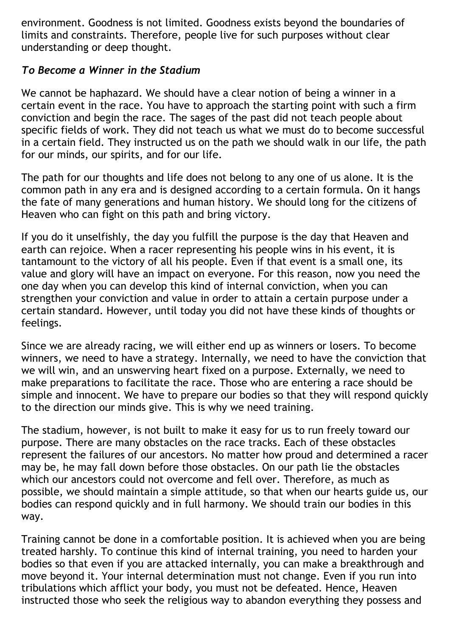environment. Goodness is not limited. Goodness exists beyond the boundaries of limits and constraints. Therefore, people live for such purposes without clear understanding or deep thought.

### *To Become a Winner in the Stadium*

We cannot be haphazard. We should have a clear notion of being a winner in a certain event in the race. You have to approach the starting point with such a firm conviction and begin the race. The sages of the past did not teach people about specific fields of work. They did not teach us what we must do to become successful in a certain field. They instructed us on the path we should walk in our life, the path for our minds, our spirits, and for our life.

The path for our thoughts and life does not belong to any one of us alone. It is the common path in any era and is designed according to a certain formula. On it hangs the fate of many generations and human history. We should long for the citizens of Heaven who can fight on this path and bring victory.

If you do it unselfishly, the day you fulfill the purpose is the day that Heaven and earth can rejoice. When a racer representing his people wins in his event, it is tantamount to the victory of all his people. Even if that event is a small one, its value and glory will have an impact on everyone. For this reason, now you need the one day when you can develop this kind of internal conviction, when you can strengthen your conviction and value in order to attain a certain purpose under a certain standard. However, until today you did not have these kinds of thoughts or feelings.

Since we are already racing, we will either end up as winners or losers. To become winners, we need to have a strategy. Internally, we need to have the conviction that we will win, and an unswerving heart fixed on a purpose. Externally, we need to make preparations to facilitate the race. Those who are entering a race should be simple and innocent. We have to prepare our bodies so that they will respond quickly to the direction our minds give. This is why we need training.

The stadium, however, is not built to make it easy for us to run freely toward our purpose. There are many obstacles on the race tracks. Each of these obstacles represent the failures of our ancestors. No matter how proud and determined a racer may be, he may fall down before those obstacles. On our path lie the obstacles which our ancestors could not overcome and fell over. Therefore, as much as possible, we should maintain a simple attitude, so that when our hearts guide us, our bodies can respond quickly and in full harmony. We should train our bodies in this way.

Training cannot be done in a comfortable position. It is achieved when you are being treated harshly. To continue this kind of internal training, you need to harden your bodies so that even if you are attacked internally, you can make a breakthrough and move beyond it. Your internal determination must not change. Even if you run into tribulations which afflict your body, you must not be defeated. Hence, Heaven instructed those who seek the religious way to abandon everything they possess and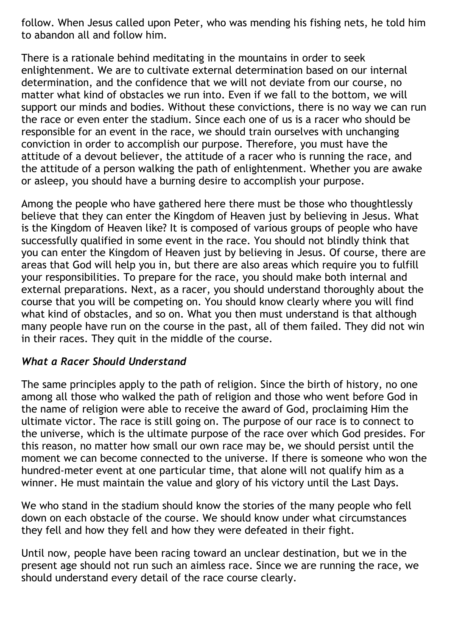follow. When Jesus called upon Peter, who was mending his fishing nets, he told him to abandon all and follow him.

There is a rationale behind meditating in the mountains in order to seek enlightenment. We are to cultivate external determination based on our internal determination, and the confidence that we will not deviate from our course, no matter what kind of obstacles we run into. Even if we fall to the bottom, we will support our minds and bodies. Without these convictions, there is no way we can run the race or even enter the stadium. Since each one of us is a racer who should be responsible for an event in the race, we should train ourselves with unchanging conviction in order to accomplish our purpose. Therefore, you must have the attitude of a devout believer, the attitude of a racer who is running the race, and the attitude of a person walking the path of enlightenment. Whether you are awake or asleep, you should have a burning desire to accomplish your purpose.

Among the people who have gathered here there must be those who thoughtlessly believe that they can enter the Kingdom of Heaven just by believing in Jesus. What is the Kingdom of Heaven like? It is composed of various groups of people who have successfully qualified in some event in the race. You should not blindly think that you can enter the Kingdom of Heaven just by believing in Jesus. Of course, there are areas that God will help you in, but there are also areas which require you to fulfill your responsibilities. To prepare for the race, you should make both internal and external preparations. Next, as a racer, you should understand thoroughly about the course that you will be competing on. You should know clearly where you will find what kind of obstacles, and so on. What you then must understand is that although many people have run on the course in the past, all of them failed. They did not win in their races. They quit in the middle of the course.

### *What a Racer Should Understand*

The same principles apply to the path of religion. Since the birth of history, no one among all those who walked the path of religion and those who went before God in the name of religion were able to receive the award of God, proclaiming Him the ultimate victor. The race is still going on. The purpose of our race is to connect to the universe, which is the ultimate purpose of the race over which God presides. For this reason, no matter how small our own race may be, we should persist until the moment we can become connected to the universe. If there is someone who won the hundred-meter event at one particular time, that alone will not qualify him as a winner. He must maintain the value and glory of his victory until the Last Days.

We who stand in the stadium should know the stories of the many people who fell down on each obstacle of the course. We should know under what circumstances they fell and how they fell and how they were defeated in their fight.

Until now, people have been racing toward an unclear destination, but we in the present age should not run such an aimless race. Since we are running the race, we should understand every detail of the race course clearly.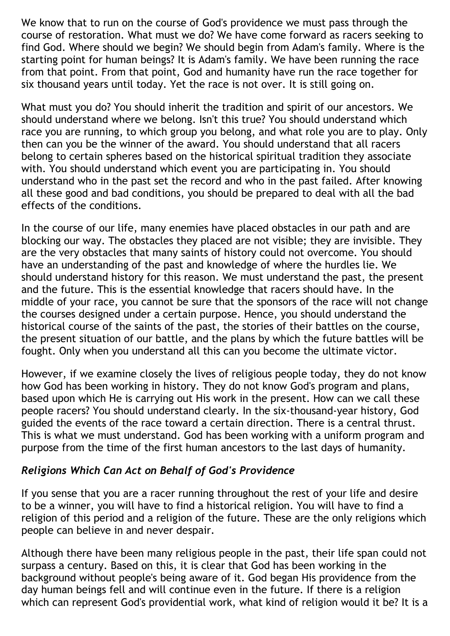We know that to run on the course of God's providence we must pass through the course of restoration. What must we do? We have come forward as racers seeking to find God. Where should we begin? We should begin from Adam's family. Where is the starting point for human beings? It is Adam's family. We have been running the race from that point. From that point, God and humanity have run the race together for six thousand years until today. Yet the race is not over. It is still going on.

What must you do? You should inherit the tradition and spirit of our ancestors. We should understand where we belong. Isn't this true? You should understand which race you are running, to which group you belong, and what role you are to play. Only then can you be the winner of the award. You should understand that all racers belong to certain spheres based on the historical spiritual tradition they associate with. You should understand which event you are participating in. You should understand who in the past set the record and who in the past failed. After knowing all these good and bad conditions, you should be prepared to deal with all the bad effects of the conditions.

In the course of our life, many enemies have placed obstacles in our path and are blocking our way. The obstacles they placed are not visible; they are invisible. They are the very obstacles that many saints of history could not overcome. You should have an understanding of the past and knowledge of where the hurdles lie. We should understand history for this reason. We must understand the past, the present and the future. This is the essential knowledge that racers should have. In the middle of your race, you cannot be sure that the sponsors of the race will not change the courses designed under a certain purpose. Hence, you should understand the historical course of the saints of the past, the stories of their battles on the course, the present situation of our battle, and the plans by which the future battles will be fought. Only when you understand all this can you become the ultimate victor.

However, if we examine closely the lives of religious people today, they do not know how God has been working in history. They do not know God's program and plans, based upon which He is carrying out His work in the present. How can we call these people racers? You should understand clearly. In the six-thousand-year history, God guided the events of the race toward a certain direction. There is a central thrust. This is what we must understand. God has been working with a uniform program and purpose from the time of the first human ancestors to the last days of humanity.

### *Religions Which Can Act on Behalf of God's Providence*

If you sense that you are a racer running throughout the rest of your life and desire to be a winner, you will have to find a historical religion. You will have to find a religion of this period and a religion of the future. These are the only religions which people can believe in and never despair.

Although there have been many religious people in the past, their life span could not surpass a century. Based on this, it is clear that God has been working in the background without people's being aware of it. God began His providence from the day human beings fell and will continue even in the future. If there is a religion which can represent God's providential work, what kind of religion would it be? It is a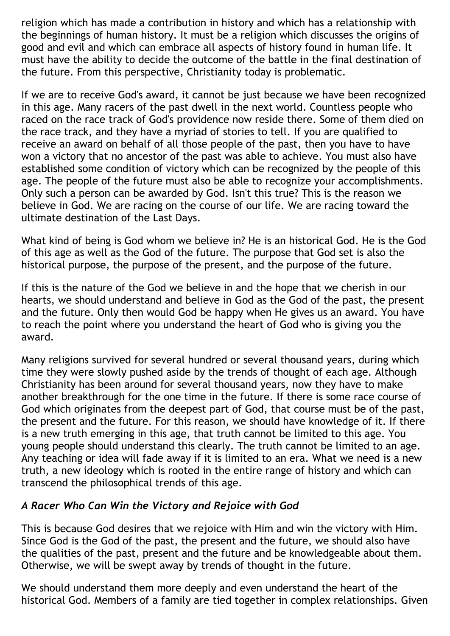religion which has made a contribution in history and which has a relationship with the beginnings of human history. It must be a religion which discusses the origins of good and evil and which can embrace all aspects of history found in human life. It must have the ability to decide the outcome of the battle in the final destination of the future. From this perspective, Christianity today is problematic.

If we are to receive God's award, it cannot be just because we have been recognized in this age. Many racers of the past dwell in the next world. Countless people who raced on the race track of God's providence now reside there. Some of them died on the race track, and they have a myriad of stories to tell. If you are qualified to receive an award on behalf of all those people of the past, then you have to have won a victory that no ancestor of the past was able to achieve. You must also have established some condition of victory which can be recognized by the people of this age. The people of the future must also be able to recognize your accomplishments. Only such a person can be awarded by God. Isn't this true? This is the reason we believe in God. We are racing on the course of our life. We are racing toward the ultimate destination of the Last Days.

What kind of being is God whom we believe in? He is an historical God. He is the God of this age as well as the God of the future. The purpose that God set is also the historical purpose, the purpose of the present, and the purpose of the future.

If this is the nature of the God we believe in and the hope that we cherish in our hearts, we should understand and believe in God as the God of the past, the present and the future. Only then would God be happy when He gives us an award. You have to reach the point where you understand the heart of God who is giving you the award.

Many religions survived for several hundred or several thousand years, during which time they were slowly pushed aside by the trends of thought of each age. Although Christianity has been around for several thousand years, now they have to make another breakthrough for the one time in the future. If there is some race course of God which originates from the deepest part of God, that course must be of the past, the present and the future. For this reason, we should have knowledge of it. If there is a new truth emerging in this age, that truth cannot be limited to this age. You young people should understand this clearly. The truth cannot be limited to an age. Any teaching or idea will fade away if it is limited to an era. What we need is a new truth, a new ideology which is rooted in the entire range of history and which can transcend the philosophical trends of this age.

### *A Racer Who Can Win the Victory and Rejoice with God*

This is because God desires that we rejoice with Him and win the victory with Him. Since God is the God of the past, the present and the future, we should also have the qualities of the past, present and the future and be knowledgeable about them. Otherwise, we will be swept away by trends of thought in the future.

We should understand them more deeply and even understand the heart of the historical God. Members of a family are tied together in complex relationships. Given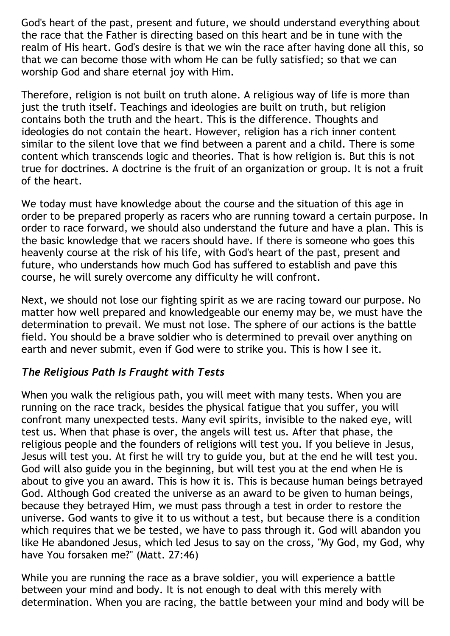God's heart of the past, present and future, we should understand everything about the race that the Father is directing based on this heart and be in tune with the realm of His heart. God's desire is that we win the race after having done all this, so that we can become those with whom He can be fully satisfied; so that we can worship God and share eternal joy with Him.

Therefore, religion is not built on truth alone. A religious way of life is more than just the truth itself. Teachings and ideologies are built on truth, but religion contains both the truth and the heart. This is the difference. Thoughts and ideologies do not contain the heart. However, religion has a rich inner content similar to the silent love that we find between a parent and a child. There is some content which transcends logic and theories. That is how religion is. But this is not true for doctrines. A doctrine is the fruit of an organization or group. It is not a fruit of the heart.

We today must have knowledge about the course and the situation of this age in order to be prepared properly as racers who are running toward a certain purpose. In order to race forward, we should also understand the future and have a plan. This is the basic knowledge that we racers should have. If there is someone who goes this heavenly course at the risk of his life, with God's heart of the past, present and future, who understands how much God has suffered to establish and pave this course, he will surely overcome any difficulty he will confront.

Next, we should not lose our fighting spirit as we are racing toward our purpose. No matter how well prepared and knowledgeable our enemy may be, we must have the determination to prevail. We must not lose. The sphere of our actions is the battle field. You should be a brave soldier who is determined to prevail over anything on earth and never submit, even if God were to strike you. This is how I see it.

### *The Religious Path Is Fraught with Tests*

When you walk the religious path, you will meet with many tests. When you are running on the race track, besides the physical fatigue that you suffer, you will confront many unexpected tests. Many evil spirits, invisible to the naked eye, will test us. When that phase is over, the angels will test us. After that phase, the religious people and the founders of religions will test you. If you believe in Jesus, Jesus will test you. At first he will try to guide you, but at the end he will test you. God will also guide you in the beginning, but will test you at the end when He is about to give you an award. This is how it is. This is because human beings betrayed God. Although God created the universe as an award to be given to human beings, because they betrayed Him, we must pass through a test in order to restore the universe. God wants to give it to us without a test, but because there is a condition which requires that we be tested, we have to pass through it. God will abandon you like He abandoned Jesus, which led Jesus to say on the cross, "My God, my God, why have You forsaken me?" (Matt. 27:46)

While you are running the race as a brave soldier, you will experience a battle between your mind and body. It is not enough to deal with this merely with determination. When you are racing, the battle between your mind and body will be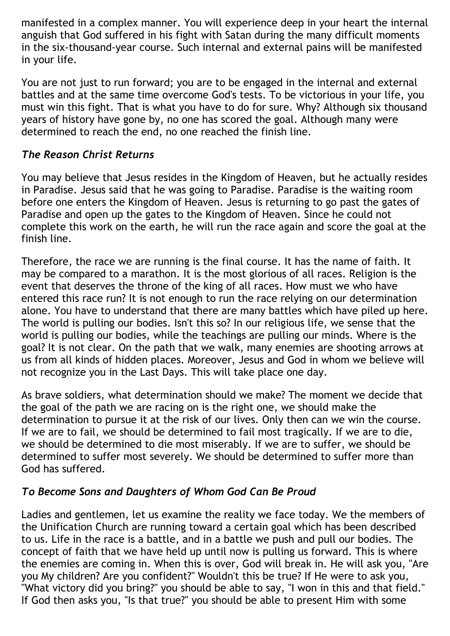manifested in a complex manner. You will experience deep in your heart the internal anguish that God suffered in his fight with Satan during the many difficult moments in the six-thousand-year course. Such internal and external pains will be manifested in your life.

You are not just to run forward; you are to be engaged in the internal and external battles and at the same time overcome God's tests. To be victorious in your life, you must win this fight. That is what you have to do for sure. Why? Although six thousand years of history have gone by, no one has scored the goal. Although many were determined to reach the end, no one reached the finish line.

## *The Reason Christ Returns*

You may believe that Jesus resides in the Kingdom of Heaven, but he actually resides in Paradise. Jesus said that he was going to Paradise. Paradise is the waiting room before one enters the Kingdom of Heaven. Jesus is returning to go past the gates of Paradise and open up the gates to the Kingdom of Heaven. Since he could not complete this work on the earth, he will run the race again and score the goal at the finish line.

Therefore, the race we are running is the final course. It has the name of faith. It may be compared to a marathon. It is the most glorious of all races. Religion is the event that deserves the throne of the king of all races. How must we who have entered this race run? It is not enough to run the race relying on our determination alone. You have to understand that there are many battles which have piled up here. The world is pulling our bodies. Isn't this so? In our religious life, we sense that the world is pulling our bodies, while the teachings are pulling our minds. Where is the goal? It is not clear. On the path that we walk, many enemies are shooting arrows at us from all kinds of hidden places. Moreover, Jesus and God in whom we believe will not recognize you in the Last Days. This will take place one day.

As brave soldiers, what determination should we make? The moment we decide that the goal of the path we are racing on is the right one, we should make the determination to pursue it at the risk of our lives. Only then can we win the course. If we are to fail, we should be determined to fail most tragically. If we are to die, we should be determined to die most miserably. If we are to suffer, we should be determined to suffer most severely. We should be determined to suffer more than God has suffered.

### *To Become Sons and Daughters of Whom God Can Be Proud*

Ladies and gentlemen, let us examine the reality we face today. We the members of the Unification Church are running toward a certain goal which has been described to us. Life in the race is a battle, and in a battle we push and pull our bodies. The concept of faith that we have held up until now is pulling us forward. This is where the enemies are coming in. When this is over, God will break in. He will ask you, "Are you My children? Are you confident?" Wouldn't this be true? If He were to ask you, "What victory did you bring?" you should be able to say, "I won in this and that field." If God then asks you, "Is that true?" you should be able to present Him with some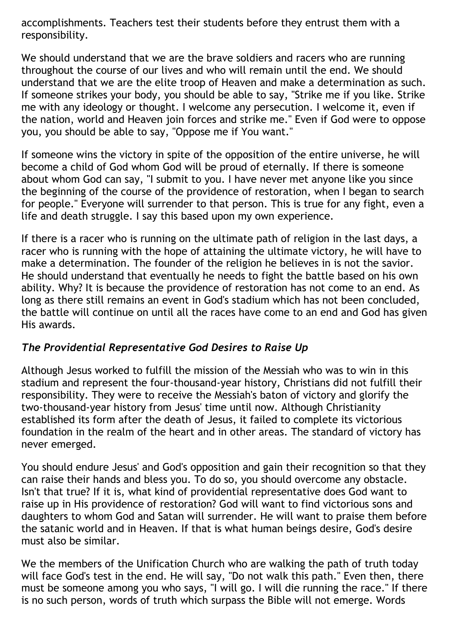accomplishments. Teachers test their students before they entrust them with a responsibility.

We should understand that we are the brave soldiers and racers who are running throughout the course of our lives and who will remain until the end. We should understand that we are the elite troop of Heaven and make a determination as such. If someone strikes your body, you should be able to say, "Strike me if you like. Strike me with any ideology or thought. I welcome any persecution. I welcome it, even if the nation, world and Heaven join forces and strike me." Even if God were to oppose you, you should be able to say, "Oppose me if You want."

If someone wins the victory in spite of the opposition of the entire universe, he will become a child of God whom God will be proud of eternally. If there is someone about whom God can say, "I submit to you. I have never met anyone like you since the beginning of the course of the providence of restoration, when I began to search for people." Everyone will surrender to that person. This is true for any fight, even a life and death struggle. I say this based upon my own experience.

If there is a racer who is running on the ultimate path of religion in the last days, a racer who is running with the hope of attaining the ultimate victory, he will have to make a determination. The founder of the religion he believes in is not the savior. He should understand that eventually he needs to fight the battle based on his own ability. Why? It is because the providence of restoration has not come to an end. As long as there still remains an event in God's stadium which has not been concluded, the battle will continue on until all the races have come to an end and God has given His awards.

### *The Providential Representative God Desires to Raise Up*

Although Jesus worked to fulfill the mission of the Messiah who was to win in this stadium and represent the four-thousand-year history, Christians did not fulfill their responsibility. They were to receive the Messiah's baton of victory and glorify the two-thousand-year history from Jesus' time until now. Although Christianity established its form after the death of Jesus, it failed to complete its victorious foundation in the realm of the heart and in other areas. The standard of victory has never emerged.

You should endure Jesus' and God's opposition and gain their recognition so that they can raise their hands and bless you. To do so, you should overcome any obstacle. Isn't that true? If it is, what kind of providential representative does God want to raise up in His providence of restoration? God will want to find victorious sons and daughters to whom God and Satan will surrender. He will want to praise them before the satanic world and in Heaven. If that is what human beings desire, God's desire must also be similar.

We the members of the Unification Church who are walking the path of truth today will face God's test in the end. He will say, "Do not walk this path." Even then, there must be someone among you who says, "I will go. I will die running the race." If there is no such person, words of truth which surpass the Bible will not emerge. Words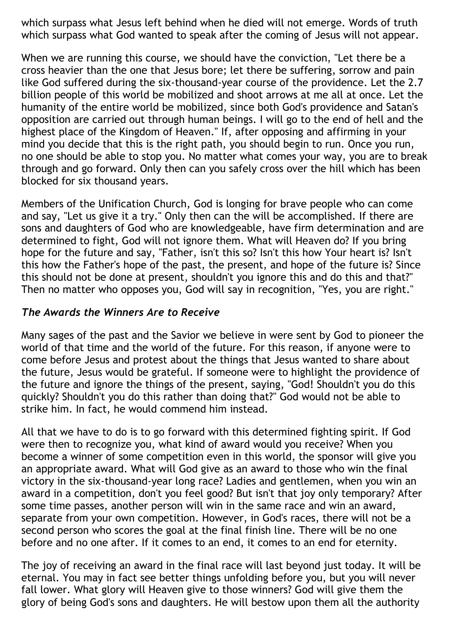which surpass what Jesus left behind when he died will not emerge. Words of truth which surpass what God wanted to speak after the coming of Jesus will not appear.

When we are running this course, we should have the conviction, "Let there be a cross heavier than the one that Jesus bore; let there be suffering, sorrow and pain like God suffered during the six-thousand-year course of the providence. Let the 2.7 billion people of this world be mobilized and shoot arrows at me all at once. Let the humanity of the entire world be mobilized, since both God's providence and Satan's opposition are carried out through human beings. I will go to the end of hell and the highest place of the Kingdom of Heaven." If, after opposing and affirming in your mind you decide that this is the right path, you should begin to run. Once you run, no one should be able to stop you. No matter what comes your way, you are to break through and go forward. Only then can you safely cross over the hill which has been blocked for six thousand years.

Members of the Unification Church, God is longing for brave people who can come and say, "Let us give it a try." Only then can the will be accomplished. If there are sons and daughters of God who are knowledgeable, have firm determination and are determined to fight, God will not ignore them. What will Heaven do? If you bring hope for the future and say, "Father, isn't this so? Isn't this how Your heart is? Isn't this how the Father's hope of the past, the present, and hope of the future is? Since this should not be done at present, shouldn't you ignore this and do this and that?" Then no matter who opposes you, God will say in recognition, "Yes, you are right."

#### *The Awards the Winners Are to Receive*

Many sages of the past and the Savior we believe in were sent by God to pioneer the world of that time and the world of the future. For this reason, if anyone were to come before Jesus and protest about the things that Jesus wanted to share about the future, Jesus would be grateful. If someone were to highlight the providence of the future and ignore the things of the present, saying, "God! Shouldn't you do this quickly? Shouldn't you do this rather than doing that?" God would not be able to strike him. In fact, he would commend him instead.

All that we have to do is to go forward with this determined fighting spirit. If God were then to recognize you, what kind of award would you receive? When you become a winner of some competition even in this world, the sponsor will give you an appropriate award. What will God give as an award to those who win the final victory in the six-thousand-year long race? Ladies and gentlemen, when you win an award in a competition, don't you feel good? But isn't that joy only temporary? After some time passes, another person will win in the same race and win an award, separate from your own competition. However, in God's races, there will not be a second person who scores the goal at the final finish line. There will be no one before and no one after. If it comes to an end, it comes to an end for eternity.

The joy of receiving an award in the final race will last beyond just today. It will be eternal. You may in fact see better things unfolding before you, but you will never fall lower. What glory will Heaven give to those winners? God will give them the glory of being God's sons and daughters. He will bestow upon them all the authority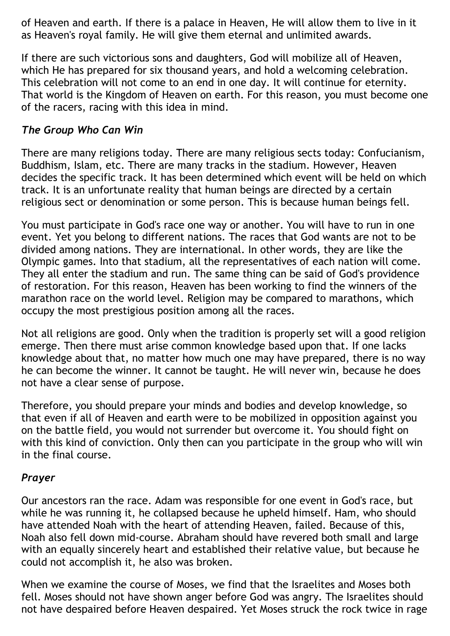of Heaven and earth. If there is a palace in Heaven, He will allow them to live in it as Heaven's royal family. He will give them eternal and unlimited awards.

If there are such victorious sons and daughters, God will mobilize all of Heaven, which He has prepared for six thousand years, and hold a welcoming celebration. This celebration will not come to an end in one day. It will continue for eternity. That world is the Kingdom of Heaven on earth. For this reason, you must become one of the racers, racing with this idea in mind.

## *The Group Who Can Win*

There are many religions today. There are many religious sects today: Confucianism, Buddhism, Islam, etc. There are many tracks in the stadium. However, Heaven decides the specific track. It has been determined which event will be held on which track. It is an unfortunate reality that human beings are directed by a certain religious sect or denomination or some person. This is because human beings fell.

You must participate in God's race one way or another. You will have to run in one event. Yet you belong to different nations. The races that God wants are not to be divided among nations. They are international. In other words, they are like the Olympic games. Into that stadium, all the representatives of each nation will come. They all enter the stadium and run. The same thing can be said of God's providence of restoration. For this reason, Heaven has been working to find the winners of the marathon race on the world level. Religion may be compared to marathons, which occupy the most prestigious position among all the races.

Not all religions are good. Only when the tradition is properly set will a good religion emerge. Then there must arise common knowledge based upon that. If one lacks knowledge about that, no matter how much one may have prepared, there is no way he can become the winner. It cannot be taught. He will never win, because he does not have a clear sense of purpose.

Therefore, you should prepare your minds and bodies and develop knowledge, so that even if all of Heaven and earth were to be mobilized in opposition against you on the battle field, you would not surrender but overcome it. You should fight on with this kind of conviction. Only then can you participate in the group who will win in the final course.

### *Prayer*

Our ancestors ran the race. Adam was responsible for one event in God's race, but while he was running it, he collapsed because he upheld himself. Ham, who should have attended Noah with the heart of attending Heaven, failed. Because of this, Noah also fell down mid-course. Abraham should have revered both small and large with an equally sincerely heart and established their relative value, but because he could not accomplish it, he also was broken.

When we examine the course of Moses, we find that the Israelites and Moses both fell. Moses should not have shown anger before God was angry. The Israelites should not have despaired before Heaven despaired. Yet Moses struck the rock twice in rage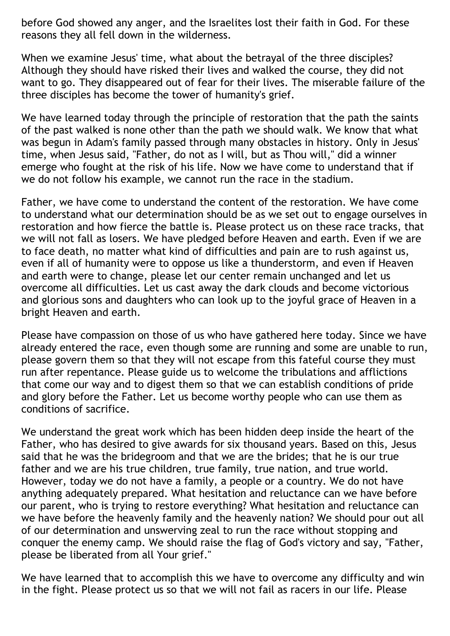before God showed any anger, and the Israelites lost their faith in God. For these reasons they all fell down in the wilderness.

When we examine Jesus' time, what about the betrayal of the three disciples? Although they should have risked their lives and walked the course, they did not want to go. They disappeared out of fear for their lives. The miserable failure of the three disciples has become the tower of humanity's grief.

We have learned today through the principle of restoration that the path the saints of the past walked is none other than the path we should walk. We know that what was begun in Adam's family passed through many obstacles in history. Only in Jesus' time, when Jesus said, "Father, do not as I will, but as Thou will," did a winner emerge who fought at the risk of his life. Now we have come to understand that if we do not follow his example, we cannot run the race in the stadium.

Father, we have come to understand the content of the restoration. We have come to understand what our determination should be as we set out to engage ourselves in restoration and how fierce the battle is. Please protect us on these race tracks, that we will not fall as losers. We have pledged before Heaven and earth. Even if we are to face death, no matter what kind of difficulties and pain are to rush against us, even if all of humanity were to oppose us like a thunderstorm, and even if Heaven and earth were to change, please let our center remain unchanged and let us overcome all difficulties. Let us cast away the dark clouds and become victorious and glorious sons and daughters who can look up to the joyful grace of Heaven in a bright Heaven and earth.

Please have compassion on those of us who have gathered here today. Since we have already entered the race, even though some are running and some are unable to run, please govern them so that they will not escape from this fateful course they must run after repentance. Please guide us to welcome the tribulations and afflictions that come our way and to digest them so that we can establish conditions of pride and glory before the Father. Let us become worthy people who can use them as conditions of sacrifice.

We understand the great work which has been hidden deep inside the heart of the Father, who has desired to give awards for six thousand years. Based on this, Jesus said that he was the bridegroom and that we are the brides; that he is our true father and we are his true children, true family, true nation, and true world. However, today we do not have a family, a people or a country. We do not have anything adequately prepared. What hesitation and reluctance can we have before our parent, who is trying to restore everything? What hesitation and reluctance can we have before the heavenly family and the heavenly nation? We should pour out all of our determination and unswerving zeal to run the race without stopping and conquer the enemy camp. We should raise the flag of God's victory and say, "Father, please be liberated from all Your grief."

We have learned that to accomplish this we have to overcome any difficulty and win in the fight. Please protect us so that we will not fail as racers in our life. Please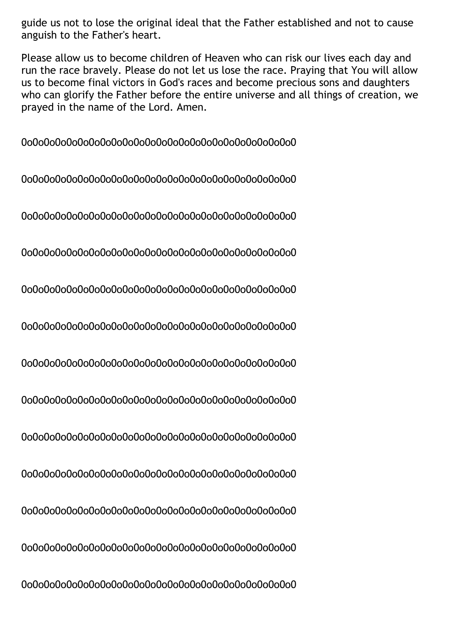guide us not to lose the original ideal that the Father established and not to cause anguish to the Father's heart.

Please allow us to become children of Heaven who can risk our lives each day and run the race bravely. Please do not let us lose the race. Praying that You will allow us to become final victors in God's races and become precious sons and daughters who can glorify the Father before the entire universe and all things of creation, we prayed in the name of the Lord. Amen.